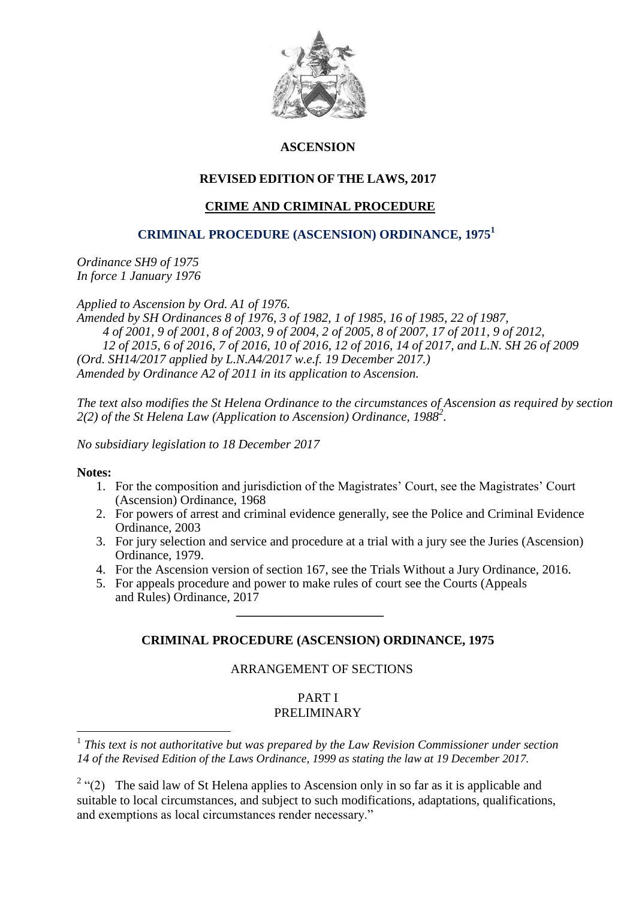

# **ASCENSION**

# **REVISED EDITION OF THE LAWS, 2017**

# **CRIME AND CRIMINAL PROCEDURE**

# **CRIMINAL PROCEDURE (ASCENSION) ORDINANCE, 1975<sup>1</sup>**

*Ordinance SH9 of 1975 In force 1 January 1976*

*Applied to Ascension by Ord. A1 of 1976.*

*Amended by SH Ordinances 8 of 1976, 3 of 1982, 1 of 1985, 16 of 1985, 22 of 1987, 4 of 2001, 9 of 2001, 8 of 2003, 9 of 2004, 2 of 2005, 8 of 2007, 17 of 2011, 9 of 2012, 12 of 2015, 6 of 2016, 7 of 2016, 10 of 2016, 12 of 2016, 14 of 2017, and L.N. SH 26 of 2009 (Ord. SH14/2017 applied by L.N.A4/2017 w.e.f. 19 December 2017.) Amended by Ordinance A2 of 2011 in its application to Ascension.* 

*The text also modifies the St Helena Ordinance to the circumstances of Ascension as required by section 2(2) of the St Helena Law (Application to Ascension) Ordinance, 1988<sup>2</sup> .*

*No subsidiary legislation to 18 December 2017*

 *\_\_\_\_\_\_\_\_\_\_\_\_\_\_\_\_\_\_\_\_\_\_\_*

### **Notes:**

1

- 1. For the composition and jurisdiction of the Magistrates' Court, see the Magistrates' Court (Ascension) Ordinance, 1968
- 2. For powers of arrest and criminal evidence generally, see the Police and Criminal Evidence Ordinance, 2003
- 3. For jury selection and service and procedure at a trial with a jury see the Juries (Ascension) Ordinance, 1979.
- 4. For the Ascension version of section 167, see the Trials Without a Jury Ordinance, 2016.
- 5. For appeals procedure and power to make rules of court see the Courts (Appeals and Rules) Ordinance, 2017

# **CRIMINAL PROCEDURE (ASCENSION) ORDINANCE, 1975**

# ARRANGEMENT OF SECTIONS

# PART I PRELIMINARY

<sup>&</sup>lt;sup>1</sup> This text is not authoritative but was prepared by the Law Revision Commissioner under section *14 of the Revised Edition of the Laws Ordinance, 1999 as stating the law at 19 December 2017.*

<sup>&</sup>lt;sup>2</sup> "(2) The said law of St Helena applies to Ascension only in so far as it is applicable and suitable to local circumstances, and subject to such modifications, adaptations, qualifications, and exemptions as local circumstances render necessary."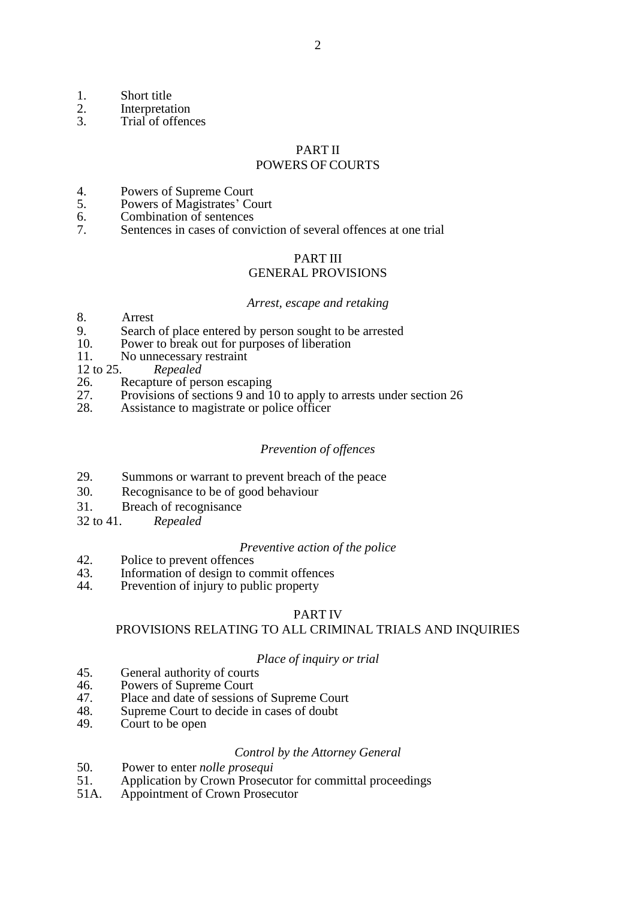- 
- 1. Short title<br>2. Interpretat
- 2. Interpretation<br>3. Trial of offence Trial of offences

### PART II

# POWERS OF COURTS

- 4. Powers of Supreme Court<br>5. Powers of Magistrates' Co
- 5. Powers of Magistrates' Court<br>6. Combination of sentences
- 6. Combination of sentences<br>7 Sentences in cases of conv
- Sentences in cases of conviction of several offences at one trial

### PART III

### GENERAL PROVISIONS

#### *Arrest, escape and retaking*

- 8. Arrest
- 9. Search of place entered by person sought to be arrested 10. Power to break out for purposes of liberation
- Power to break out for purposes of liberation
- 11. No unnecessary restraint
- 12 to 25. *Repealed*
- 26. Recapture of person escaping<br>27. Provisions of sections 9 and 1
- Provisions of sections 9 and 10 to apply to arrests under section 26
- 28. Assistance to magistrate or police officer

### *Prevention of offences*

- 29. Summons or warrant to prevent breach of the peace
- 30. Recognisance to be of good behaviour
- 31. Breach of recognisance
- 32 to 41. *Repealed*

#### *Preventive action of the police*

- 42. Police to prevent offences<br>43. Information of design to c
- 43. Information of design to commit offences<br>44. Prevention of injury to public property
- Prevention of injury to public property

### PART IV

### PROVISIONS RELATING TO ALL CRIMINAL TRIALS AND INQUIRIES

#### *Place of inquiry or trial*

- 45. General authority of courts<br>46. Powers of Supreme Court
- 46. Powers of Supreme Court<br>47. Place and date of sessions
- 47. Place and date of sessions of Supreme Court<br>48. Supreme Court to decide in cases of doubt
- 48. Supreme Court to decide in cases of doubt<br>49. Court to be open
- Court to be open

### *Control by the Attorney General*

- 50. Power to enter *nolle prosequi*
- 51. Application by Crown Prosecutor for committal proceedings
- 51A. Appointment of Crown Prosecutor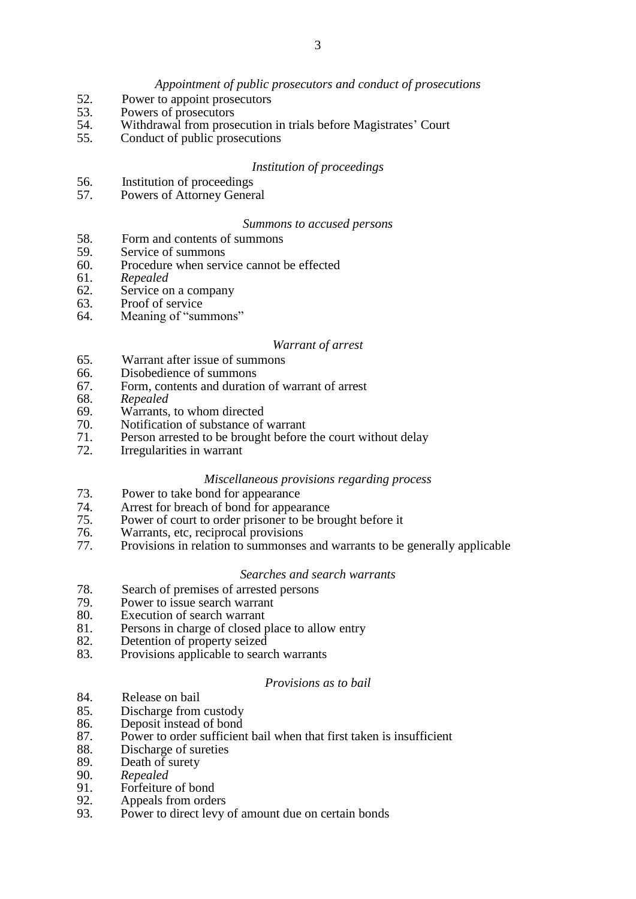### *Appointment of public prosecutors and conduct of prosecutions*

- 52. Power to appoint prosecutors<br>53. Powers of prosecutors
- 53. Powers of prosecutors<br>54. Withdrawal from prose
- 54. Withdrawal from prosecution in trials before Magistrates' Court
- 55. Conduct of public prosecutions

#### *Institution of proceedings*

- 56. Institution of proceedings
- 57. Powers of Attorney General

#### *Summons to accused persons*

- 58. Form and contents of summons
- 59. Service of summons<br>60. Procedure when serve
- Procedure when service cannot be effected
- 61. *Repealed*
- 62. Service on a company<br>63. Proof of service
- 63. Proof of service<br>64 Meaning of "sur
- Meaning of "summons"

#### *Warrant of arrest*

- 65. Warrant after issue of summons
- 66. Disobedience of summons
- 67. Form, contents and duration of warrant of arrest
- 68. *Repealed*
- 69. Warrants, to whom directed<br>70. Notification of substance of
- Notification of substance of warrant
- 71. Person arrested to be brought before the court without delay
- 72. Irregularities in warrant

#### *Miscellaneous provisions regarding process*

- 73. Power to take bond for appearance
- 74. Arrest for breach of bond for appearance<br>75. Power of court to order prisoner to be bro
- Power of court to order prisoner to be brought before it
- 76. Warrants, etc, reciprocal provisions
- 77. Provisions in relation to summonses and warrants to be generally applicable

#### *Searches and search warrants*

- 78. Search of premises of arrested persons
- 79. Power to issue search warrant<br>80 Execution of search warrant
- 80. Execution of search warrant<br>81. Persons in charge of closed r
- 81. Persons in charge of closed place to allow entry<br>82. Detention of property seized
- 82. Detention of property seized<br>83. Provisions applicable to search
- Provisions applicable to search warrants

#### *Provisions as to bail*

- 84. Release on bail
- 85. Discharge from custody<br>86. Deposit instead of bond
- 86. Deposit instead of bond<br>87. Power to order sufficien
- Power to order sufficient bail when that first taken is insufficient
- 88. Discharge of sureties<br>89. Death of surety
- 89. Death of surety<br>90. Repealed
- 90. *Repealed*
- 91. Forfeiture of bond<br>92. Appeals from order
- 92. Appeals from orders<br>93. Power to direct levy
- Power to direct levy of amount due on certain bonds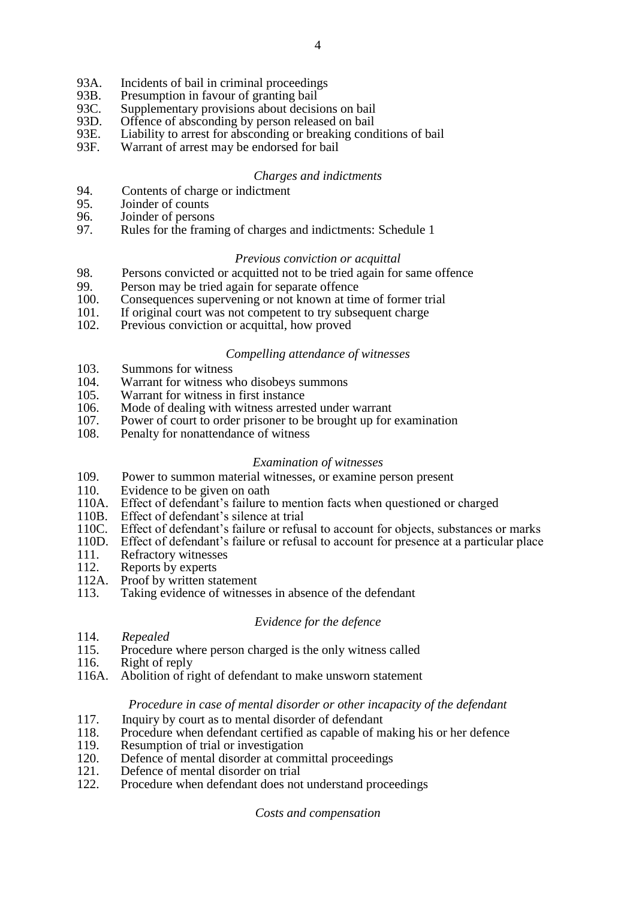- 93A. Incidents of bail in criminal proceedings<br>93B. Presumption in favour of granting bail
- 93B. Presumption in favour of granting bail<br>93C. Supplementary provisions about decisi
- 93C. Supplementary provisions about decisions on bail<br>93D. Offence of absconding by person released on bail
- 93D. Offence of absconding by person released on bail<br>93E. Liability to arrest for absconding or breaking cond
- 93E. Liability to arrest for absconding or breaking conditions of bail 93F. Warrant of arrest may be endorsed for bail
- Warrant of arrest may be endorsed for bail

# *Charges and indictments*

- 94. Contents of charge or indictment<br>95. Joinder of counts
- 95. Joinder of counts<br>96. Joinder of persons
- 96. Joinder of persons<br>97. Rules for the frami
- Rules for the framing of charges and indictments: Schedule 1

### *Previous conviction or acquittal*

- 98. Persons convicted or acquitted not to be tried again for same offence<br>99 Person may be tried again for separate offence
- 99. Person may be tried again for separate offence<br>100. Consequences supervening or not known at tin
- 100. Consequences supervening or not known at time of former trial<br>101. If original court was not competent to try subsequent charge
- 101. If original court was not competent to try subsequent charge<br>102. Previous conviction or acquittal, how proved
- Previous conviction or acquittal, how proved

### *Compelling attendance of witnesses*

- 103. Summons for witness<br>104. Warrant for witness w
- Warrant for witness who disobeys summons
- 105. Warrant for witness in first instance
- 106. Mode of dealing with witness arrested under warrant
- 107. Power of court to order prisoner to be brought up for examination
- 108. Penalty for nonattendance of witness

# *Examination of witnesses*

- 109. Power to summon material witnesses, or examine person present
- 110. Evidence to be given on oath
- 110A. Effect of defendant's failure to mention facts when questioned or charged
- 
- 110B. Effect of defendant's silence at trial<br>110C. Effect of defendant's failure or refus 110C. Effect of defendant's failure or refusal to account for objects, substances or marks 110D. Effect of defendant's failure or refusal to account for presence at a particular place
- 110D. Effect of defendant's failure or refusal to account for presence at a particular place 111. Refractory witnesses
- 111. Refractory witnesses<br>112. Reports by experts
- 112. Reports by experts<br>112A. Proof by written sta
- 112A. Proof by written statement<br>113. Taking evidence of witness
- Taking evidence of witnesses in absence of the defendant

# *Evidence for the defence*

- 114. *Repealed*
- 115. Procedure where person charged is the only witness called
- 116. Right of reply
- 116A. Abolition of right of defendant to make unsworn statement

# *Procedure in case of mental disorder or other incapacity of the defendant*

- 117. Inquiry by court as to mental disorder of defendant
- 118. Procedure when defendant certified as capable of making his or her defence
- 119. Resumption of trial or investigation
- 120. Defence of mental disorder at committal proceedings
- 121. Defence of mental disorder on trial
- 122. Procedure when defendant does not understand proceedings

*Costs and compensation*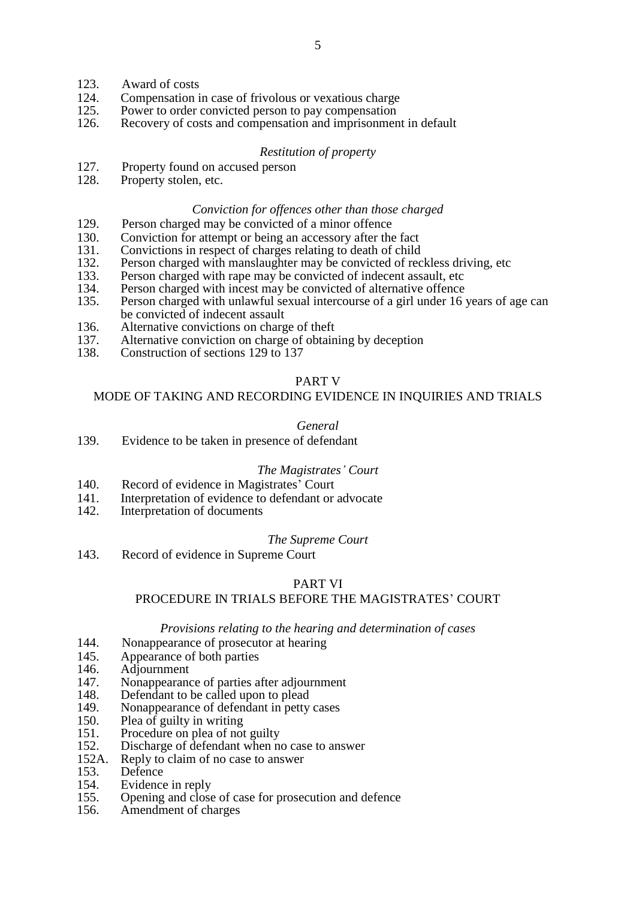- 123. Award of costs
- 124. Compensation in case of frivolous or vexatious charge 125. Power to order convicted person to pay compensation
- 125. Power to order convicted person to pay compensation<br>126. Recovery of costs and compensation and imprisonmen
- Recovery of costs and compensation and imprisonment in default

### *Restitution of property*

- 127. Property found on accused person
- 128. Property stolen, etc.

### *Conviction for offences other than those charged*

- 129. Person charged may be convicted of a minor offence
- 130. Conviction for attempt or being an accessory after the fact
- 131. Convictions in respect of charges relating to death of child
- 132. Person charged with manslaughter may be convicted of reckless driving, etc
- 133. Person charged with rape may be convicted of indecent assault, etc 134. Person charged with incest may be convicted of alternative offence
- 134. Person charged with incest may be convicted of alternative offence<br>135. Person charged with unlawful sexual intercourse of a girl under 16
- Person charged with unlawful sexual intercourse of a girl under 16 years of age can be convicted of indecent assault
- 136. Alternative convictions on charge of theft 137. Alternative conviction on charge of obtain
- 137. Alternative conviction on charge of obtaining by deception 138. Construction of sections 129 to 137
- 138. Construction of sections 129 to 137

### PART V

### MODE OF TAKING AND RECORDING EVIDENCE IN INQUIRIES AND TRIALS

### *General*

139. Evidence to be taken in presence of defendant

### *The Magistrates' Court*

- 140. Record of evidence in Magistrates' Court
- 141. Interpretation of evidence to defendant or advocate
- 142. Interpretation of documents

#### *The Supreme Court*

143. Record of evidence in Supreme Court

# PART VI

# PROCEDURE IN TRIALS BEFORE THE MAGISTRATES' COURT

#### *Provisions relating to the hearing and determination of cases*

- 144. Nonappearance of prosecutor at hearing
- 145. Appearance of both parties
- 146. Adjournment<br>147. Nonappearance
- 147. Nonappearance of parties after adjournment<br>148. Defendant to be called upon to plead
- 148. Defendant to be called upon to plead<br>149. Nonappearance of defendant in petty
- 149. Nonappearance of defendant in petty cases<br>150 Plea of quilty in writing
- 150. Plea of guilty in writing<br>151. Procedure on plea of not
- 151. Procedure on plea of not guilty<br>152. Discharge of defendant when no
- 152. Discharge of defendant when no case to answer<br>152. Renly to claim of no case to answer
- 152A. Reply to claim of no case to answer<br>153. Defence
- 153. Defence<br>154. Evidence
- Evidence in reply
- 155. Opening and close of case for prosecution and defence
- 156. Amendment of charges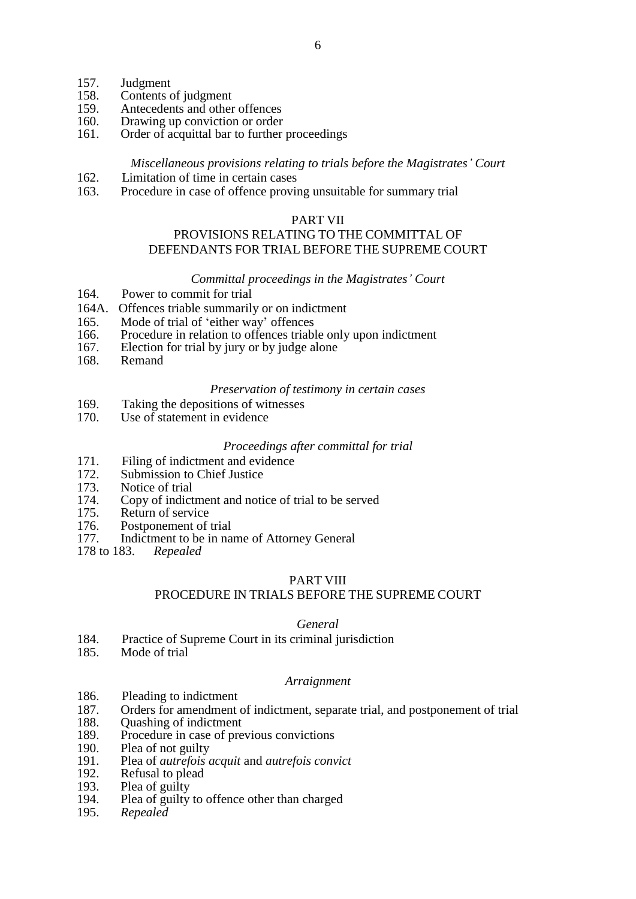- 157. Judgment<br>158. Contents of
- 158. Contents of judgment<br>159. Antecedents and other
- 159. Antecedents and other offences<br>160. Drawing up conviction or order
- 160. Drawing up conviction or order<br>161. Order of acquittal bar to further
- Order of acquittal bar to further proceedings

### *Miscellaneous provisions relating to trials before the Magistrates' Court*

- 162. Limitation of time in certain cases
- 163. Procedure in case of offence proving unsuitable for summary trial

### PART VII

# PROVISIONS RELATING TO THE COMMITTAL OF DEFENDANTS FOR TRIAL BEFORE THE SUPREME COURT

### *Committal proceedings in the Magistrates' Court*

- 164. Power to commit for trial
- 164A. Offences triable summarily or on indictment
- 165. Mode of trial of 'either way' offences
- 166. Procedure in relation to offences triable only upon indictment
- 167. Election for trial by jury or by judge alone<br>168. Remand
- Remand

#### *Preservation of testimony in certain cases*

- 169. Taking the depositions of witnesses
- 170. Use of statement in evidence

#### *Proceedings after committal for trial*

- 171. Filing of indictment and evidence
- 172. Submission to Chief Justice<br>173. Notice of trial
- Notice of trial
- 174. Copy of indictment and notice of trial to be served<br>175. Return of service
- 175. Return of service<br>176. Postponement of
- Postponement of trial
- 177. Indictment to be in name of Attorney General
- 178 to 183. *Repealed*

### PART VIII

# PROCEDURE IN TRIALS BEFORE THE SUPREME COURT

### *General*

- 184. Practice of Supreme Court in its criminal jurisdiction<br>185 Mode of trial
- Mode of trial

#### *Arraignment*

- 186. Pleading to indictment
- 187. Orders for amendment of indictment, separate trial, and postponement of trial
- 188. Quashing of indictment
- 189. Procedure in case of previous convictions
- 190. Plea of not guilty
- 191. Plea of *autrefois acquit* and *autrefois convict*
- 192. Refusal to plead
- 193. Plea of guilty
- 194. Plea of guilty to offence other than charged
- 195. *Repealed*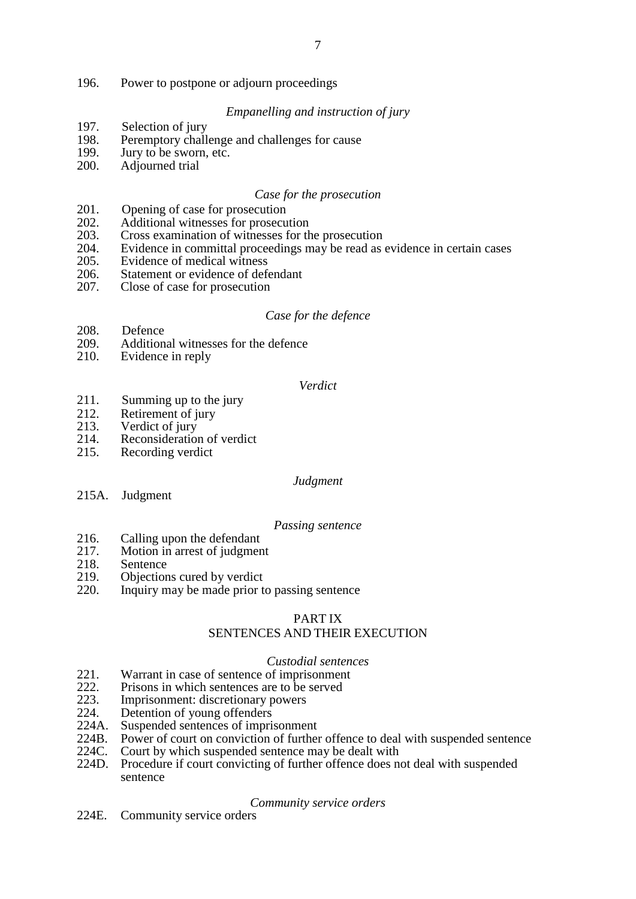# *Empanelling and instruction of jury*

- 197. Selection of jury<br>198. Peremptory chall
- 198. Peremptory challenge and challenges for cause<br>199. Jury to be sworn, etc.
- 199. Jury to be sworn, etc.<br>200. Adjourned trial
- Adjourned trial

# *Case for the prosecution*

- 201. Opening of case for prosecution
- 202. Additional witnesses for prosecution<br>203. Cross examination of witnesses for th
- Cross examination of witnesses for the prosecution
- 204. Evidence in committal proceedings may be read as evidence in certain cases
- 205. Evidence of medical witness<br>206. Statement or evidence of def-
- 206. Statement or evidence of defendant 207. Close of case for prosecution
- Close of case for prosecution

# *Case for the defence*

- 208. Defence<br>209. Addition
- Additional witnesses for the defence
- 210. Evidence in reply

#### *Verdict*

- 211. Summing up to the jury
- 212. Retirement of jury<br>213. Verdict of jury
- 213. Verdict of jury<br>214. Reconsideratio
- 214. Reconsideration of verdict<br>215. Recording verdict
- Recording verdict

### *Judgment*

215A. Judgment

### *Passing sentence*

- 216. Calling upon the defendant
- 217. Motion in arrest of judgment
- 218. Sentence<br>219. Objection
- 219. Objections cured by verdict 220. Inquiry may be made prior t
- Inquiry may be made prior to passing sentence

### PART IX

# SENTENCES AND THEIR EXECUTION

### *Custodial sentences*

- 221. Warrant in case of sentence of imprisonment<br>222. Prisons in which sentences are to be served
- 222. Prisons in which sentences are to be served<br>223. Imprisonment: discretionary powers
- 223. Imprisonment: discretionary powers<br>224. Detention of young offenders
- Detention of young offenders
- 224A. Suspended sentences of imprisonment
- 224B. Power of court on conviction of further offence to deal with suspended sentence
- 224C. Court by which suspended sentence may be dealt with
- 224D. Procedure if court convicting of further offence does not deal with suspended sentence

### *Community service orders*

224E. Community service orders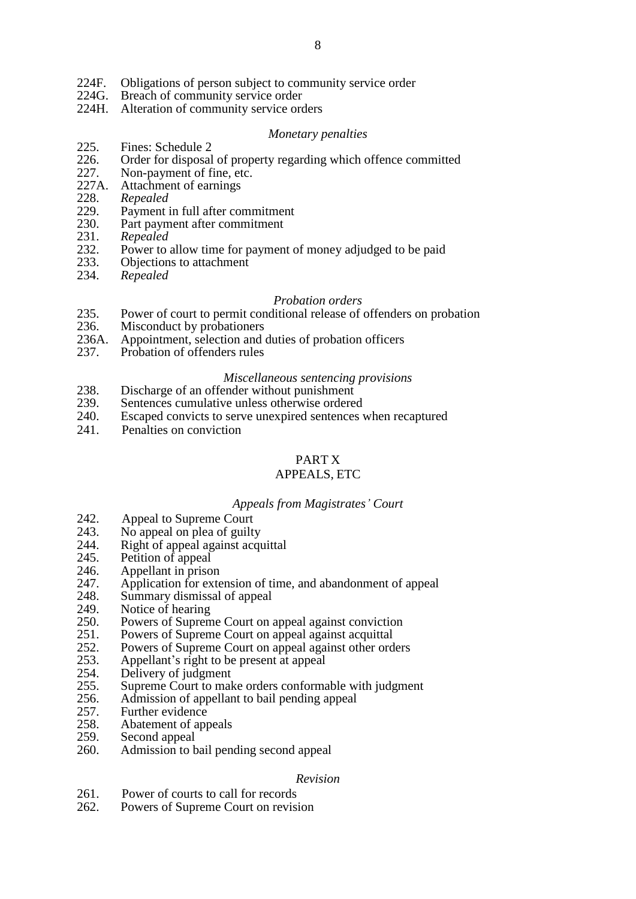- 224F. Obligations of person subject to community service order<br>224G. Breach of community service order
- Breach of community service order
- 224H. Alteration of community service orders

#### *Monetary penalties*

- 225. Fines: Schedule 2<br>226 Order for disposal
- 226. Order for disposal of property regarding which offence committed 227. Non-payment of fine. etc.
- 227. Non-payment of fine, etc.<br>227A. Attachment of earnings
- 227A. Attachment of earnings<br>228. Renealed
- 228. *Repealed*
- 229. Payment in full after commitment<br>230. Part payment after commitment
- Part payment after commitment
- 231. *Repealed*
- 232. Power to allow time for payment of money adjudged to be paid 233. Objections to attachment
- 233. Objections to attachment<br>234. Repealed
- 234. *Repealed*

#### *Probation orders*

- 235. Power of court to permit conditional release of offenders on probation 236. Misconduct by probationers
- Misconduct by probationers
- 236A. Appointment, selection and duties of probation officers 237. Probation of offenders rules
- Probation of offenders rules

#### *Miscellaneous sentencing provisions*

- 238. Discharge of an offender without punishment<br>239. Sentences cumulative unless otherwise ordere
- 239. Sentences cumulative unless otherwise ordered<br>240. Escaped convicts to serve unexpired sentences y
- Escaped convicts to serve unexpired sentences when recaptured
- 241. Penalties on conviction

# PART X

# APPEALS, ETC

#### *Appeals from Magistrates' Court*

- 
- 242. Appeal to Supreme Court<br>243. No appeal on plea of guilt
- 243. No appeal on plea of guilty<br>244. Right of appeal against acqu 244. Right of appeal against acquittal 245. Petition of appeal
- 245. Petition of appeal<br>246. Appellant in priso
- 246. Appellant in prison<br>247. Application for exte
- Application for extension of time, and abandonment of appeal
- 248. Summary dismissal of appeal<br>249. Notice of hearing
- 249. Notice of hearing<br>250. Powers of Suprem
- 250. Powers of Supreme Court on appeal against conviction<br>251. Powers of Supreme Court on appeal against acquittal
- 251. Powers of Supreme Court on appeal against acquittal 252. Powers of Supreme Court on appeal against other ord
- 252. Powers of Supreme Court on appeal against other orders<br>253. Appellant's right to be present at appeal
- 253. Appellant's right to be present at appeal<br>254. Delivery of judgment
- 254. Delivery of judgment<br>255. Supreme Court to make
- 255. Supreme Court to make orders conformable with judgment 256. Admission of appellant to bail pending appeal
- 256. Admission of appellant to bail pending appeal<br>257. Further evidence
- 257. Further evidence<br>258. Abatement of apr
- 258. Abatement of appeals<br>259. Second appeal
- Second appeal
- 260. Admission to bail pending second appeal

#### *Revision*

- 261. Power of courts to call for records
- 262. Powers of Supreme Court on revision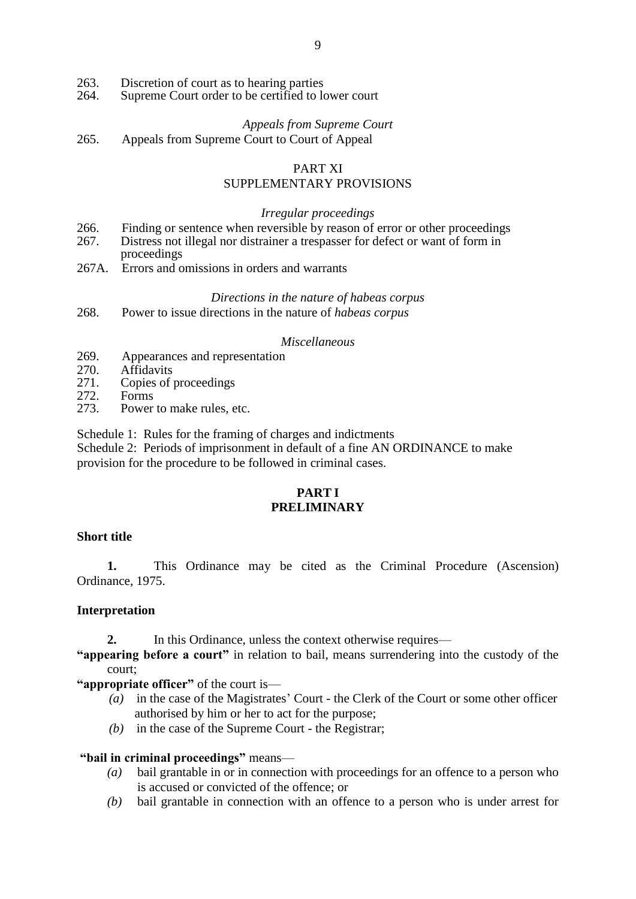- 263. Discretion of court as to hearing parties<br>264. Supreme Court order to be certified to lo
- Supreme Court order to be certified to lower court
	- *Appeals from Supreme Court*
- 265. Appeals from Supreme Court to Court of Appeal

# PART XI SUPPLEMENTARY PROVISIONS

# *Irregular proceedings*

- 266. Finding or sentence when reversible by reason of error or other proceedings
- 267. Distress not illegal nor distrainer a trespasser for defect or want of form in proceedings
- 267A. Errors and omissions in orders and warrants

# *Directions in the nature of habeas corpus*

268. Power to issue directions in the nature of *habeas corpus*

# *Miscellaneous*

- 269. Appearances and representation<br>270 Affidavits
- 270. Affidavits<br>271. Copies of
- 271. Copies of proceedings<br>272. Forms
- 272. Forms<br>273 Power
- Power to make rules, etc.

Schedule 1: Rules for the framing of charges and indictments Schedule 2: Periods of imprisonment in default of a fine AN ORDINANCE to make provision for the procedure to be followed in criminal cases.

# **PART I PRELIMINARY**

# **Short title**

**1.** This Ordinance may be cited as the Criminal Procedure (Ascension) Ordinance, 1975.

# **Interpretation**

2. In this Ordinance, unless the context otherwise requires—

**"appearing before a court"** in relation to bail, means surrendering into the custody of the court;

**"appropriate officer"** of the court is—

- *(a)* in the case of the Magistrates' Court the Clerk of the Court or some other officer authorised by him or her to act for the purpose;
- *(b)* in the case of the Supreme Court the Registrar;

# **"bail in criminal proceedings"** means—

- *(a)* bail grantable in or in connection with proceedings for an offence to a person who is accused or convicted of the offence; or
- *(b)* bail grantable in connection with an offence to a person who is under arrest for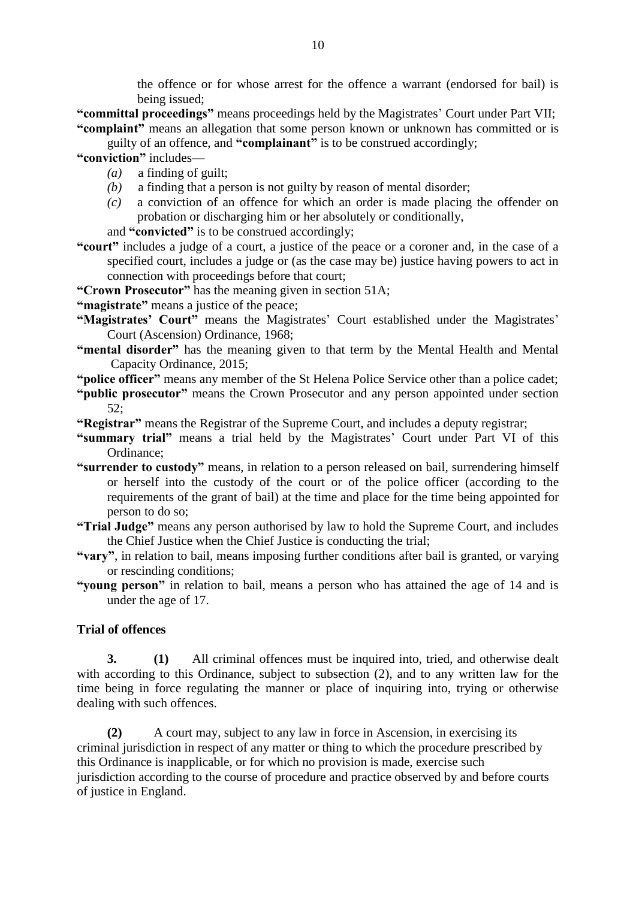the offence or for whose arrest for the offence a warrant (endorsed for bail) is being issued;

**"committal proceedings"** means proceedings held by the Magistrates' Court under Part VII; **"complaint"** means an allegation that some person known or unknown has committed or is

guilty of an offence, and **"complainant"** is to be construed accordingly;

**"conviction"** includes—

- *(a)* a finding of guilt;
- *(b)* a finding that a person is not guilty by reason of mental disorder;
- *(c)* a conviction of an offence for which an order is made placing the offender on probation or discharging him or her absolutely or conditionally,
- and **"convicted"** is to be construed accordingly;
- **"court"** includes a judge of a court, a justice of the peace or a coroner and, in the case of a specified court, includes a judge or (as the case may be) justice having powers to act in connection with proceedings before that court;
- **"Crown Prosecutor"** has the meaning given in section 51A;
- **"magistrate"** means a justice of the peace;
- **"Magistrates' Court"** means the Magistrates' Court established under the Magistrates' Court (Ascension) Ordinance, 1968;
- **"mental disorder"** has the meaning given to that term by the Mental Health and Mental Capacity Ordinance, 2015;
- **"police officer"** means any member of the St Helena Police Service other than a police cadet;
- **"public prosecutor"** means the Crown Prosecutor and any person appointed under section 52;
- **"Registrar"** means the Registrar of the Supreme Court, and includes a deputy registrar;
- **"summary trial"** means a trial held by the Magistrates' Court under Part VI of this Ordinance;
- **"surrender to custody"** means, in relation to a person released on bail, surrendering himself or herself into the custody of the court or of the police officer (according to the requirements of the grant of bail) at the time and place for the time being appointed for person to do so;
- **"Trial Judge"** means any person authorised by law to hold the Supreme Court, and includes the Chief Justice when the Chief Justice is conducting the trial;
- **"vary"**, in relation to bail, means imposing further conditions after bail is granted, or varying or rescinding conditions;
- **"young person"** in relation to bail, means a person who has attained the age of 14 and is under the age of 17.

# **Trial of offences**

**3. (1)** All criminal offences must be inquired into, tried, and otherwise dealt with according to this Ordinance, subject to subsection (2), and to any written law for the time being in force regulating the manner or place of inquiring into, trying or otherwise dealing with such offences.

**(2)** A court may, subject to any law in force in Ascension, in exercising its criminal jurisdiction in respect of any matter or thing to which the procedure prescribed by this Ordinance is inapplicable, or for which no provision is made, exercise such jurisdiction according to the course of procedure and practice observed by and before courts of justice in England.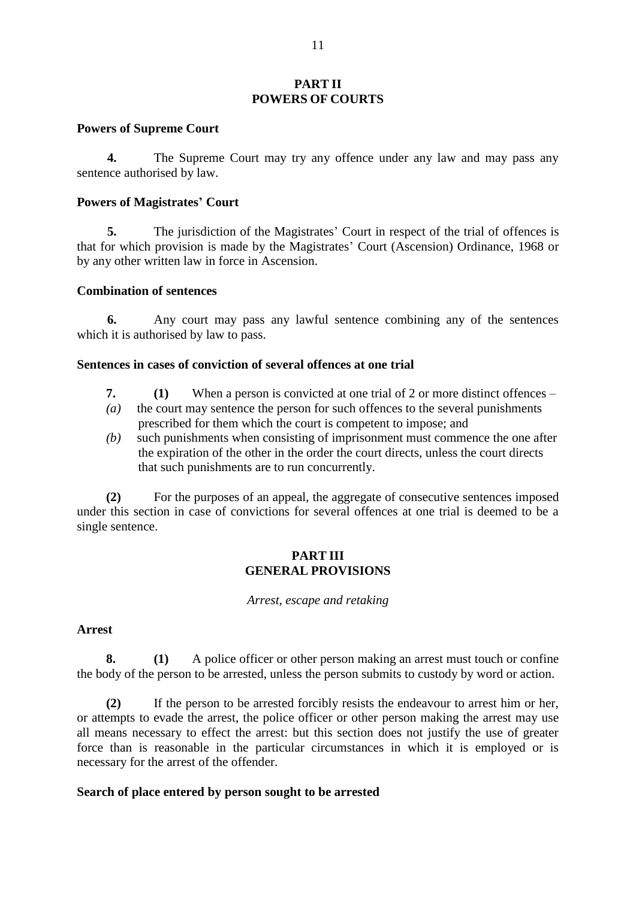### **PART II POWERS OF COURTS**

### **Powers of Supreme Court**

**4.** The Supreme Court may try any offence under any law and may pass any sentence authorised by law.

### **Powers of Magistrates' Court**

**5.** The jurisdiction of the Magistrates' Court in respect of the trial of offences is that for which provision is made by the Magistrates' Court (Ascension) Ordinance, 1968 or by any other written law in force in Ascension.

### **Combination of sentences**

**6.** Any court may pass any lawful sentence combining any of the sentences which it is authorised by law to pass.

### **Sentences in cases of conviction of several offences at one trial**

- **7. (1)** When a person is convicted at one trial of 2 or more distinct offences –
- *(a)* the court may sentence the person for such offences to the several punishments prescribed for them which the court is competent to impose; and
- *(b)* such punishments when consisting of imprisonment must commence the one after the expiration of the other in the order the court directs, unless the court directs that such punishments are to run concurrently.

**(2)** For the purposes of an appeal, the aggregate of consecutive sentences imposed under this section in case of convictions for several offences at one trial is deemed to be a single sentence.

# **PART III GENERAL PROVISIONS**

*Arrest, escape and retaking*

# **Arrest**

**8. (1)** A police officer or other person making an arrest must touch or confine the body of the person to be arrested, unless the person submits to custody by word or action.

**(2)** If the person to be arrested forcibly resists the endeavour to arrest him or her, or attempts to evade the arrest, the police officer or other person making the arrest may use all means necessary to effect the arrest: but this section does not justify the use of greater force than is reasonable in the particular circumstances in which it is employed or is necessary for the arrest of the offender.

# **Search of place entered by person sought to be arrested**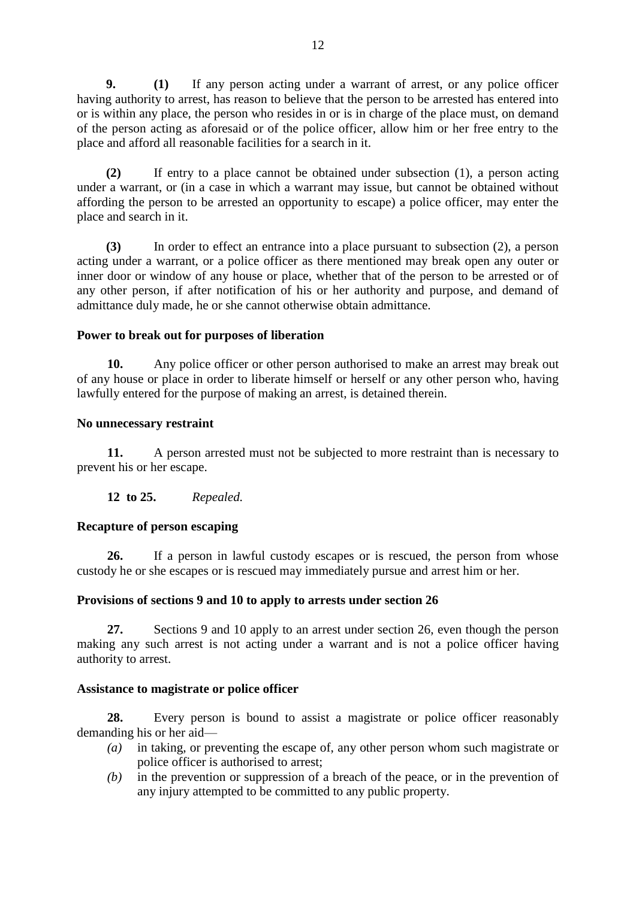**9. (1)** If any person acting under a warrant of arrest, or any police officer having authority to arrest, has reason to believe that the person to be arrested has entered into or is within any place, the person who resides in or is in charge of the place must, on demand of the person acting as aforesaid or of the police officer, allow him or her free entry to the place and afford all reasonable facilities for a search in it.

**(2)** If entry to a place cannot be obtained under subsection (1), a person acting under a warrant, or (in a case in which a warrant may issue, but cannot be obtained without affording the person to be arrested an opportunity to escape) a police officer, may enter the place and search in it.

**(3)** In order to effect an entrance into a place pursuant to subsection (2), a person acting under a warrant, or a police officer as there mentioned may break open any outer or inner door or window of any house or place, whether that of the person to be arrested or of any other person, if after notification of his or her authority and purpose, and demand of admittance duly made, he or she cannot otherwise obtain admittance.

# **Power to break out for purposes of liberation**

**10.** Any police officer or other person authorised to make an arrest may break out of any house or place in order to liberate himself or herself or any other person who, having lawfully entered for the purpose of making an arrest, is detained therein.

### **No unnecessary restraint**

**11.** A person arrested must not be subjected to more restraint than is necessary to prevent his or her escape.

**12 to 25.** *Repealed.* 

# **Recapture of person escaping**

**26.** If a person in lawful custody escapes or is rescued, the person from whose custody he or she escapes or is rescued may immediately pursue and arrest him or her.

# **Provisions of sections 9 and 10 to apply to arrests under section 26**

**27.** Sections 9 and 10 apply to an arrest under section 26, even though the person making any such arrest is not acting under a warrant and is not a police officer having authority to arrest.

# **Assistance to magistrate or police officer**

**28.** Every person is bound to assist a magistrate or police officer reasonably demanding his or her aid—

- *(a)* in taking, or preventing the escape of, any other person whom such magistrate or police officer is authorised to arrest;
- *(b)* in the prevention or suppression of a breach of the peace, or in the prevention of any injury attempted to be committed to any public property.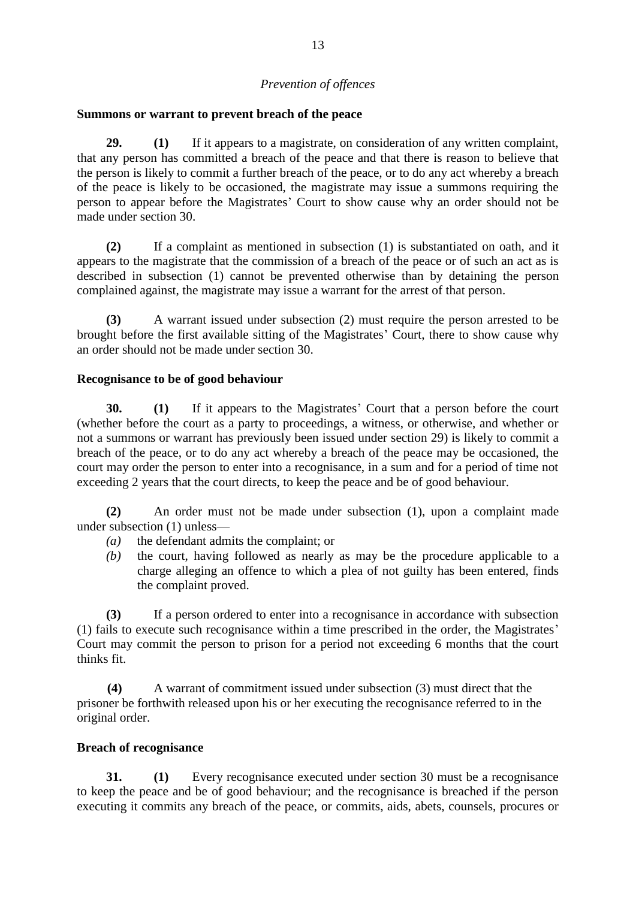# *Prevention of offences*

### **Summons or warrant to prevent breach of the peace**

**29. (1)** If it appears to a magistrate, on consideration of any written complaint, that any person has committed a breach of the peace and that there is reason to believe that the person is likely to commit a further breach of the peace, or to do any act whereby a breach of the peace is likely to be occasioned, the magistrate may issue a summons requiring the person to appear before the Magistrates' Court to show cause why an order should not be made under section 30.

**(2)** If a complaint as mentioned in subsection (1) is substantiated on oath, and it appears to the magistrate that the commission of a breach of the peace or of such an act as is described in subsection (1) cannot be prevented otherwise than by detaining the person complained against, the magistrate may issue a warrant for the arrest of that person.

**(3)** A warrant issued under subsection (2) must require the person arrested to be brought before the first available sitting of the Magistrates' Court, there to show cause why an order should not be made under section 30.

### **Recognisance to be of good behaviour**

**30. (1)** If it appears to the Magistrates' Court that a person before the court (whether before the court as a party to proceedings, a witness, or otherwise, and whether or not a summons or warrant has previously been issued under section 29) is likely to commit a breach of the peace, or to do any act whereby a breach of the peace may be occasioned, the court may order the person to enter into a recognisance, in a sum and for a period of time not exceeding 2 years that the court directs, to keep the peace and be of good behaviour.

**(2)** An order must not be made under subsection (1), upon a complaint made under subsection (1) unless—

- *(a)* the defendant admits the complaint; or
- *(b)* the court, having followed as nearly as may be the procedure applicable to a charge alleging an offence to which a plea of not guilty has been entered, finds the complaint proved.

**(3)** If a person ordered to enter into a recognisance in accordance with subsection (1) fails to execute such recognisance within a time prescribed in the order, the Magistrates' Court may commit the person to prison for a period not exceeding 6 months that the court thinks fit.

**(4)** A warrant of commitment issued under subsection (3) must direct that the prisoner be forthwith released upon his or her executing the recognisance referred to in the original order.

### **Breach of recognisance**

**31. (1)** Every recognisance executed under section 30 must be a recognisance to keep the peace and be of good behaviour; and the recognisance is breached if the person executing it commits any breach of the peace, or commits, aids, abets, counsels, procures or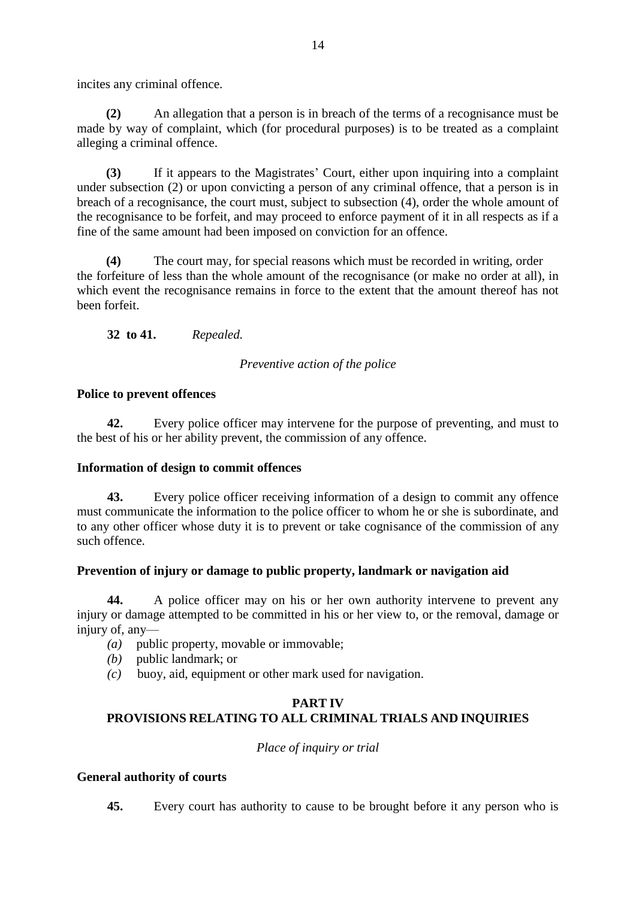incites any criminal offence.

**(2)** An allegation that a person is in breach of the terms of a recognisance must be made by way of complaint, which (for procedural purposes) is to be treated as a complaint alleging a criminal offence.

**(3)** If it appears to the Magistrates' Court, either upon inquiring into a complaint under subsection (2) or upon convicting a person of any criminal offence, that a person is in breach of a recognisance, the court must, subject to subsection (4), order the whole amount of the recognisance to be forfeit, and may proceed to enforce payment of it in all respects as if a fine of the same amount had been imposed on conviction for an offence.

**(4)** The court may, for special reasons which must be recorded in writing, order the forfeiture of less than the whole amount of the recognisance (or make no order at all), in which event the recognisance remains in force to the extent that the amount thereof has not been forfeit.

**32 to 41.** *Repealed.*

# *Preventive action of the police*

# **Police to prevent offences**

**42.** Every police officer may intervene for the purpose of preventing, and must to the best of his or her ability prevent, the commission of any offence.

# **Information of design to commit offences**

**43.** Every police officer receiving information of a design to commit any offence must communicate the information to the police officer to whom he or she is subordinate, and to any other officer whose duty it is to prevent or take cognisance of the commission of any such offence.

# **Prevention of injury or damage to public property, landmark or navigation aid**

**44.** A police officer may on his or her own authority intervene to prevent any injury or damage attempted to be committed in his or her view to, or the removal, damage or injury of, any—

- *(a)* public property, movable or immovable;
- *(b)* public landmark; or
- *(c)* buoy, aid, equipment or other mark used for navigation.

# **PART IV PROVISIONS RELATING TO ALL CRIMINAL TRIALS AND INQUIRIES**

*Place of inquiry or trial*

# **General authority of courts**

**45.** Every court has authority to cause to be brought before it any person who is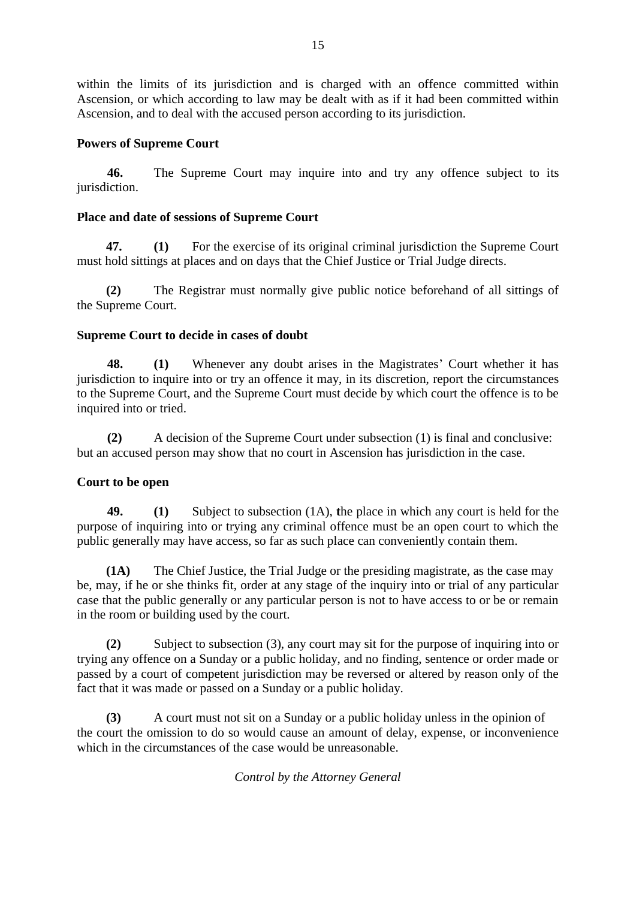within the limits of its jurisdiction and is charged with an offence committed within Ascension, or which according to law may be dealt with as if it had been committed within Ascension, and to deal with the accused person according to its jurisdiction.

# **Powers of Supreme Court**

**46.** The Supreme Court may inquire into and try any offence subject to its jurisdiction.

# **Place and date of sessions of Supreme Court**

**47. (1)** For the exercise of its original criminal jurisdiction the Supreme Court must hold sittings at places and on days that the Chief Justice or Trial Judge directs.

**(2)** The Registrar must normally give public notice beforehand of all sittings of the Supreme Court.

# **Supreme Court to decide in cases of doubt**

**48. (1)** Whenever any doubt arises in the Magistrates' Court whether it has jurisdiction to inquire into or try an offence it may, in its discretion, report the circumstances to the Supreme Court, and the Supreme Court must decide by which court the offence is to be inquired into or tried.

**(2)** A decision of the Supreme Court under subsection (1) is final and conclusive: but an accused person may show that no court in Ascension has jurisdiction in the case.

# **Court to be open**

**49. (1)** Subject to subsection (1A), **t**he place in which any court is held for the purpose of inquiring into or trying any criminal offence must be an open court to which the public generally may have access, so far as such place can conveniently contain them.

**(1A)** The Chief Justice, the Trial Judge or the presiding magistrate, as the case may be, may, if he or she thinks fit, order at any stage of the inquiry into or trial of any particular case that the public generally or any particular person is not to have access to or be or remain in the room or building used by the court.

**(2)** Subject to subsection (3), any court may sit for the purpose of inquiring into or trying any offence on a Sunday or a public holiday, and no finding, sentence or order made or passed by a court of competent jurisdiction may be reversed or altered by reason only of the fact that it was made or passed on a Sunday or a public holiday.

**(3)** A court must not sit on a Sunday or a public holiday unless in the opinion of the court the omission to do so would cause an amount of delay, expense, or inconvenience which in the circumstances of the case would be unreasonable.

*Control by the Attorney General*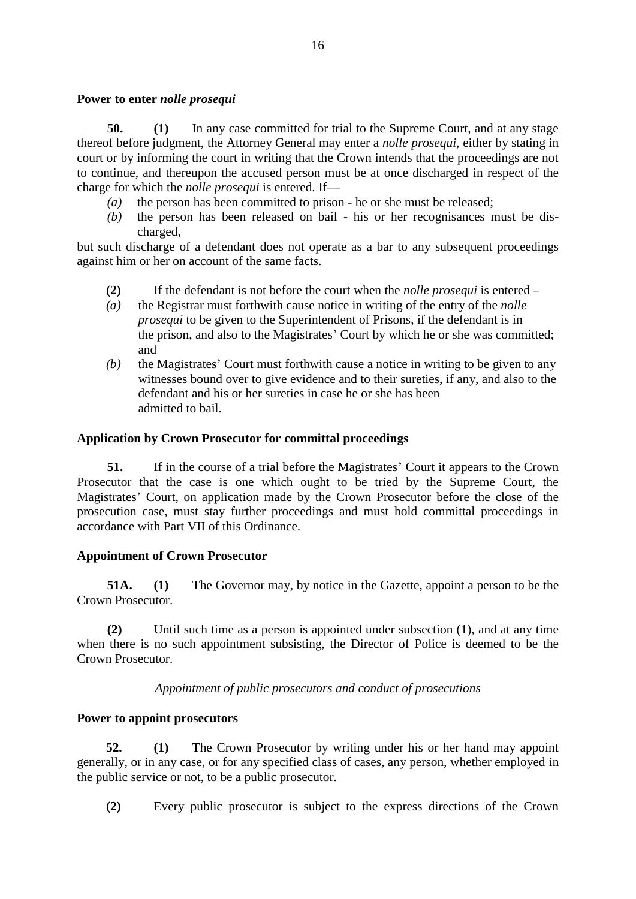# **Power to enter** *nolle prosequi*

**50. (1)** In any case committed for trial to the Supreme Court, and at any stage thereof before judgment, the Attorney General may enter a *nolle prosequi*, either by stating in court or by informing the court in writing that the Crown intends that the proceedings are not to continue, and thereupon the accused person must be at once discharged in respect of the charge for which the *nolle prosequi* is entered. If—

- *(a)* the person has been committed to prison he or she must be released;
- *(b)* the person has been released on bail his or her recognisances must be discharged,

but such discharge of a defendant does not operate as a bar to any subsequent proceedings against him or her on account of the same facts.

- **(2)** If the defendant is not before the court when the *nolle prosequi* is entered –
- *(a)* the Registrar must forthwith cause notice in writing of the entry of the *nolle prosequi* to be given to the Superintendent of Prisons, if the defendant is in the prison, and also to the Magistrates' Court by which he or she was committed; and
- *(b)* the Magistrates' Court must forthwith cause a notice in writing to be given to any witnesses bound over to give evidence and to their sureties, if any, and also to the defendant and his or her sureties in case he or she has been admitted to bail.

### **Application by Crown Prosecutor for committal proceedings**

**51.** If in the course of a trial before the Magistrates' Court it appears to the Crown Prosecutor that the case is one which ought to be tried by the Supreme Court, the Magistrates' Court, on application made by the Crown Prosecutor before the close of the prosecution case, must stay further proceedings and must hold committal proceedings in accordance with Part VII of this Ordinance.

# **Appointment of Crown Prosecutor**

**51A. (1)** The Governor may, by notice in the Gazette, appoint a person to be the Crown Prosecutor.

**(2)** Until such time as a person is appointed under subsection (1), and at any time when there is no such appointment subsisting, the Director of Police is deemed to be the Crown Prosecutor.

*Appointment of public prosecutors and conduct of prosecutions*

### **Power to appoint prosecutors**

**52. (1)** The Crown Prosecutor by writing under his or her hand may appoint generally, or in any case, or for any specified class of cases, any person, whether employed in the public service or not, to be a public prosecutor.

**(2)** Every public prosecutor is subject to the express directions of the Crown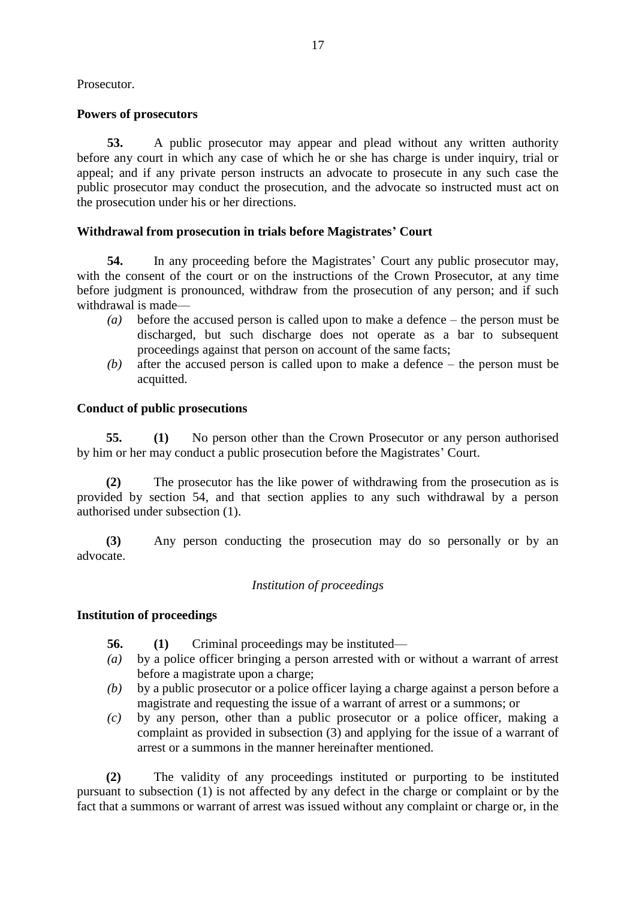Prosecutor.

# **Powers of prosecutors**

**53.** A public prosecutor may appear and plead without any written authority before any court in which any case of which he or she has charge is under inquiry, trial or appeal; and if any private person instructs an advocate to prosecute in any such case the public prosecutor may conduct the prosecution, and the advocate so instructed must act on the prosecution under his or her directions.

# **Withdrawal from prosecution in trials before Magistrates' Court**

**54.** In any proceeding before the Magistrates' Court any public prosecutor may, with the consent of the court or on the instructions of the Crown Prosecutor, at any time before judgment is pronounced, withdraw from the prosecution of any person; and if such withdrawal is made—

- *(a)* before the accused person is called upon to make a defence the person must be discharged, but such discharge does not operate as a bar to subsequent proceedings against that person on account of the same facts;
- *(b)* after the accused person is called upon to make a defence the person must be acquitted.

# **Conduct of public prosecutions**

**55. (1)** No person other than the Crown Prosecutor or any person authorised by him or her may conduct a public prosecution before the Magistrates' Court.

**(2)** The prosecutor has the like power of withdrawing from the prosecution as is provided by section 54, and that section applies to any such withdrawal by a person authorised under subsection (1).

**(3)** Any person conducting the prosecution may do so personally or by an advocate.

# *Institution of proceedings*

# **Institution of proceedings**

**56. (1)** Criminal proceedings may be instituted—

- *(a)* by a police officer bringing a person arrested with or without a warrant of arrest before a magistrate upon a charge;
- *(b)* by a public prosecutor or a police officer laying a charge against a person before a magistrate and requesting the issue of a warrant of arrest or a summons; or
- *(c)* by any person, other than a public prosecutor or a police officer, making a complaint as provided in subsection (3) and applying for the issue of a warrant of arrest or a summons in the manner hereinafter mentioned.

**(2)** The validity of any proceedings instituted or purporting to be instituted pursuant to subsection (1) is not affected by any defect in the charge or complaint or by the fact that a summons or warrant of arrest was issued without any complaint or charge or, in the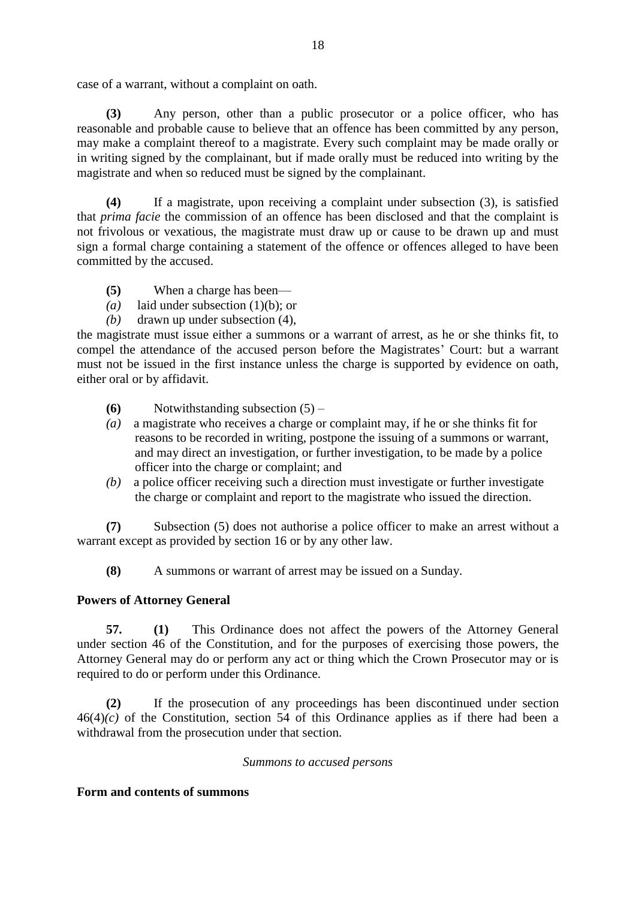case of a warrant, without a complaint on oath.

**(3)** Any person, other than a public prosecutor or a police officer, who has reasonable and probable cause to believe that an offence has been committed by any person, may make a complaint thereof to a magistrate. Every such complaint may be made orally or in writing signed by the complainant, but if made orally must be reduced into writing by the magistrate and when so reduced must be signed by the complainant.

**(4)** If a magistrate, upon receiving a complaint under subsection (3), is satisfied that *prima facie* the commission of an offence has been disclosed and that the complaint is not frivolous or vexatious, the magistrate must draw up or cause to be drawn up and must sign a formal charge containing a statement of the offence or offences alleged to have been committed by the accused.

- **(5)** When a charge has been—
- *(a)* laid under subsection (1)(b); or
- *(b)* drawn up under subsection (4),

the magistrate must issue either a summons or a warrant of arrest, as he or she thinks fit, to compel the attendance of the accused person before the Magistrates' Court: but a warrant must not be issued in the first instance unless the charge is supported by evidence on oath, either oral or by affidavit.

- **(6)** Notwithstanding subsection (5) –
- *(a)* a magistrate who receives a charge or complaint may, if he or she thinks fit for reasons to be recorded in writing, postpone the issuing of a summons or warrant, and may direct an investigation, or further investigation, to be made by a police officer into the charge or complaint; and
- *(b)* a police officer receiving such a direction must investigate or further investigate the charge or complaint and report to the magistrate who issued the direction.

**(7)** Subsection (5) does not authorise a police officer to make an arrest without a warrant except as provided by section 16 or by any other law.

**(8)** A summons or warrant of arrest may be issued on a Sunday.

# **Powers of Attorney General**

**57. (1)** This Ordinance does not affect the powers of the Attorney General under section 46 of the Constitution, and for the purposes of exercising those powers, the Attorney General may do or perform any act or thing which the Crown Prosecutor may or is required to do or perform under this Ordinance.

**(2)** If the prosecution of any proceedings has been discontinued under section  $46(4)(c)$  of the Constitution, section 54 of this Ordinance applies as if there had been a withdrawal from the prosecution under that section.

*Summons to accused persons*

# **Form and contents of summons**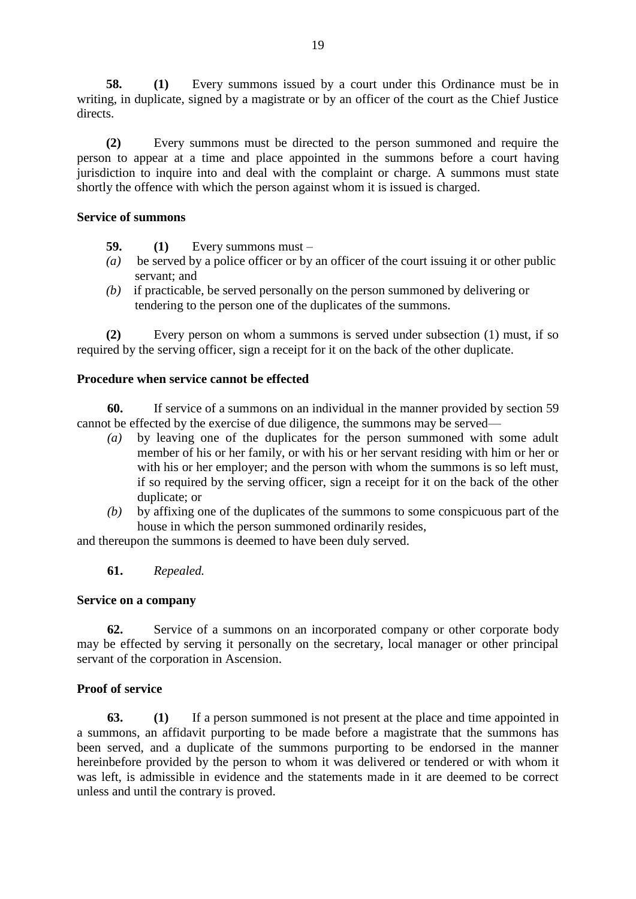**58. (1)** Every summons issued by a court under this Ordinance must be in writing, in duplicate, signed by a magistrate or by an officer of the court as the Chief Justice directs.

**(2)** Every summons must be directed to the person summoned and require the person to appear at a time and place appointed in the summons before a court having jurisdiction to inquire into and deal with the complaint or charge. A summons must state shortly the offence with which the person against whom it is issued is charged.

# **Service of summons**

- **59. (1)** Every summons must –
- *(a)* be served by a police officer or by an officer of the court issuing it or other public servant; and
- *(b)* if practicable, be served personally on the person summoned by delivering or tendering to the person one of the duplicates of the summons.

**(2)** Every person on whom a summons is served under subsection (1) must, if so required by the serving officer, sign a receipt for it on the back of the other duplicate.

# **Procedure when service cannot be effected**

**60.** If service of a summons on an individual in the manner provided by section 59 cannot be effected by the exercise of due diligence, the summons may be served—

- *(a)* by leaving one of the duplicates for the person summoned with some adult member of his or her family, or with his or her servant residing with him or her or with his or her employer; and the person with whom the summons is so left must, if so required by the serving officer, sign a receipt for it on the back of the other duplicate; or
- *(b)* by affixing one of the duplicates of the summons to some conspicuous part of the house in which the person summoned ordinarily resides,

and thereupon the summons is deemed to have been duly served.

# **61.** *Repealed.*

# **Service on a company**

**62.** Service of a summons on an incorporated company or other corporate body may be effected by serving it personally on the secretary, local manager or other principal servant of the corporation in Ascension.

# **Proof of service**

**63. (1)** If a person summoned is not present at the place and time appointed in a summons, an affidavit purporting to be made before a magistrate that the summons has been served, and a duplicate of the summons purporting to be endorsed in the manner hereinbefore provided by the person to whom it was delivered or tendered or with whom it was left, is admissible in evidence and the statements made in it are deemed to be correct unless and until the contrary is proved.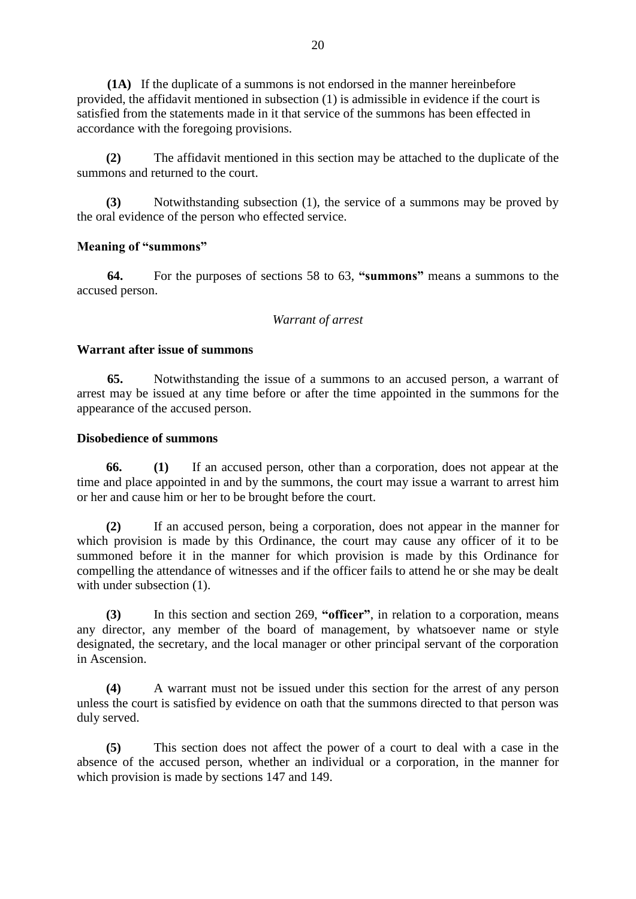**(1A)** If the duplicate of a summons is not endorsed in the manner hereinbefore provided, the affidavit mentioned in subsection (1) is admissible in evidence if the court is satisfied from the statements made in it that service of the summons has been effected in accordance with the foregoing provisions.

**(2)** The affidavit mentioned in this section may be attached to the duplicate of the summons and returned to the court.

**(3)** Notwithstanding subsection (1), the service of a summons may be proved by the oral evidence of the person who effected service.

### **Meaning of "summons"**

**64.** For the purposes of sections 58 to 63, **"summons"** means a summons to the accused person.

### *Warrant of arrest*

### **Warrant after issue of summons**

**65.** Notwithstanding the issue of a summons to an accused person, a warrant of arrest may be issued at any time before or after the time appointed in the summons for the appearance of the accused person.

### **Disobedience of summons**

**66. (1)** If an accused person, other than a corporation, does not appear at the time and place appointed in and by the summons, the court may issue a warrant to arrest him or her and cause him or her to be brought before the court.

**(2)** If an accused person, being a corporation, does not appear in the manner for which provision is made by this Ordinance, the court may cause any officer of it to be summoned before it in the manner for which provision is made by this Ordinance for compelling the attendance of witnesses and if the officer fails to attend he or she may be dealt with under subsection  $(1)$ .

**(3)** In this section and section 269, **"officer"**, in relation to a corporation, means any director, any member of the board of management, by whatsoever name or style designated, the secretary, and the local manager or other principal servant of the corporation in Ascension.

**(4)** A warrant must not be issued under this section for the arrest of any person unless the court is satisfied by evidence on oath that the summons directed to that person was duly served.

**(5)** This section does not affect the power of a court to deal with a case in the absence of the accused person, whether an individual or a corporation, in the manner for which provision is made by sections 147 and 149.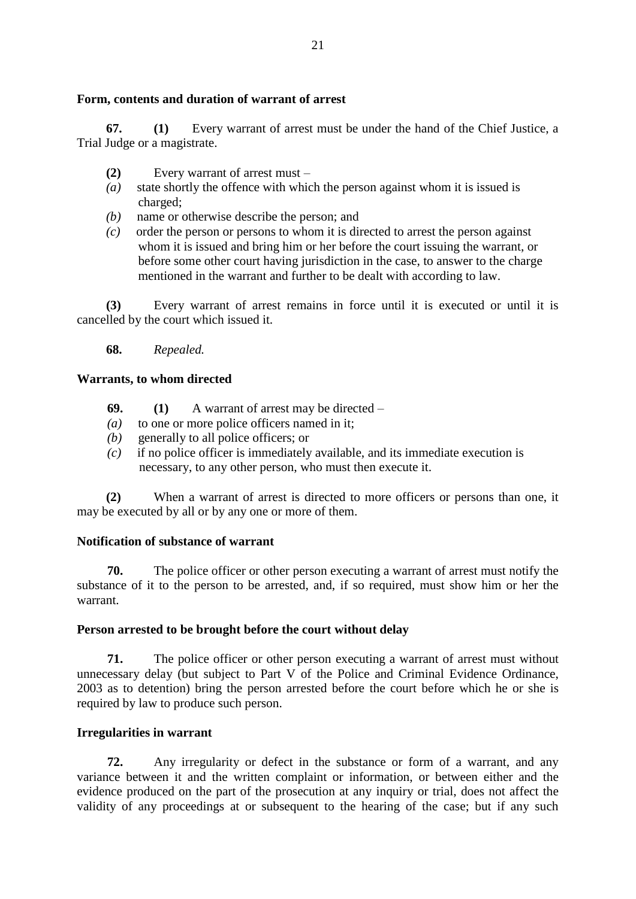# **Form, contents and duration of warrant of arrest**

**67. (1)** Every warrant of arrest must be under the hand of the Chief Justice, a Trial Judge or a magistrate.

- **(2)** Every warrant of arrest must –
- *(a)* state shortly the offence with which the person against whom it is issued is charged;
- *(b)* name or otherwise describe the person; and
- *(c)* order the person or persons to whom it is directed to arrest the person against whom it is issued and bring him or her before the court issuing the warrant, or before some other court having jurisdiction in the case, to answer to the charge mentioned in the warrant and further to be dealt with according to law.

**(3)** Every warrant of arrest remains in force until it is executed or until it is cancelled by the court which issued it.

**68.** *Repealed.*

### **Warrants, to whom directed**

- **69. (1)** A warrant of arrest may be directed –
- *(a)* to one or more police officers named in it;
- *(b)* generally to all police officers; or
- *(c)* if no police officer is immediately available, and its immediate execution is necessary, to any other person, who must then execute it.

**(2)** When a warrant of arrest is directed to more officers or persons than one, it may be executed by all or by any one or more of them.

### **Notification of substance of warrant**

**70.** The police officer or other person executing a warrant of arrest must notify the substance of it to the person to be arrested, and, if so required, must show him or her the warrant.

### **Person arrested to be brought before the court without delay**

**71.** The police officer or other person executing a warrant of arrest must without unnecessary delay (but subject to Part V of the Police and Criminal Evidence Ordinance, 2003 as to detention) bring the person arrested before the court before which he or she is required by law to produce such person.

### **Irregularities in warrant**

**72.** Any irregularity or defect in the substance or form of a warrant, and any variance between it and the written complaint or information, or between either and the evidence produced on the part of the prosecution at any inquiry or trial, does not affect the validity of any proceedings at or subsequent to the hearing of the case; but if any such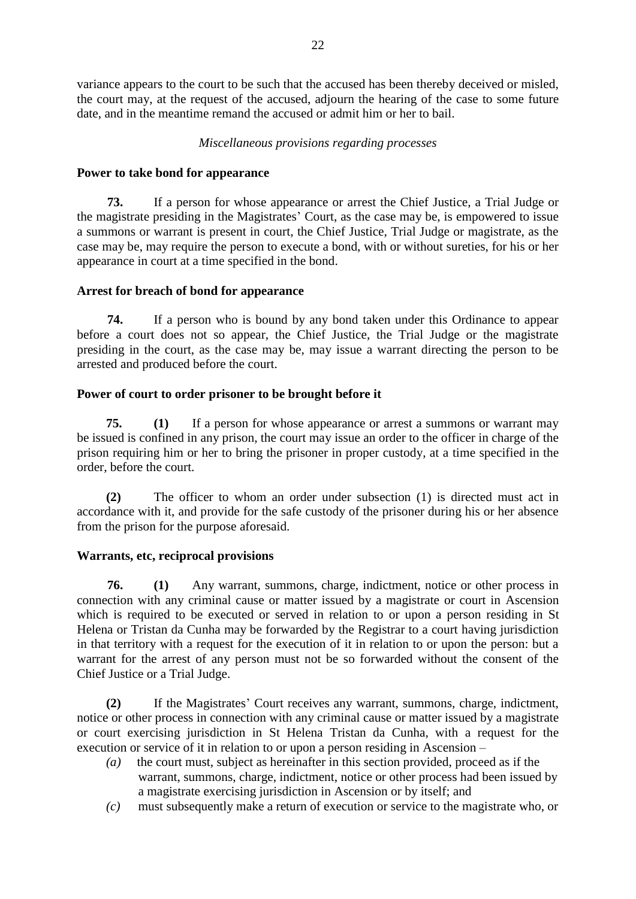variance appears to the court to be such that the accused has been thereby deceived or misled, the court may, at the request of the accused, adjourn the hearing of the case to some future date, and in the meantime remand the accused or admit him or her to bail.

# *Miscellaneous provisions regarding processes*

# **Power to take bond for appearance**

**73.** If a person for whose appearance or arrest the Chief Justice, a Trial Judge or the magistrate presiding in the Magistrates' Court, as the case may be, is empowered to issue a summons or warrant is present in court, the Chief Justice, Trial Judge or magistrate, as the case may be, may require the person to execute a bond, with or without sureties, for his or her appearance in court at a time specified in the bond.

# **Arrest for breach of bond for appearance**

**74.** If a person who is bound by any bond taken under this Ordinance to appear before a court does not so appear, the Chief Justice, the Trial Judge or the magistrate presiding in the court, as the case may be, may issue a warrant directing the person to be arrested and produced before the court.

# **Power of court to order prisoner to be brought before it**

**75. (1)** If a person for whose appearance or arrest a summons or warrant may be issued is confined in any prison, the court may issue an order to the officer in charge of the prison requiring him or her to bring the prisoner in proper custody, at a time specified in the order, before the court.

**(2)** The officer to whom an order under subsection (1) is directed must act in accordance with it, and provide for the safe custody of the prisoner during his or her absence from the prison for the purpose aforesaid.

# **Warrants, etc, reciprocal provisions**

**76. (1)** Any warrant, summons, charge, indictment, notice or other process in connection with any criminal cause or matter issued by a magistrate or court in Ascension which is required to be executed or served in relation to or upon a person residing in St Helena or Tristan da Cunha may be forwarded by the Registrar to a court having jurisdiction in that territory with a request for the execution of it in relation to or upon the person: but a warrant for the arrest of any person must not be so forwarded without the consent of the Chief Justice or a Trial Judge.

**(2)** If the Magistrates' Court receives any warrant, summons, charge, indictment, notice or other process in connection with any criminal cause or matter issued by a magistrate or court exercising jurisdiction in St Helena Tristan da Cunha, with a request for the execution or service of it in relation to or upon a person residing in Ascension –

- *(a)* the court must, subject as hereinafter in this section provided, proceed as if the warrant, summons, charge, indictment, notice or other process had been issued by a magistrate exercising jurisdiction in Ascension or by itself; and
- *(c)* must subsequently make a return of execution or service to the magistrate who, or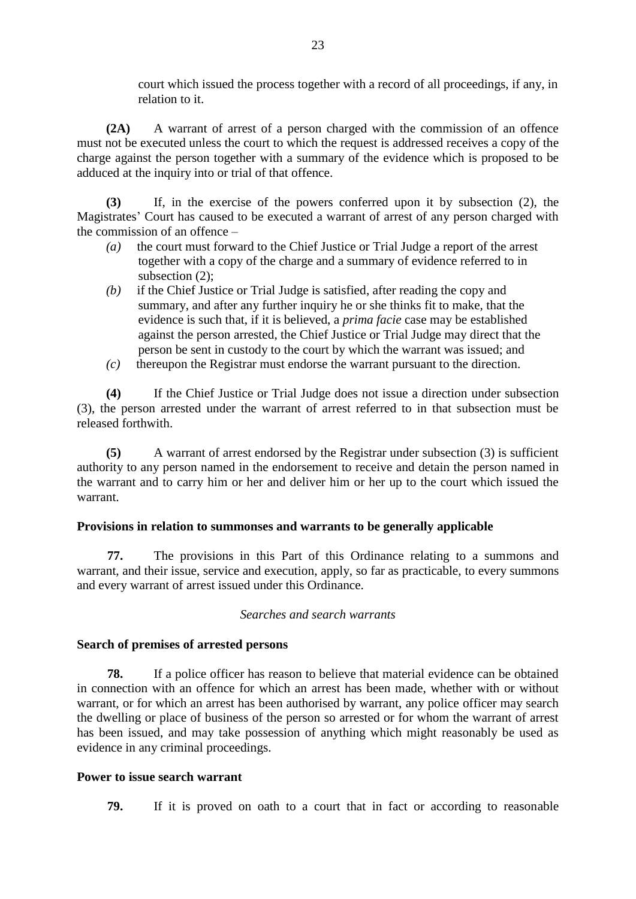court which issued the process together with a record of all proceedings, if any, in relation to it.

**(2A)** A warrant of arrest of a person charged with the commission of an offence must not be executed unless the court to which the request is addressed receives a copy of the charge against the person together with a summary of the evidence which is proposed to be adduced at the inquiry into or trial of that offence.

**(3)** If, in the exercise of the powers conferred upon it by subsection (2), the Magistrates' Court has caused to be executed a warrant of arrest of any person charged with the commission of an offence –

- *(a)* the court must forward to the Chief Justice or Trial Judge a report of the arrest together with a copy of the charge and a summary of evidence referred to in subsection (2);
- *(b)* if the Chief Justice or Trial Judge is satisfied, after reading the copy and summary, and after any further inquiry he or she thinks fit to make, that the evidence is such that, if it is believed, a *prima facie* case may be established against the person arrested, the Chief Justice or Trial Judge may direct that the person be sent in custody to the court by which the warrant was issued; and
- *(c)* thereupon the Registrar must endorse the warrant pursuant to the direction.

**(4)** If the Chief Justice or Trial Judge does not issue a direction under subsection (3), the person arrested under the warrant of arrest referred to in that subsection must be released forthwith.

**(5)** A warrant of arrest endorsed by the Registrar under subsection (3) is sufficient authority to any person named in the endorsement to receive and detain the person named in the warrant and to carry him or her and deliver him or her up to the court which issued the warrant.

# **Provisions in relation to summonses and warrants to be generally applicable**

**77.** The provisions in this Part of this Ordinance relating to a summons and warrant, and their issue, service and execution, apply, so far as practicable, to every summons and every warrant of arrest issued under this Ordinance.

# *Searches and search warrants*

# **Search of premises of arrested persons**

**78.** If a police officer has reason to believe that material evidence can be obtained in connection with an offence for which an arrest has been made, whether with or without warrant, or for which an arrest has been authorised by warrant, any police officer may search the dwelling or place of business of the person so arrested or for whom the warrant of arrest has been issued, and may take possession of anything which might reasonably be used as evidence in any criminal proceedings.

# **Power to issue search warrant**

**79.** If it is proved on oath to a court that in fact or according to reasonable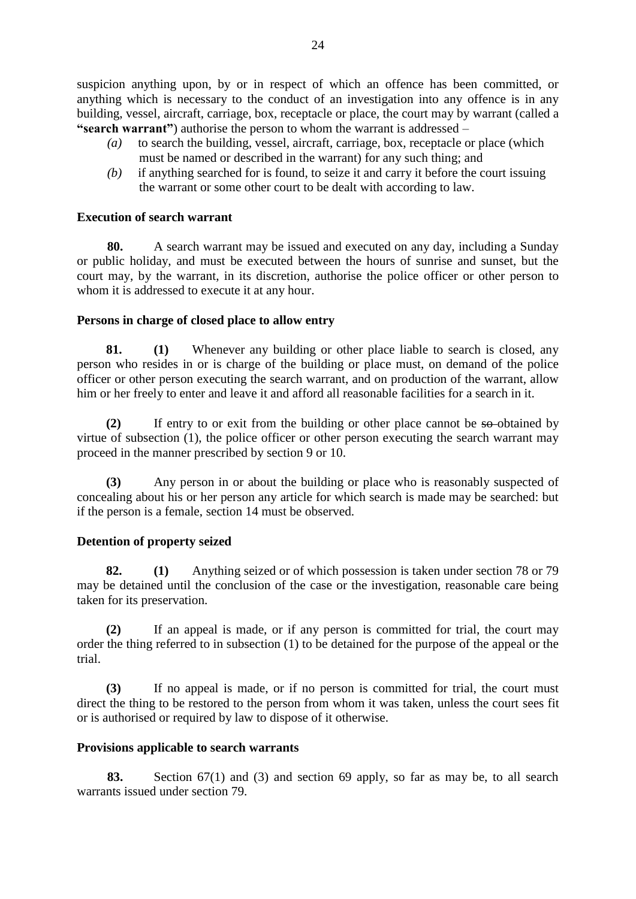suspicion anything upon, by or in respect of which an offence has been committed, or anything which is necessary to the conduct of an investigation into any offence is in any building, vessel, aircraft, carriage, box, receptacle or place, the court may by warrant (called a **"search warrant"**) authorise the person to whom the warrant is addressed –

- *(a)* to search the building, vessel, aircraft, carriage, box, receptacle or place (which must be named or described in the warrant) for any such thing; and
- *(b)* if anything searched for is found, to seize it and carry it before the court issuing the warrant or some other court to be dealt with according to law.

# **Execution of search warrant**

**80.** A search warrant may be issued and executed on any day, including a Sunday or public holiday, and must be executed between the hours of sunrise and sunset, but the court may, by the warrant, in its discretion, authorise the police officer or other person to whom it is addressed to execute it at any hour.

# **Persons in charge of closed place to allow entry**

**81. (1)** Whenever any building or other place liable to search is closed, any person who resides in or is charge of the building or place must, on demand of the police officer or other person executing the search warrant, and on production of the warrant, allow him or her freely to enter and leave it and afford all reasonable facilities for a search in it.

**(2)** If entry to or exit from the building or other place cannot be so obtained by virtue of subsection (1), the police officer or other person executing the search warrant may proceed in the manner prescribed by section 9 or 10.

**(3)** Any person in or about the building or place who is reasonably suspected of concealing about his or her person any article for which search is made may be searched: but if the person is a female, section 14 must be observed.

# **Detention of property seized**

**82. (1)** Anything seized or of which possession is taken under section 78 or 79 may be detained until the conclusion of the case or the investigation, reasonable care being taken for its preservation.

**(2)** If an appeal is made, or if any person is committed for trial, the court may order the thing referred to in subsection (1) to be detained for the purpose of the appeal or the trial.

**(3)** If no appeal is made, or if no person is committed for trial, the court must direct the thing to be restored to the person from whom it was taken, unless the court sees fit or is authorised or required by law to dispose of it otherwise.

# **Provisions applicable to search warrants**

**83.** Section 67(1) and (3) and section 69 apply, so far as may be, to all search warrants issued under section 79.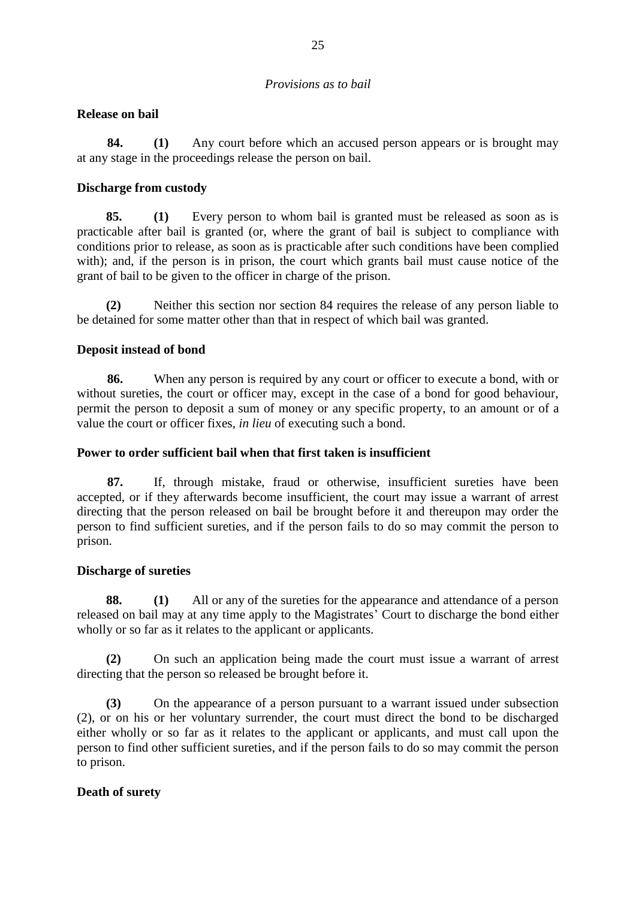# *Provisions as to bail*

# **Release on bail**

**84. (1)** Any court before which an accused person appears or is brought may at any stage in the proceedings release the person on bail.

# **Discharge from custody**

**85. (1)** Every person to whom bail is granted must be released as soon as is practicable after bail is granted (or, where the grant of bail is subject to compliance with conditions prior to release, as soon as is practicable after such conditions have been complied with); and, if the person is in prison, the court which grants bail must cause notice of the grant of bail to be given to the officer in charge of the prison.

**(2)** Neither this section nor section 84 requires the release of any person liable to be detained for some matter other than that in respect of which bail was granted.

# **Deposit instead of bond**

**86.** When any person is required by any court or officer to execute a bond, with or without sureties, the court or officer may, except in the case of a bond for good behaviour, permit the person to deposit a sum of money or any specific property, to an amount or of a value the court or officer fixes, *in lieu* of executing such a bond.

# **Power to order sufficient bail when that first taken is insufficient**

**87.** If, through mistake, fraud or otherwise, insufficient sureties have been accepted, or if they afterwards become insufficient, the court may issue a warrant of arrest directing that the person released on bail be brought before it and thereupon may order the person to find sufficient sureties, and if the person fails to do so may commit the person to prison.

# **Discharge of sureties**

**88. (1)** All or any of the sureties for the appearance and attendance of a person released on bail may at any time apply to the Magistrates' Court to discharge the bond either wholly or so far as it relates to the applicant or applicants.

**(2)** On such an application being made the court must issue a warrant of arrest directing that the person so released be brought before it.

**(3)** On the appearance of a person pursuant to a warrant issued under subsection (2), or on his or her voluntary surrender, the court must direct the bond to be discharged either wholly or so far as it relates to the applicant or applicants, and must call upon the person to find other sufficient sureties, and if the person fails to do so may commit the person to prison.

# **Death of surety**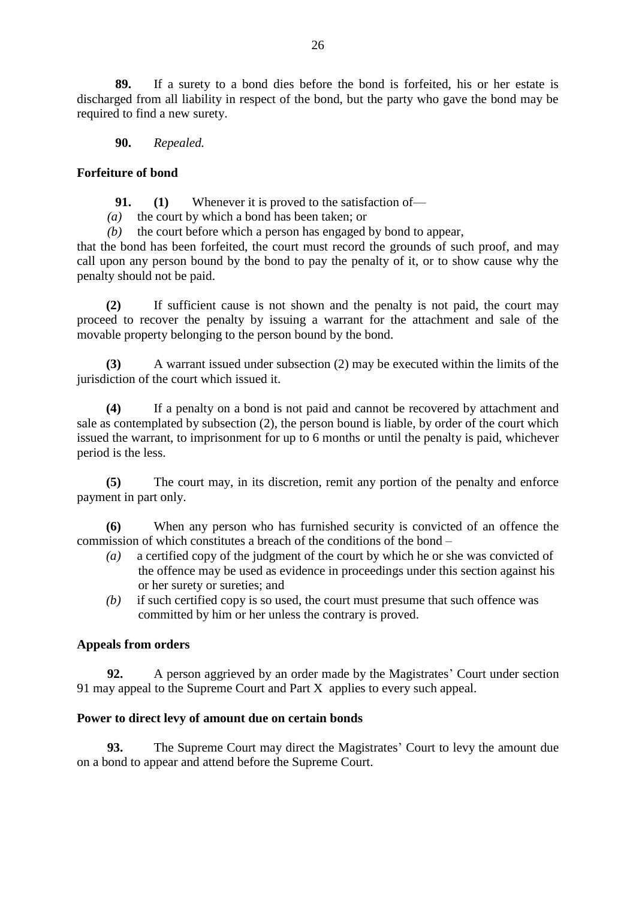**89.** If a surety to a bond dies before the bond is forfeited, his or her estate is discharged from all liability in respect of the bond, but the party who gave the bond may be required to find a new surety.

**90.** *Repealed.*

# **Forfeiture of bond**

**91. (1)** Whenever it is proved to the satisfaction of—

*(a)* the court by which a bond has been taken; or

*(b)* the court before which a person has engaged by bond to appear,

that the bond has been forfeited, the court must record the grounds of such proof, and may call upon any person bound by the bond to pay the penalty of it, or to show cause why the penalty should not be paid.

**(2)** If sufficient cause is not shown and the penalty is not paid, the court may proceed to recover the penalty by issuing a warrant for the attachment and sale of the movable property belonging to the person bound by the bond.

**(3)** A warrant issued under subsection (2) may be executed within the limits of the jurisdiction of the court which issued it.

**(4)** If a penalty on a bond is not paid and cannot be recovered by attachment and sale as contemplated by subsection (2), the person bound is liable, by order of the court which issued the warrant, to imprisonment for up to 6 months or until the penalty is paid, whichever period is the less.

**(5)** The court may, in its discretion, remit any portion of the penalty and enforce payment in part only.

**(6)** When any person who has furnished security is convicted of an offence the commission of which constitutes a breach of the conditions of the bond –

- *(a)* a certified copy of the judgment of the court by which he or she was convicted of the offence may be used as evidence in proceedings under this section against his or her surety or sureties; and
- *(b)* if such certified copy is so used, the court must presume that such offence was committed by him or her unless the contrary is proved.

# **Appeals from orders**

**92.** A person aggrieved by an order made by the Magistrates' Court under section 91 may appeal to the Supreme Court and Part X applies to every such appeal.

# **Power to direct levy of amount due on certain bonds**

**93.** The Supreme Court may direct the Magistrates' Court to levy the amount due on a bond to appear and attend before the Supreme Court.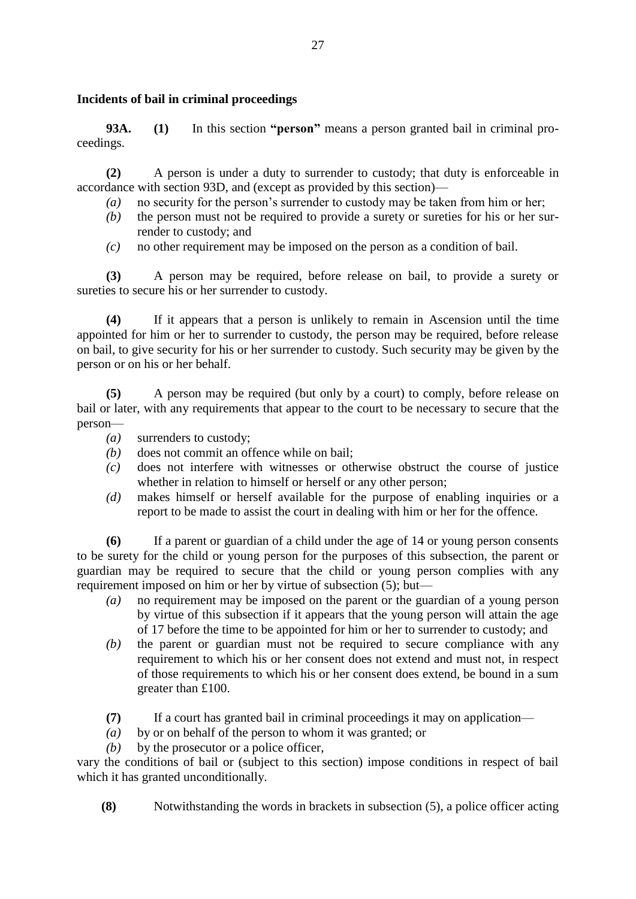# **Incidents of bail in criminal proceedings**

**93A. (1)** In this section **"person"** means a person granted bail in criminal proceedings.

**(2)** A person is under a duty to surrender to custody; that duty is enforceable in accordance with section 93D, and (except as provided by this section)—

- *(a)* no security for the person's surrender to custody may be taken from him or her;
- *(b)* the person must not be required to provide a surety or sureties for his or her surrender to custody; and
- *(c)* no other requirement may be imposed on the person as a condition of bail.

**(3)** A person may be required, before release on bail, to provide a surety or sureties to secure his or her surrender to custody.

**(4)** If it appears that a person is unlikely to remain in Ascension until the time appointed for him or her to surrender to custody, the person may be required, before release on bail, to give security for his or her surrender to custody. Such security may be given by the person or on his or her behalf.

**(5)** A person may be required (but only by a court) to comply, before release on bail or later, with any requirements that appear to the court to be necessary to secure that the person—

- *(a)* surrenders to custody;
- *(b)* does not commit an offence while on bail;
- *(c)* does not interfere with witnesses or otherwise obstruct the course of justice whether in relation to himself or herself or any other person;
- *(d)* makes himself or herself available for the purpose of enabling inquiries or a report to be made to assist the court in dealing with him or her for the offence.

**(6)** If a parent or guardian of a child under the age of 14 or young person consents to be surety for the child or young person for the purposes of this subsection, the parent or guardian may be required to secure that the child or young person complies with any requirement imposed on him or her by virtue of subsection (5); but—

- *(a)* no requirement may be imposed on the parent or the guardian of a young person by virtue of this subsection if it appears that the young person will attain the age of 17 before the time to be appointed for him or her to surrender to custody; and
- *(b)* the parent or guardian must not be required to secure compliance with any requirement to which his or her consent does not extend and must not, in respect of those requirements to which his or her consent does extend, be bound in a sum greater than £100.
- **(7)** If a court has granted bail in criminal proceedings it may on application—
- *(a)* by or on behalf of the person to whom it was granted; or
- *(b)* by the prosecutor or a police officer,

vary the conditions of bail or (subject to this section) impose conditions in respect of bail which it has granted unconditionally.

**(8)** Notwithstanding the words in brackets in subsection (5), a police officer acting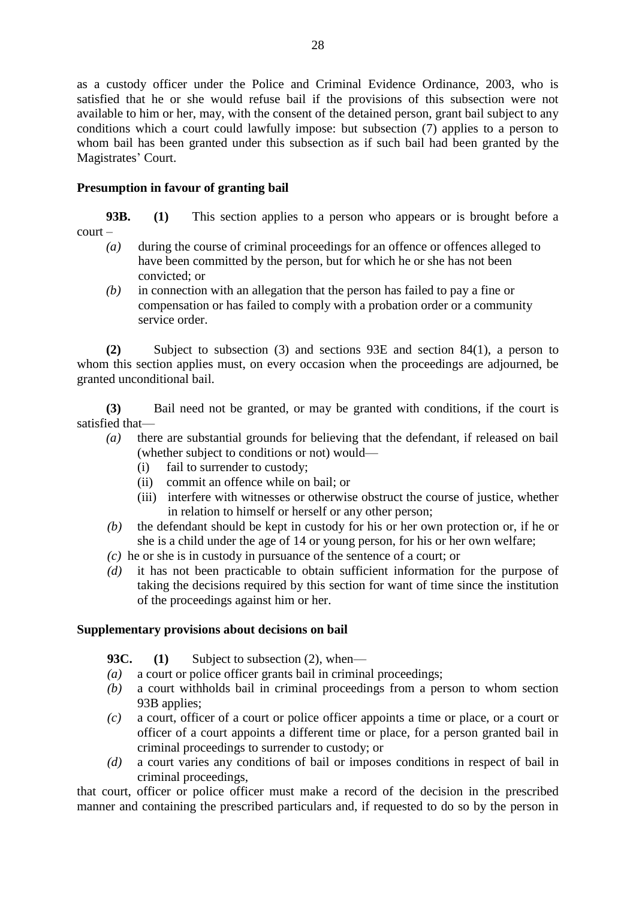as a custody officer under the Police and Criminal Evidence Ordinance, 2003, who is satisfied that he or she would refuse bail if the provisions of this subsection were not available to him or her, may, with the consent of the detained person, grant bail subject to any conditions which a court could lawfully impose: but subsection (7) applies to a person to whom bail has been granted under this subsection as if such bail had been granted by the Magistrates' Court.

# **Presumption in favour of granting bail**

**93B. (1)** This section applies to a person who appears or is brought before a court –

- *(a)* during the course of criminal proceedings for an offence or offences alleged to have been committed by the person, but for which he or she has not been convicted; or
- *(b)* in connection with an allegation that the person has failed to pay a fine or compensation or has failed to comply with a probation order or a community service order.

**(2)** Subject to subsection (3) and sections 93E and section 84(1), a person to whom this section applies must, on every occasion when the proceedings are adjourned, be granted unconditional bail.

**(3)** Bail need not be granted, or may be granted with conditions, if the court is satisfied that—

- *(a)* there are substantial grounds for believing that the defendant, if released on bail (whether subject to conditions or not) would—
	- (i) fail to surrender to custody;
	- (ii) commit an offence while on bail; or
	- (iii) interfere with witnesses or otherwise obstruct the course of justice, whether in relation to himself or herself or any other person;
- *(b)* the defendant should be kept in custody for his or her own protection or, if he or she is a child under the age of 14 or young person, for his or her own welfare;
- *(c)* he or she is in custody in pursuance of the sentence of a court; or
- *(d)* it has not been practicable to obtain sufficient information for the purpose of taking the decisions required by this section for want of time since the institution of the proceedings against him or her.

# **Supplementary provisions about decisions on bail**

**93C. (1)** Subject to subsection (2), when—

- *(a)* a court or police officer grants bail in criminal proceedings;
- *(b)* a court withholds bail in criminal proceedings from a person to whom section 93B applies;
- *(c)* a court, officer of a court or police officer appoints a time or place, or a court or officer of a court appoints a different time or place, for a person granted bail in criminal proceedings to surrender to custody; or
- *(d)* a court varies any conditions of bail or imposes conditions in respect of bail in criminal proceedings,

that court, officer or police officer must make a record of the decision in the prescribed manner and containing the prescribed particulars and, if requested to do so by the person in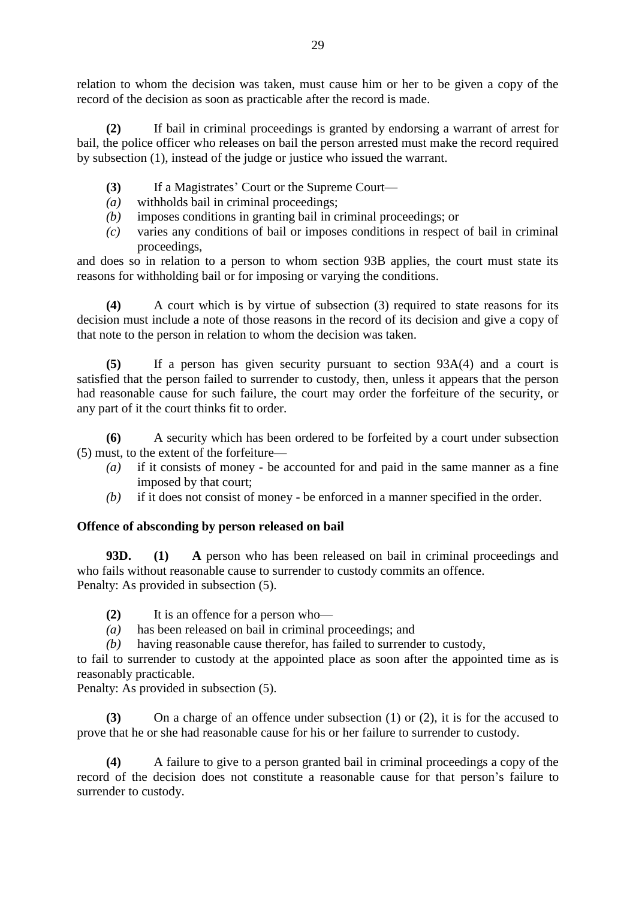relation to whom the decision was taken, must cause him or her to be given a copy of the record of the decision as soon as practicable after the record is made.

**(2)** If bail in criminal proceedings is granted by endorsing a warrant of arrest for bail, the police officer who releases on bail the person arrested must make the record required by subsection (1), instead of the judge or justice who issued the warrant.

- **(3)** If a Magistrates' Court or the Supreme Court—
- *(a)* withholds bail in criminal proceedings;
- *(b)* imposes conditions in granting bail in criminal proceedings; or
- *(c)* varies any conditions of bail or imposes conditions in respect of bail in criminal proceedings,

and does so in relation to a person to whom section 93B applies, the court must state its reasons for withholding bail or for imposing or varying the conditions.

**(4)** A court which is by virtue of subsection (3) required to state reasons for its decision must include a note of those reasons in the record of its decision and give a copy of that note to the person in relation to whom the decision was taken.

**(5)** If a person has given security pursuant to section 93A(4) and a court is satisfied that the person failed to surrender to custody, then, unless it appears that the person had reasonable cause for such failure, the court may order the forfeiture of the security, or any part of it the court thinks fit to order.

**(6)** A security which has been ordered to be forfeited by a court under subsection (5) must, to the extent of the forfeiture—

- *(a)* if it consists of money be accounted for and paid in the same manner as a fine imposed by that court;
- *(b)* if it does not consist of money be enforced in a manner specified in the order.

# **Offence of absconding by person released on bail**

**93D. (1) A** person who has been released on bail in criminal proceedings and who fails without reasonable cause to surrender to custody commits an offence. Penalty: As provided in subsection (5).

- **(2)** It is an offence for a person who—
- *(a)* has been released on bail in criminal proceedings; and
- *(b)* having reasonable cause therefor, has failed to surrender to custody,

to fail to surrender to custody at the appointed place as soon after the appointed time as is reasonably practicable.

Penalty: As provided in subsection (5).

**(3)** On a charge of an offence under subsection (1) or (2), it is for the accused to prove that he or she had reasonable cause for his or her failure to surrender to custody.

**(4)** A failure to give to a person granted bail in criminal proceedings a copy of the record of the decision does not constitute a reasonable cause for that person's failure to surrender to custody.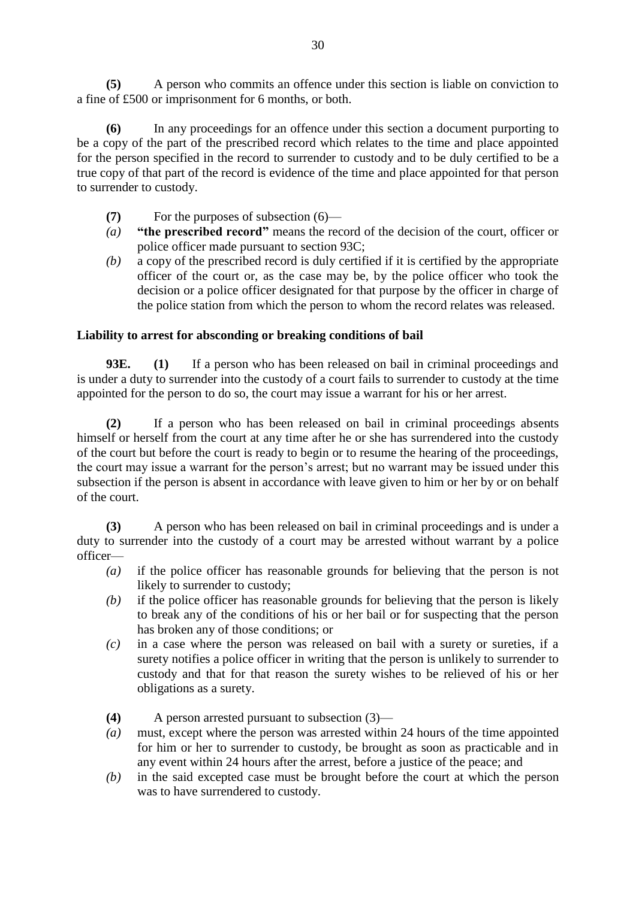**(5)** A person who commits an offence under this section is liable on conviction to a fine of £500 or imprisonment for 6 months, or both.

**(6)** In any proceedings for an offence under this section a document purporting to be a copy of the part of the prescribed record which relates to the time and place appointed for the person specified in the record to surrender to custody and to be duly certified to be a true copy of that part of the record is evidence of the time and place appointed for that person to surrender to custody.

- **(7)** For the purposes of subsection (6)—
- *(a)* **"the prescribed record"** means the record of the decision of the court, officer or police officer made pursuant to section 93C;
- *(b)* a copy of the prescribed record is duly certified if it is certified by the appropriate officer of the court or, as the case may be, by the police officer who took the decision or a police officer designated for that purpose by the officer in charge of the police station from which the person to whom the record relates was released.

# **Liability to arrest for absconding or breaking conditions of bail**

**93E.** (1) If a person who has been released on bail in criminal proceedings and is under a duty to surrender into the custody of a court fails to surrender to custody at the time appointed for the person to do so, the court may issue a warrant for his or her arrest.

**(2)** If a person who has been released on bail in criminal proceedings absents himself or herself from the court at any time after he or she has surrendered into the custody of the court but before the court is ready to begin or to resume the hearing of the proceedings, the court may issue a warrant for the person's arrest; but no warrant may be issued under this subsection if the person is absent in accordance with leave given to him or her by or on behalf of the court.

**(3)** A person who has been released on bail in criminal proceedings and is under a duty to surrender into the custody of a court may be arrested without warrant by a police officer—

- *(a)* if the police officer has reasonable grounds for believing that the person is not likely to surrender to custody;
- *(b)* if the police officer has reasonable grounds for believing that the person is likely to break any of the conditions of his or her bail or for suspecting that the person has broken any of those conditions; or
- *(c)* in a case where the person was released on bail with a surety or sureties, if a surety notifies a police officer in writing that the person is unlikely to surrender to custody and that for that reason the surety wishes to be relieved of his or her obligations as a surety.
- **(4)** A person arrested pursuant to subsection (3)—
- *(a)* must, except where the person was arrested within 24 hours of the time appointed for him or her to surrender to custody, be brought as soon as practicable and in any event within 24 hours after the arrest, before a justice of the peace; and
- *(b)* in the said excepted case must be brought before the court at which the person was to have surrendered to custody.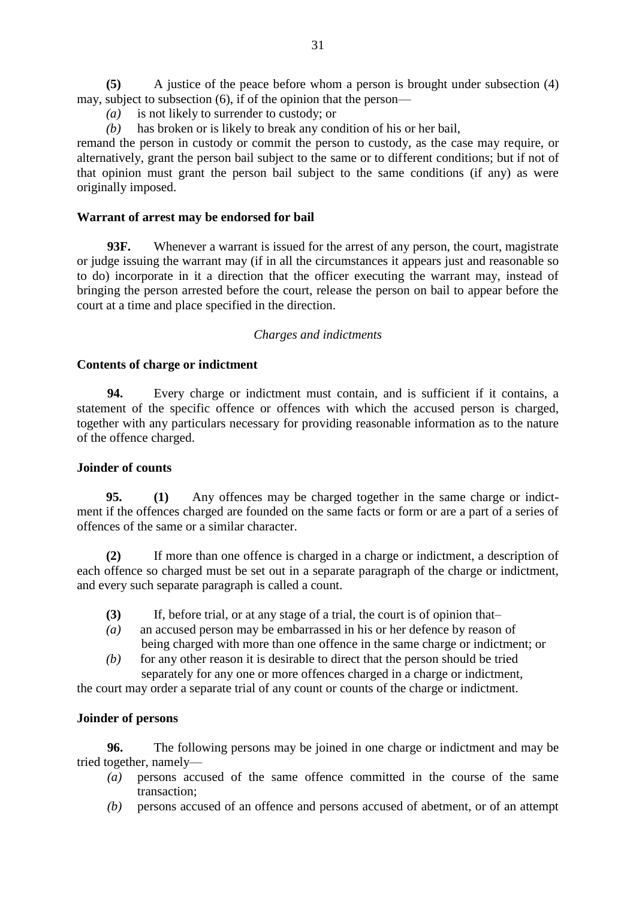**(5)** A justice of the peace before whom a person is brought under subsection (4) may, subject to subsection (6), if of the opinion that the person—

- *(a)* is not likely to surrender to custody; or
- *(b)* has broken or is likely to break any condition of his or her bail,

remand the person in custody or commit the person to custody, as the case may require, or alternatively, grant the person bail subject to the same or to different conditions; but if not of that opinion must grant the person bail subject to the same conditions (if any) as were originally imposed.

# **Warrant of arrest may be endorsed for bail**

**93F.** Whenever a warrant is issued for the arrest of any person, the court, magistrate or judge issuing the warrant may (if in all the circumstances it appears just and reasonable so to do) incorporate in it a direction that the officer executing the warrant may, instead of bringing the person arrested before the court, release the person on bail to appear before the court at a time and place specified in the direction.

### *Charges and indictments*

### **Contents of charge or indictment**

**94.** Every charge or indictment must contain, and is sufficient if it contains, a statement of the specific offence or offences with which the accused person is charged, together with any particulars necessary for providing reasonable information as to the nature of the offence charged.

# **Joinder of counts**

**95. (1)** Any offences may be charged together in the same charge or indictment if the offences charged are founded on the same facts or form or are a part of a series of offences of the same or a similar character.

**(2)** If more than one offence is charged in a charge or indictment, a description of each offence so charged must be set out in a separate paragraph of the charge or indictment, and every such separate paragraph is called a count.

- **(3)** If, before trial, or at any stage of a trial, the court is of opinion that–
- *(a)* an accused person may be embarrassed in his or her defence by reason of being charged with more than one offence in the same charge or indictment; or
- *(b)* for any other reason it is desirable to direct that the person should be tried separately for any one or more offences charged in a charge or indictment,

the court may order a separate trial of any count or counts of the charge or indictment.

# **Joinder of persons**

**96.** The following persons may be joined in one charge or indictment and may be tried together, namely—

- *(a)* persons accused of the same offence committed in the course of the same transaction;
- *(b)* persons accused of an offence and persons accused of abetment, or of an attempt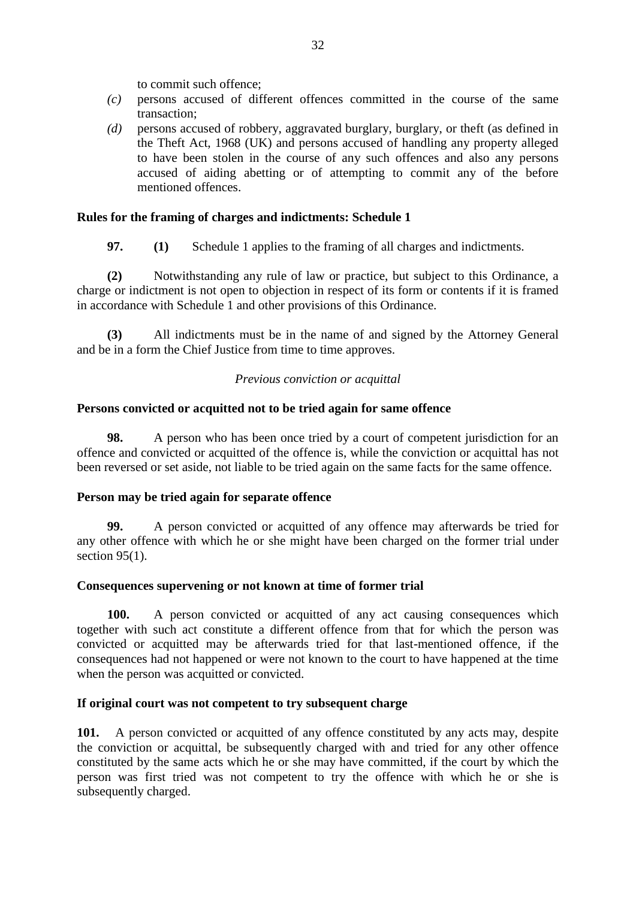to commit such offence;

- *(c)* persons accused of different offences committed in the course of the same transaction;
- *(d)* persons accused of robbery, aggravated burglary, burglary, or theft (as defined in the Theft Act, 1968 (UK) and persons accused of handling any property alleged to have been stolen in the course of any such offences and also any persons accused of aiding abetting or of attempting to commit any of the before mentioned offences.

# **Rules for the framing of charges and indictments: Schedule 1**

**97. (1)** Schedule 1 applies to the framing of all charges and indictments.

**(2)** Notwithstanding any rule of law or practice, but subject to this Ordinance, a charge or indictment is not open to objection in respect of its form or contents if it is framed in accordance with Schedule 1 and other provisions of this Ordinance.

**(3)** All indictments must be in the name of and signed by the Attorney General and be in a form the Chief Justice from time to time approves.

# *Previous conviction or acquittal*

# **Persons convicted or acquitted not to be tried again for same offence**

**98.** A person who has been once tried by a court of competent jurisdiction for an offence and convicted or acquitted of the offence is, while the conviction or acquittal has not been reversed or set aside, not liable to be tried again on the same facts for the same offence.

### **Person may be tried again for separate offence**

**99.** A person convicted or acquitted of any offence may afterwards be tried for any other offence with which he or she might have been charged on the former trial under section 95(1).

# **Consequences supervening or not known at time of former trial**

**100.** A person convicted or acquitted of any act causing consequences which together with such act constitute a different offence from that for which the person was convicted or acquitted may be afterwards tried for that last-mentioned offence, if the consequences had not happened or were not known to the court to have happened at the time when the person was acquitted or convicted.

### **If original court was not competent to try subsequent charge**

**101.** A person convicted or acquitted of any offence constituted by any acts may, despite the conviction or acquittal, be subsequently charged with and tried for any other offence constituted by the same acts which he or she may have committed, if the court by which the person was first tried was not competent to try the offence with which he or she is subsequently charged.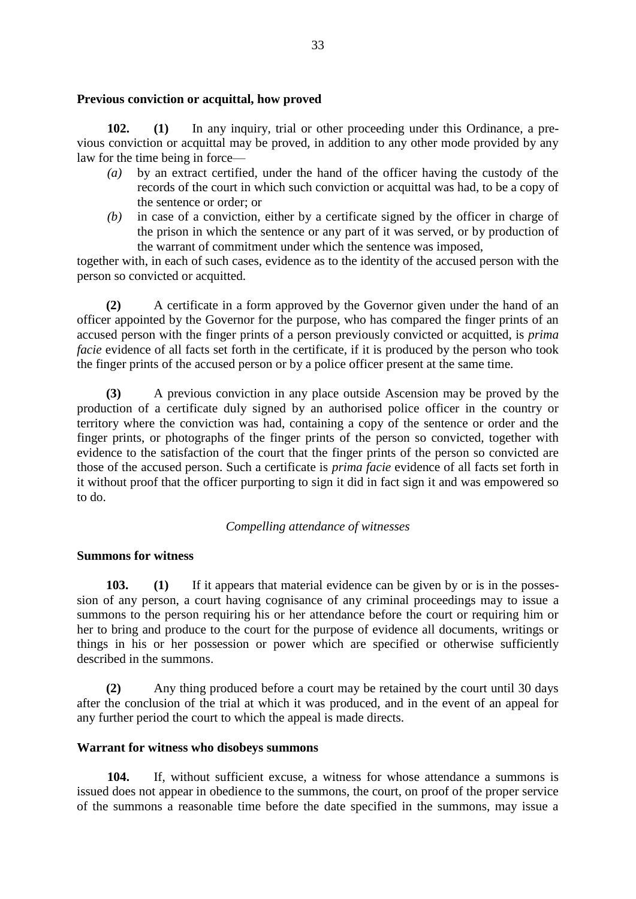### **Previous conviction or acquittal, how proved**

**102. (1)** In any inquiry, trial or other proceeding under this Ordinance, a previous conviction or acquittal may be proved, in addition to any other mode provided by any law for the time being in force—

- *(a)* by an extract certified, under the hand of the officer having the custody of the records of the court in which such conviction or acquittal was had, to be a copy of the sentence or order; or
- *(b)* in case of a conviction, either by a certificate signed by the officer in charge of the prison in which the sentence or any part of it was served, or by production of the warrant of commitment under which the sentence was imposed,

together with, in each of such cases, evidence as to the identity of the accused person with the person so convicted or acquitted.

**(2)** A certificate in a form approved by the Governor given under the hand of an officer appointed by the Governor for the purpose, who has compared the finger prints of an accused person with the finger prints of a person previously convicted or acquitted, is *prima facie* evidence of all facts set forth in the certificate, if it is produced by the person who took the finger prints of the accused person or by a police officer present at the same time.

**(3)** A previous conviction in any place outside Ascension may be proved by the production of a certificate duly signed by an authorised police officer in the country or territory where the conviction was had, containing a copy of the sentence or order and the finger prints, or photographs of the finger prints of the person so convicted, together with evidence to the satisfaction of the court that the finger prints of the person so convicted are those of the accused person. Such a certificate is *prima facie* evidence of all facts set forth in it without proof that the officer purporting to sign it did in fact sign it and was empowered so to do.

# *Compelling attendance of witnesses*

# **Summons for witness**

**103. (1)** If it appears that material evidence can be given by or is in the possession of any person, a court having cognisance of any criminal proceedings may to issue a summons to the person requiring his or her attendance before the court or requiring him or her to bring and produce to the court for the purpose of evidence all documents, writings or things in his or her possession or power which are specified or otherwise sufficiently described in the summons.

**(2)** Any thing produced before a court may be retained by the court until 30 days after the conclusion of the trial at which it was produced, and in the event of an appeal for any further period the court to which the appeal is made directs.

### **Warrant for witness who disobeys summons**

**104.** If, without sufficient excuse, a witness for whose attendance a summons is issued does not appear in obedience to the summons, the court, on proof of the proper service of the summons a reasonable time before the date specified in the summons, may issue a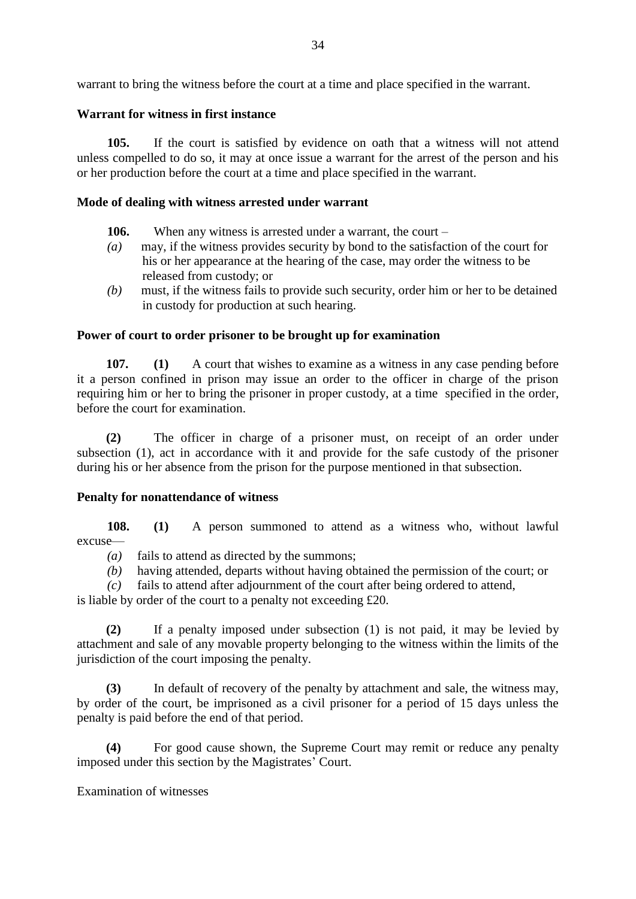warrant to bring the witness before the court at a time and place specified in the warrant.

### **Warrant for witness in first instance**

**105.** If the court is satisfied by evidence on oath that a witness will not attend unless compelled to do so, it may at once issue a warrant for the arrest of the person and his or her production before the court at a time and place specified in the warrant.

### **Mode of dealing with witness arrested under warrant**

- **106.** When any witness is arrested under a warrant, the court –
- *(a)* may, if the witness provides security by bond to the satisfaction of the court for his or her appearance at the hearing of the case, may order the witness to be released from custody; or
- *(b)* must, if the witness fails to provide such security, order him or her to be detained in custody for production at such hearing.

### **Power of court to order prisoner to be brought up for examination**

**107. (1)** A court that wishes to examine as a witness in any case pending before it a person confined in prison may issue an order to the officer in charge of the prison requiring him or her to bring the prisoner in proper custody, at a time specified in the order, before the court for examination.

**(2)** The officer in charge of a prisoner must, on receipt of an order under subsection (1), act in accordance with it and provide for the safe custody of the prisoner during his or her absence from the prison for the purpose mentioned in that subsection.

# **Penalty for nonattendance of witness**

**108. (1)** A person summoned to attend as a witness who, without lawful excuse—

- *(a)* fails to attend as directed by the summons;
- *(b)* having attended, departs without having obtained the permission of the court; or
- *(c)* fails to attend after adjournment of the court after being ordered to attend,
- is liable by order of the court to a penalty not exceeding £20.

**(2)** If a penalty imposed under subsection (1) is not paid, it may be levied by attachment and sale of any movable property belonging to the witness within the limits of the jurisdiction of the court imposing the penalty.

**(3)** In default of recovery of the penalty by attachment and sale, the witness may, by order of the court, be imprisoned as a civil prisoner for a period of 15 days unless the penalty is paid before the end of that period.

**(4)** For good cause shown, the Supreme Court may remit or reduce any penalty imposed under this section by the Magistrates' Court.

# Examination of witnesses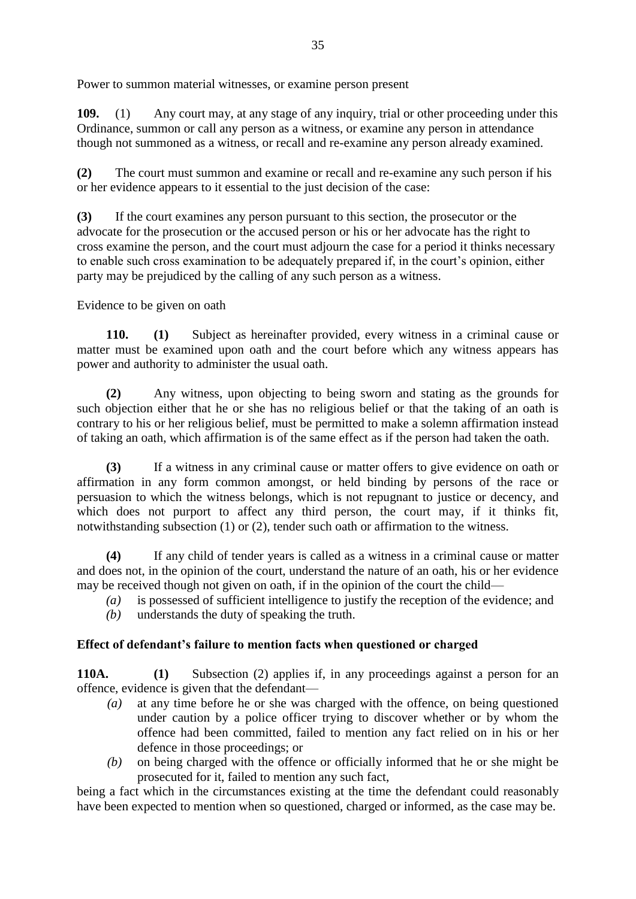Power to summon material witnesses, or examine person present

**109.** (1) Any court may, at any stage of any inquiry, trial or other proceeding under this Ordinance, summon or call any person as a witness, or examine any person in attendance though not summoned as a witness, or recall and re-examine any person already examined.

**(2)** The court must summon and examine or recall and re-examine any such person if his or her evidence appears to it essential to the just decision of the case:

**(3)** If the court examines any person pursuant to this section, the prosecutor or the advocate for the prosecution or the accused person or his or her advocate has the right to cross examine the person, and the court must adjourn the case for a period it thinks necessary to enable such cross examination to be adequately prepared if, in the court's opinion, either party may be prejudiced by the calling of any such person as a witness.

Evidence to be given on oath

**110. (1)** Subject as hereinafter provided, every witness in a criminal cause or matter must be examined upon oath and the court before which any witness appears has power and authority to administer the usual oath.

**(2)** Any witness, upon objecting to being sworn and stating as the grounds for such objection either that he or she has no religious belief or that the taking of an oath is contrary to his or her religious belief, must be permitted to make a solemn affirmation instead of taking an oath, which affirmation is of the same effect as if the person had taken the oath.

**(3)** If a witness in any criminal cause or matter offers to give evidence on oath or affirmation in any form common amongst, or held binding by persons of the race or persuasion to which the witness belongs, which is not repugnant to justice or decency, and which does not purport to affect any third person, the court may, if it thinks fit, notwithstanding subsection (1) or (2), tender such oath or affirmation to the witness.

**(4)** If any child of tender years is called as a witness in a criminal cause or matter and does not, in the opinion of the court, understand the nature of an oath, his or her evidence may be received though not given on oath, if in the opinion of the court the child—

- *(a)* is possessed of sufficient intelligence to justify the reception of the evidence; and
- *(b)* understands the duty of speaking the truth.

# **Effect of defendant's failure to mention facts when questioned or charged**

**110A. (1)** Subsection (2) applies if, in any proceedings against a person for an offence, evidence is given that the defendant—

- *(a)* at any time before he or she was charged with the offence, on being questioned under caution by a police officer trying to discover whether or by whom the offence had been committed, failed to mention any fact relied on in his or her defence in those proceedings; or
- *(b)* on being charged with the offence or officially informed that he or she might be prosecuted for it, failed to mention any such fact,

being a fact which in the circumstances existing at the time the defendant could reasonably have been expected to mention when so questioned, charged or informed, as the case may be.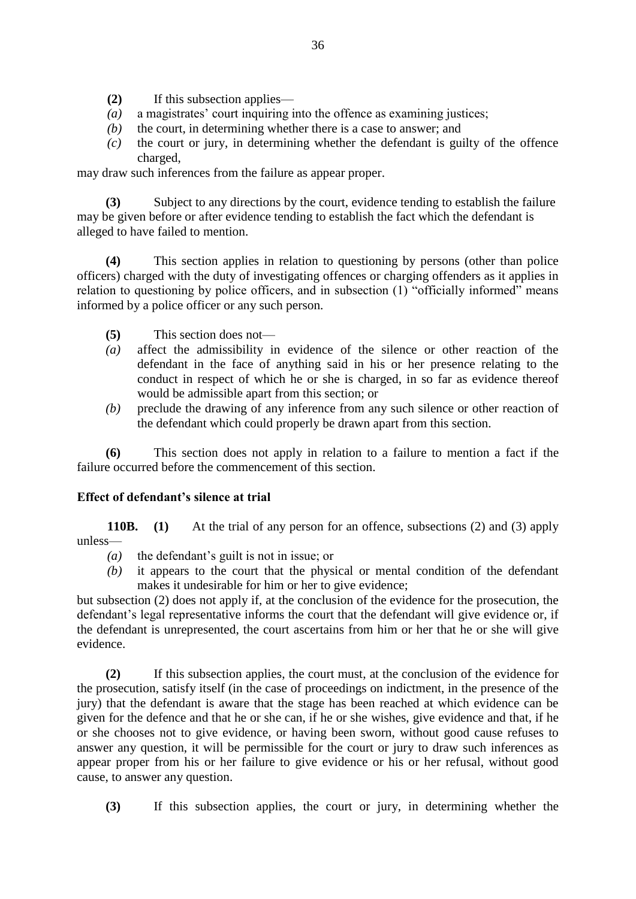- **(2)** If this subsection applies—
- *(a)* a magistrates' court inquiring into the offence as examining justices;
- *(b)* the court, in determining whether there is a case to answer; and
- *(c)* the court or jury, in determining whether the defendant is guilty of the offence charged,

may draw such inferences from the failure as appear proper.

**(3)** Subject to any directions by the court, evidence tending to establish the failure may be given before or after evidence tending to establish the fact which the defendant is alleged to have failed to mention.

**(4)** This section applies in relation to questioning by persons (other than police officers) charged with the duty of investigating offences or charging offenders as it applies in relation to questioning by police officers, and in subsection (1) "officially informed" means informed by a police officer or any such person.

- **(5)** This section does not—
- *(a)* affect the admissibility in evidence of the silence or other reaction of the defendant in the face of anything said in his or her presence relating to the conduct in respect of which he or she is charged, in so far as evidence thereof would be admissible apart from this section; or
- *(b)* preclude the drawing of any inference from any such silence or other reaction of the defendant which could properly be drawn apart from this section.

**(6)** This section does not apply in relation to a failure to mention a fact if the failure occurred before the commencement of this section.

# **Effect of defendant's silence at trial**

**110B. (1)** At the trial of any person for an offence, subsections (2) and (3) apply unless—

- *(a)* the defendant's guilt is not in issue; or
- *(b)* it appears to the court that the physical or mental condition of the defendant makes it undesirable for him or her to give evidence;

but subsection (2) does not apply if, at the conclusion of the evidence for the prosecution, the defendant's legal representative informs the court that the defendant will give evidence or, if the defendant is unrepresented, the court ascertains from him or her that he or she will give evidence.

**(2)** If this subsection applies, the court must, at the conclusion of the evidence for the prosecution, satisfy itself (in the case of proceedings on indictment, in the presence of the jury) that the defendant is aware that the stage has been reached at which evidence can be given for the defence and that he or she can, if he or she wishes, give evidence and that, if he or she chooses not to give evidence, or having been sworn, without good cause refuses to answer any question, it will be permissible for the court or jury to draw such inferences as appear proper from his or her failure to give evidence or his or her refusal, without good cause, to answer any question.

**(3)** If this subsection applies, the court or jury, in determining whether the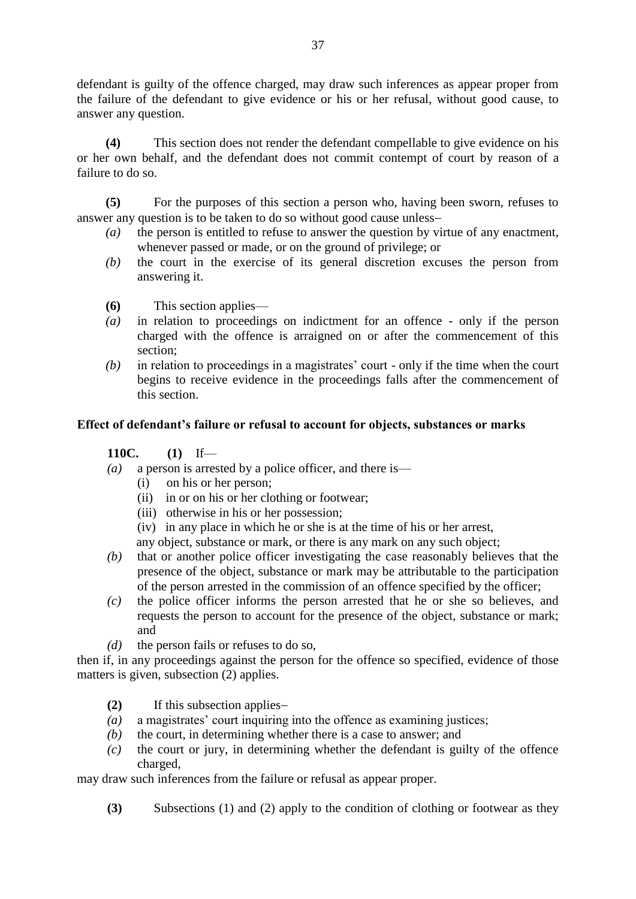defendant is guilty of the offence charged, may draw such inferences as appear proper from the failure of the defendant to give evidence or his or her refusal, without good cause, to answer any question.

**(4)** This section does not render the defendant compellable to give evidence on his or her own behalf, and the defendant does not commit contempt of court by reason of a failure to do so.

**(5)** For the purposes of this section a person who, having been sworn, refuses to answer any question is to be taken to do so without good cause unless

- *(a)* the person is entitled to refuse to answer the question by virtue of any enactment, whenever passed or made, or on the ground of privilege; or
- *(b)* the court in the exercise of its general discretion excuses the person from answering it.
- **(6)** This section applies—
- *(a)* in relation to proceedings on indictment for an offence only if the person charged with the offence is arraigned on or after the commencement of this section;
- *(b)* in relation to proceedings in a magistrates' court only if the time when the court begins to receive evidence in the proceedings falls after the commencement of this section.

### **Effect of defendant's failure or refusal to account for objects, substances or marks**

# **110C. (1)** If—

- *(a)* a person is arrested by a police officer, and there is—
	- (i) on his or her person;
	- (ii) in or on his or her clothing or footwear;
	- (iii) otherwise in his or her possession;
	- (iv) in any place in which he or she is at the time of his or her arrest,
	- any object, substance or mark, or there is any mark on any such object;
- *(b)* that or another police officer investigating the case reasonably believes that the presence of the object, substance or mark may be attributable to the participation of the person arrested in the commission of an offence specified by the officer;
- *(c)* the police officer informs the person arrested that he or she so believes, and requests the person to account for the presence of the object, substance or mark; and
- *(d)* the person fails or refuses to do so,

then if, in any proceedings against the person for the offence so specified, evidence of those matters is given, subsection (2) applies.

- **(2)** If this subsection applies
- *(a)* a magistrates' court inquiring into the offence as examining justices;
- *(b)* the court, in determining whether there is a case to answer; and
- *(c)* the court or jury, in determining whether the defendant is guilty of the offence charged,

may draw such inferences from the failure or refusal as appear proper.

**(3)** Subsections (1) and (2) apply to the condition of clothing or footwear as they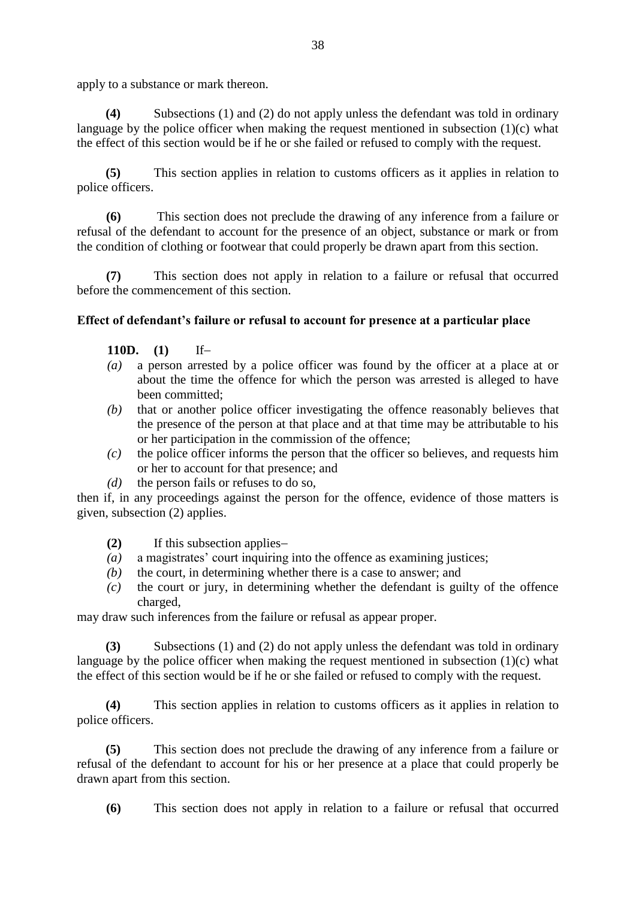apply to a substance or mark thereon.

**(4)** Subsections (1) and (2) do not apply unless the defendant was told in ordinary language by the police officer when making the request mentioned in subsection (1)(c) what the effect of this section would be if he or she failed or refused to comply with the request.

**(5)** This section applies in relation to customs officers as it applies in relation to police officers.

**(6)** This section does not preclude the drawing of any inference from a failure or refusal of the defendant to account for the presence of an object, substance or mark or from the condition of clothing or footwear that could properly be drawn apart from this section.

**(7)** This section does not apply in relation to a failure or refusal that occurred before the commencement of this section.

### **Effect of defendant's failure or refusal to account for presence at a particular place**

- **110D. (1)** If
- *(a)* a person arrested by a police officer was found by the officer at a place at or about the time the offence for which the person was arrested is alleged to have been committed;
- *(b)* that or another police officer investigating the offence reasonably believes that the presence of the person at that place and at that time may be attributable to his or her participation in the commission of the offence;
- *(c)* the police officer informs the person that the officer so believes, and requests him or her to account for that presence; and
- *(d)* the person fails or refuses to do so,

then if, in any proceedings against the person for the offence, evidence of those matters is given, subsection (2) applies.

- **(2)** If this subsection applies
- *(a)* a magistrates' court inquiring into the offence as examining justices;
- *(b)* the court, in determining whether there is a case to answer; and
- *(c)* the court or jury, in determining whether the defendant is guilty of the offence charged,

may draw such inferences from the failure or refusal as appear proper.

**(3)** Subsections (1) and (2) do not apply unless the defendant was told in ordinary language by the police officer when making the request mentioned in subsection (1)(c) what the effect of this section would be if he or she failed or refused to comply with the request.

**(4)** This section applies in relation to customs officers as it applies in relation to police officers.

**(5)** This section does not preclude the drawing of any inference from a failure or refusal of the defendant to account for his or her presence at a place that could properly be drawn apart from this section.

**(6)** This section does not apply in relation to a failure or refusal that occurred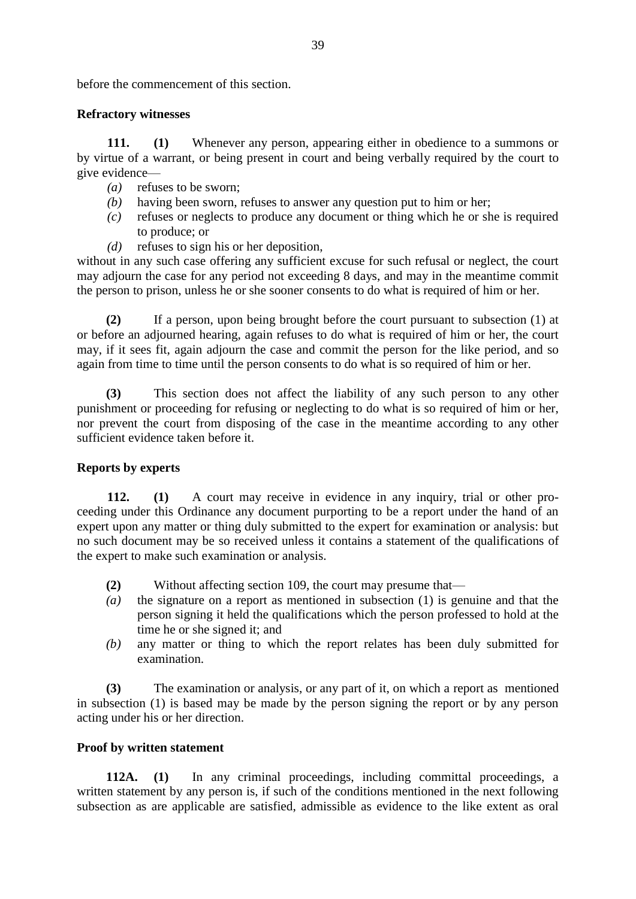before the commencement of this section.

### **Refractory witnesses**

**111. (1)** Whenever any person, appearing either in obedience to a summons or by virtue of a warrant, or being present in court and being verbally required by the court to give evidence—

- *(a)* refuses to be sworn;
- *(b)* having been sworn, refuses to answer any question put to him or her;
- *(c)* refuses or neglects to produce any document or thing which he or she is required to produce; or
- *(d)* refuses to sign his or her deposition,

without in any such case offering any sufficient excuse for such refusal or neglect, the court may adjourn the case for any period not exceeding 8 days, and may in the meantime commit the person to prison, unless he or she sooner consents to do what is required of him or her.

**(2)** If a person, upon being brought before the court pursuant to subsection (1) at or before an adjourned hearing, again refuses to do what is required of him or her, the court may, if it sees fit, again adjourn the case and commit the person for the like period, and so again from time to time until the person consents to do what is so required of him or her.

**(3)** This section does not affect the liability of any such person to any other punishment or proceeding for refusing or neglecting to do what is so required of him or her, nor prevent the court from disposing of the case in the meantime according to any other sufficient evidence taken before it.

### **Reports by experts**

**112. (1)** A court may receive in evidence in any inquiry, trial or other proceeding under this Ordinance any document purporting to be a report under the hand of an expert upon any matter or thing duly submitted to the expert for examination or analysis: but no such document may be so received unless it contains a statement of the qualifications of the expert to make such examination or analysis.

- **(2)** Without affecting section 109, the court may presume that—
- *(a)* the signature on a report as mentioned in subsection (1) is genuine and that the person signing it held the qualifications which the person professed to hold at the time he or she signed it; and
- *(b)* any matter or thing to which the report relates has been duly submitted for examination.

**(3)** The examination or analysis, or any part of it, on which a report as mentioned in subsection (1) is based may be made by the person signing the report or by any person acting under his or her direction.

### **Proof by written statement**

**112A. (1)** In any criminal proceedings, including committal proceedings, a written statement by any person is, if such of the conditions mentioned in the next following subsection as are applicable are satisfied, admissible as evidence to the like extent as oral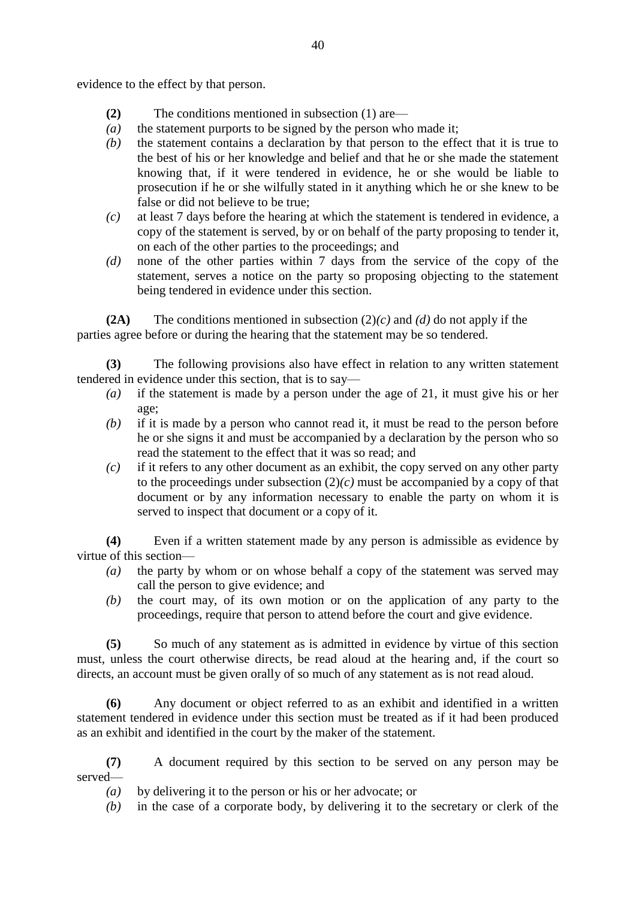evidence to the effect by that person.

- **(2)** The conditions mentioned in subsection (1) are—
- *(a)* the statement purports to be signed by the person who made it;
- *(b)* the statement contains a declaration by that person to the effect that it is true to the best of his or her knowledge and belief and that he or she made the statement knowing that, if it were tendered in evidence, he or she would be liable to prosecution if he or she wilfully stated in it anything which he or she knew to be false or did not believe to be true;
- *(c)* at least 7 days before the hearing at which the statement is tendered in evidence, a copy of the statement is served, by or on behalf of the party proposing to tender it, on each of the other parties to the proceedings; and
- *(d)* none of the other parties within 7 days from the service of the copy of the statement, serves a notice on the party so proposing objecting to the statement being tendered in evidence under this section.

**(2A)** The conditions mentioned in subsection (2)*(c)* and *(d)* do not apply if the parties agree before or during the hearing that the statement may be so tendered.

**(3)** The following provisions also have effect in relation to any written statement tendered in evidence under this section, that is to say—

- *(a)* if the statement is made by a person under the age of 21, it must give his or her age;
- *(b)* if it is made by a person who cannot read it, it must be read to the person before he or she signs it and must be accompanied by a declaration by the person who so read the statement to the effect that it was so read; and
- *(c)* if it refers to any other document as an exhibit, the copy served on any other party to the proceedings under subsection  $(2)(c)$  must be accompanied by a copy of that document or by any information necessary to enable the party on whom it is served to inspect that document or a copy of it.

**(4)** Even if a written statement made by any person is admissible as evidence by virtue of this section—

- *(a)* the party by whom or on whose behalf a copy of the statement was served may call the person to give evidence; and
- *(b)* the court may, of its own motion or on the application of any party to the proceedings, require that person to attend before the court and give evidence.

**(5)** So much of any statement as is admitted in evidence by virtue of this section must, unless the court otherwise directs, be read aloud at the hearing and, if the court so directs, an account must be given orally of so much of any statement as is not read aloud.

**(6)** Any document or object referred to as an exhibit and identified in a written statement tendered in evidence under this section must be treated as if it had been produced as an exhibit and identified in the court by the maker of the statement.

**(7)** A document required by this section to be served on any person may be served—

- *(a)* by delivering it to the person or his or her advocate; or
- *(b)* in the case of a corporate body, by delivering it to the secretary or clerk of the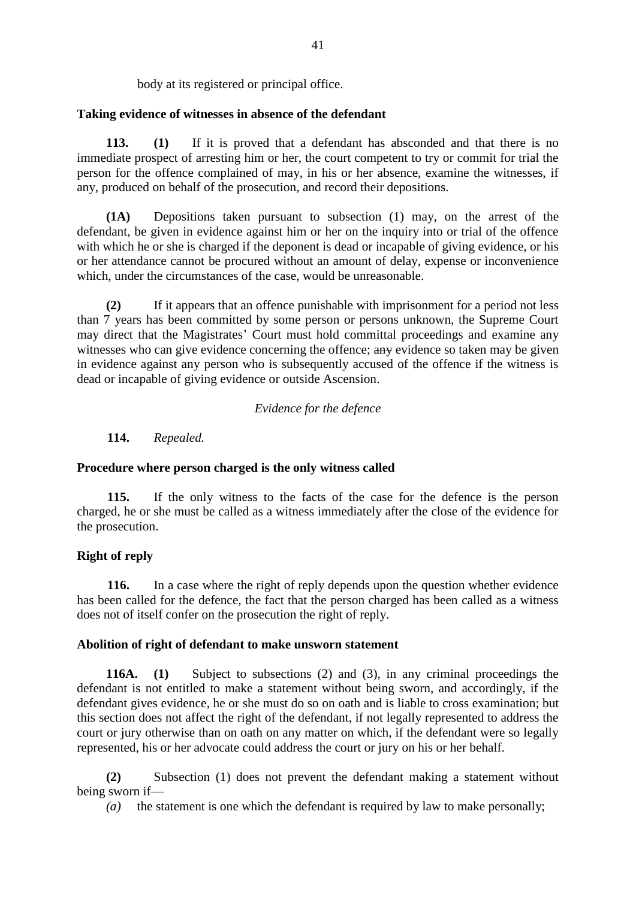body at its registered or principal office.

### **Taking evidence of witnesses in absence of the defendant**

**113. (1)** If it is proved that a defendant has absconded and that there is no immediate prospect of arresting him or her, the court competent to try or commit for trial the person for the offence complained of may, in his or her absence, examine the witnesses, if any, produced on behalf of the prosecution, and record their depositions.

**(1A)** Depositions taken pursuant to subsection (1) may, on the arrest of the defendant, be given in evidence against him or her on the inquiry into or trial of the offence with which he or she is charged if the deponent is dead or incapable of giving evidence, or his or her attendance cannot be procured without an amount of delay, expense or inconvenience which, under the circumstances of the case, would be unreasonable.

**(2)** If it appears that an offence punishable with imprisonment for a period not less than 7 years has been committed by some person or persons unknown, the Supreme Court may direct that the Magistrates' Court must hold committal proceedings and examine any witnesses who can give evidence concerning the offence; any evidence so taken may be given in evidence against any person who is subsequently accused of the offence if the witness is dead or incapable of giving evidence or outside Ascension.

### *Evidence for the defence*

**114.** *Repealed.*

# **Procedure where person charged is the only witness called**

**115.** If the only witness to the facts of the case for the defence is the person charged, he or she must be called as a witness immediately after the close of the evidence for the prosecution.

# **Right of reply**

**116.** In a case where the right of reply depends upon the question whether evidence has been called for the defence, the fact that the person charged has been called as a witness does not of itself confer on the prosecution the right of reply.

# **Abolition of right of defendant to make unsworn statement**

**116A. (1)** Subject to subsections (2) and (3), in any criminal proceedings the defendant is not entitled to make a statement without being sworn, and accordingly, if the defendant gives evidence, he or she must do so on oath and is liable to cross examination; but this section does not affect the right of the defendant, if not legally represented to address the court or jury otherwise than on oath on any matter on which, if the defendant were so legally represented, his or her advocate could address the court or jury on his or her behalf.

**(2)** Subsection (1) does not prevent the defendant making a statement without being sworn if—

*(a)* the statement is one which the defendant is required by law to make personally;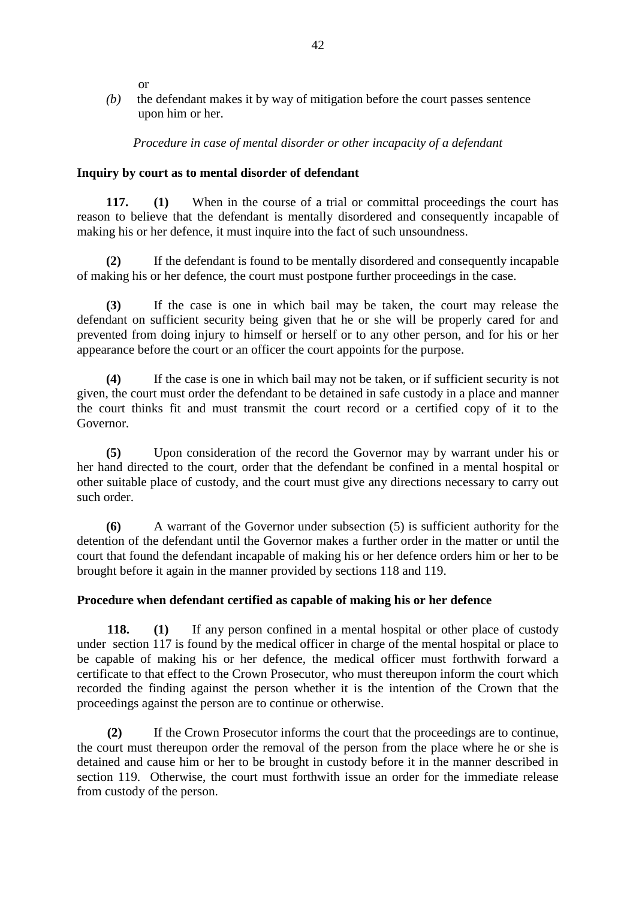or

*(b)* the defendant makes it by way of mitigation before the court passes sentence upon him or her.

*Procedure in case of mental disorder or other incapacity of a defendant*

### **Inquiry by court as to mental disorder of defendant**

**117. (1)** When in the course of a trial or committal proceedings the court has reason to believe that the defendant is mentally disordered and consequently incapable of making his or her defence, it must inquire into the fact of such unsoundness.

**(2)** If the defendant is found to be mentally disordered and consequently incapable of making his or her defence, the court must postpone further proceedings in the case.

**(3)** If the case is one in which bail may be taken, the court may release the defendant on sufficient security being given that he or she will be properly cared for and prevented from doing injury to himself or herself or to any other person, and for his or her appearance before the court or an officer the court appoints for the purpose.

**(4)** If the case is one in which bail may not be taken, or if sufficient security is not given, the court must order the defendant to be detained in safe custody in a place and manner the court thinks fit and must transmit the court record or a certified copy of it to the Governor.

**(5)** Upon consideration of the record the Governor may by warrant under his or her hand directed to the court, order that the defendant be confined in a mental hospital or other suitable place of custody, and the court must give any directions necessary to carry out such order.

**(6)** A warrant of the Governor under subsection (5) is sufficient authority for the detention of the defendant until the Governor makes a further order in the matter or until the court that found the defendant incapable of making his or her defence orders him or her to be brought before it again in the manner provided by sections 118 and 119.

# **Procedure when defendant certified as capable of making his or her defence**

**118. (1)** If any person confined in a mental hospital or other place of custody under section 117 is found by the medical officer in charge of the mental hospital or place to be capable of making his or her defence, the medical officer must forthwith forward a certificate to that effect to the Crown Prosecutor, who must thereupon inform the court which recorded the finding against the person whether it is the intention of the Crown that the proceedings against the person are to continue or otherwise.

**(2)** If the Crown Prosecutor informs the court that the proceedings are to continue, the court must thereupon order the removal of the person from the place where he or she is detained and cause him or her to be brought in custody before it in the manner described in section 119. Otherwise, the court must forthwith issue an order for the immediate release from custody of the person.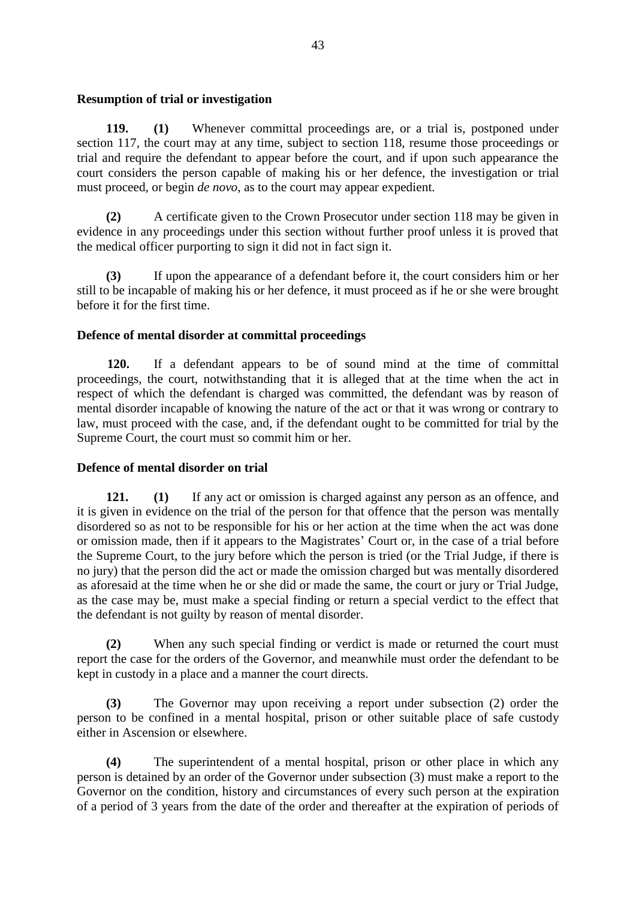### **Resumption of trial or investigation**

**119. (1)** Whenever committal proceedings are, or a trial is, postponed under section 117, the court may at any time, subject to section 118, resume those proceedings or trial and require the defendant to appear before the court, and if upon such appearance the court considers the person capable of making his or her defence, the investigation or trial must proceed, or begin *de novo*, as to the court may appear expedient.

**(2)** A certificate given to the Crown Prosecutor under section 118 may be given in evidence in any proceedings under this section without further proof unless it is proved that the medical officer purporting to sign it did not in fact sign it.

**(3)** If upon the appearance of a defendant before it, the court considers him or her still to be incapable of making his or her defence, it must proceed as if he or she were brought before it for the first time.

### **Defence of mental disorder at committal proceedings**

**120.** If a defendant appears to be of sound mind at the time of committal proceedings, the court, notwithstanding that it is alleged that at the time when the act in respect of which the defendant is charged was committed, the defendant was by reason of mental disorder incapable of knowing the nature of the act or that it was wrong or contrary to law, must proceed with the case, and, if the defendant ought to be committed for trial by the Supreme Court, the court must so commit him or her.

### **Defence of mental disorder on trial**

**121. (1)** If any act or omission is charged against any person as an offence, and it is given in evidence on the trial of the person for that offence that the person was mentally disordered so as not to be responsible for his or her action at the time when the act was done or omission made, then if it appears to the Magistrates' Court or, in the case of a trial before the Supreme Court, to the jury before which the person is tried (or the Trial Judge, if there is no jury) that the person did the act or made the omission charged but was mentally disordered as aforesaid at the time when he or she did or made the same, the court or jury or Trial Judge, as the case may be, must make a special finding or return a special verdict to the effect that the defendant is not guilty by reason of mental disorder.

**(2)** When any such special finding or verdict is made or returned the court must report the case for the orders of the Governor, and meanwhile must order the defendant to be kept in custody in a place and a manner the court directs.

**(3)** The Governor may upon receiving a report under subsection (2) order the person to be confined in a mental hospital, prison or other suitable place of safe custody either in Ascension or elsewhere.

**(4)** The superintendent of a mental hospital, prison or other place in which any person is detained by an order of the Governor under subsection (3) must make a report to the Governor on the condition, history and circumstances of every such person at the expiration of a period of 3 years from the date of the order and thereafter at the expiration of periods of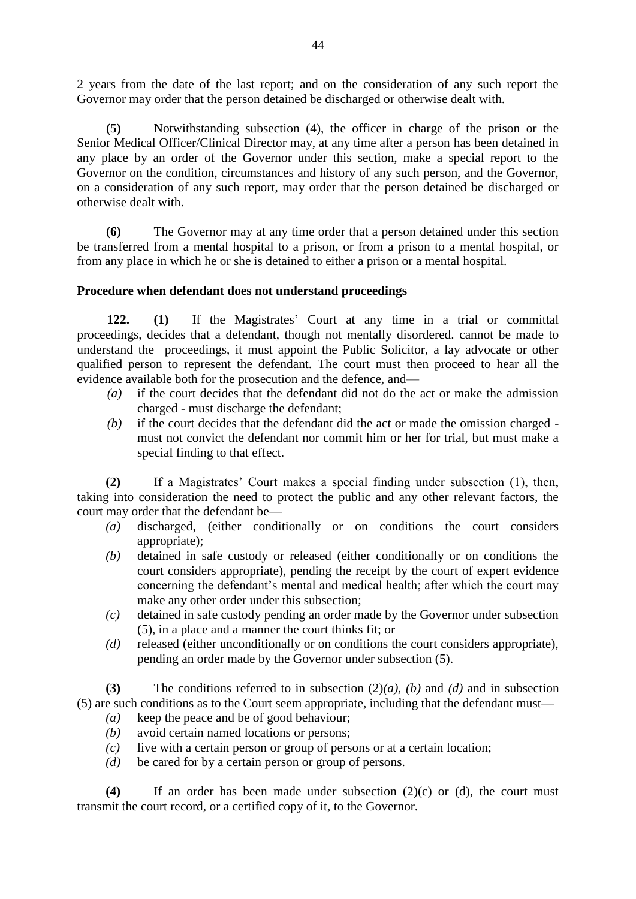2 years from the date of the last report; and on the consideration of any such report the Governor may order that the person detained be discharged or otherwise dealt with.

**(5)** Notwithstanding subsection (4), the officer in charge of the prison or the Senior Medical Officer/Clinical Director may, at any time after a person has been detained in any place by an order of the Governor under this section, make a special report to the Governor on the condition, circumstances and history of any such person, and the Governor, on a consideration of any such report, may order that the person detained be discharged or otherwise dealt with.

**(6)** The Governor may at any time order that a person detained under this section be transferred from a mental hospital to a prison, or from a prison to a mental hospital, or from any place in which he or she is detained to either a prison or a mental hospital.

### **Procedure when defendant does not understand proceedings**

**122. (1)** If the Magistrates' Court at any time in a trial or committal proceedings, decides that a defendant, though not mentally disordered. cannot be made to understand the proceedings, it must appoint the Public Solicitor, a lay advocate or other qualified person to represent the defendant. The court must then proceed to hear all the evidence available both for the prosecution and the defence, and—

- *(a)* if the court decides that the defendant did not do the act or make the admission charged - must discharge the defendant;
- *(b)* if the court decides that the defendant did the act or made the omission charged must not convict the defendant nor commit him or her for trial, but must make a special finding to that effect.

**(2)** If a Magistrates' Court makes a special finding under subsection (1), then, taking into consideration the need to protect the public and any other relevant factors, the court may order that the defendant be—

- *(a)* discharged, (either conditionally or on conditions the court considers appropriate);
- *(b)* detained in safe custody or released (either conditionally or on conditions the court considers appropriate), pending the receipt by the court of expert evidence concerning the defendant's mental and medical health; after which the court may make any other order under this subsection;
- *(c)* detained in safe custody pending an order made by the Governor under subsection (5), in a place and a manner the court thinks fit; or
- *(d)* released (either unconditionally or on conditions the court considers appropriate), pending an order made by the Governor under subsection (5).

**(3)** The conditions referred to in subsection (2)*(a)*, *(b)* and *(d)* and in subsection (5) are such conditions as to the Court seem appropriate, including that the defendant must—

- *(a)* keep the peace and be of good behaviour;
- *(b)* avoid certain named locations or persons;
- *(c)* live with a certain person or group of persons or at a certain location;
- *(d)* be cared for by a certain person or group of persons.

**(4)** If an order has been made under subsection (2)(c) or (d), the court must transmit the court record, or a certified copy of it, to the Governor.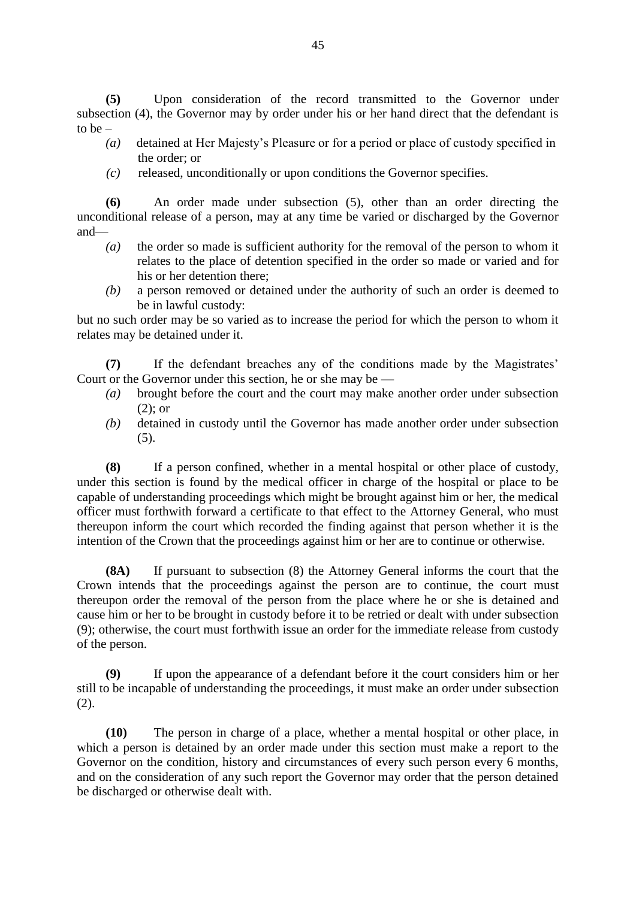**(5)** Upon consideration of the record transmitted to the Governor under subsection (4), the Governor may by order under his or her hand direct that the defendant is to be –

- *(a)* detained at Her Majesty's Pleasure or for a period or place of custody specified in the order; or
- *(c)* released, unconditionally or upon conditions the Governor specifies.

**(6)** An order made under subsection (5), other than an order directing the unconditional release of a person, may at any time be varied or discharged by the Governor and—

- *(a)* the order so made is sufficient authority for the removal of the person to whom it relates to the place of detention specified in the order so made or varied and for his or her detention there;
- *(b)* a person removed or detained under the authority of such an order is deemed to be in lawful custody:

but no such order may be so varied as to increase the period for which the person to whom it relates may be detained under it.

**(7)** If the defendant breaches any of the conditions made by the Magistrates' Court or the Governor under this section, he or she may be —

- *(a)* brought before the court and the court may make another order under subsection (2); or
- *(b)* detained in custody until the Governor has made another order under subsection (5).

**(8)** If a person confined, whether in a mental hospital or other place of custody, under this section is found by the medical officer in charge of the hospital or place to be capable of understanding proceedings which might be brought against him or her, the medical officer must forthwith forward a certificate to that effect to the Attorney General, who must thereupon inform the court which recorded the finding against that person whether it is the intention of the Crown that the proceedings against him or her are to continue or otherwise.

**(8A)** If pursuant to subsection (8) the Attorney General informs the court that the Crown intends that the proceedings against the person are to continue, the court must thereupon order the removal of the person from the place where he or she is detained and cause him or her to be brought in custody before it to be retried or dealt with under subsection (9); otherwise, the court must forthwith issue an order for the immediate release from custody of the person.

**(9)** If upon the appearance of a defendant before it the court considers him or her still to be incapable of understanding the proceedings, it must make an order under subsection (2).

**(10)** The person in charge of a place, whether a mental hospital or other place, in which a person is detained by an order made under this section must make a report to the Governor on the condition, history and circumstances of every such person every 6 months, and on the consideration of any such report the Governor may order that the person detained be discharged or otherwise dealt with.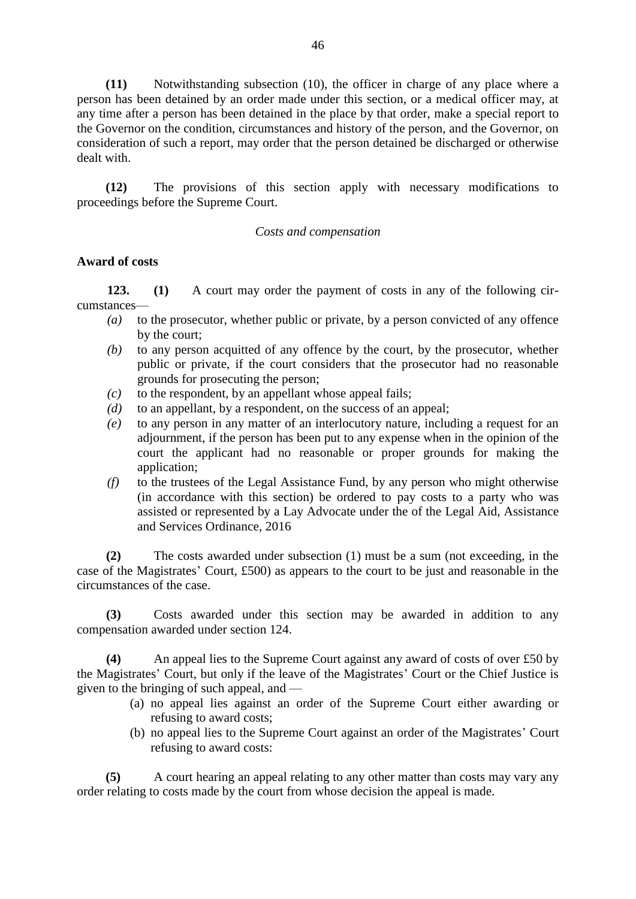**(11)** Notwithstanding subsection (10), the officer in charge of any place where a person has been detained by an order made under this section, or a medical officer may, at any time after a person has been detained in the place by that order, make a special report to the Governor on the condition, circumstances and history of the person, and the Governor, on consideration of such a report, may order that the person detained be discharged or otherwise dealt with.

**(12)** The provisions of this section apply with necessary modifications to proceedings before the Supreme Court.

#### *Costs and compensation*

### **Award of costs**

**123. (1)** A court may order the payment of costs in any of the following circumstances—

- *(a)* to the prosecutor, whether public or private, by a person convicted of any offence by the court;
- *(b)* to any person acquitted of any offence by the court, by the prosecutor, whether public or private, if the court considers that the prosecutor had no reasonable grounds for prosecuting the person;
- *(c)* to the respondent, by an appellant whose appeal fails;
- *(d)* to an appellant, by a respondent, on the success of an appeal;
- *(e)* to any person in any matter of an interlocutory nature, including a request for an adjournment, if the person has been put to any expense when in the opinion of the court the applicant had no reasonable or proper grounds for making the application;
- *(f)* to the trustees of the Legal Assistance Fund, by any person who might otherwise (in accordance with this section) be ordered to pay costs to a party who was assisted or represented by a Lay Advocate under the of the Legal Aid, Assistance and Services Ordinance, 2016

**(2)** The costs awarded under subsection (1) must be a sum (not exceeding, in the case of the Magistrates' Court, £500) as appears to the court to be just and reasonable in the circumstances of the case.

**(3)** Costs awarded under this section may be awarded in addition to any compensation awarded under section 124.

**(4)** An appeal lies to the Supreme Court against any award of costs of over £50 by the Magistrates' Court, but only if the leave of the Magistrates' Court or the Chief Justice is given to the bringing of such appeal, and —

- (a) no appeal lies against an order of the Supreme Court either awarding or refusing to award costs;
- (b) no appeal lies to the Supreme Court against an order of the Magistrates' Court refusing to award costs:

 **(5)** A court hearing an appeal relating to any other matter than costs may vary any order relating to costs made by the court from whose decision the appeal is made.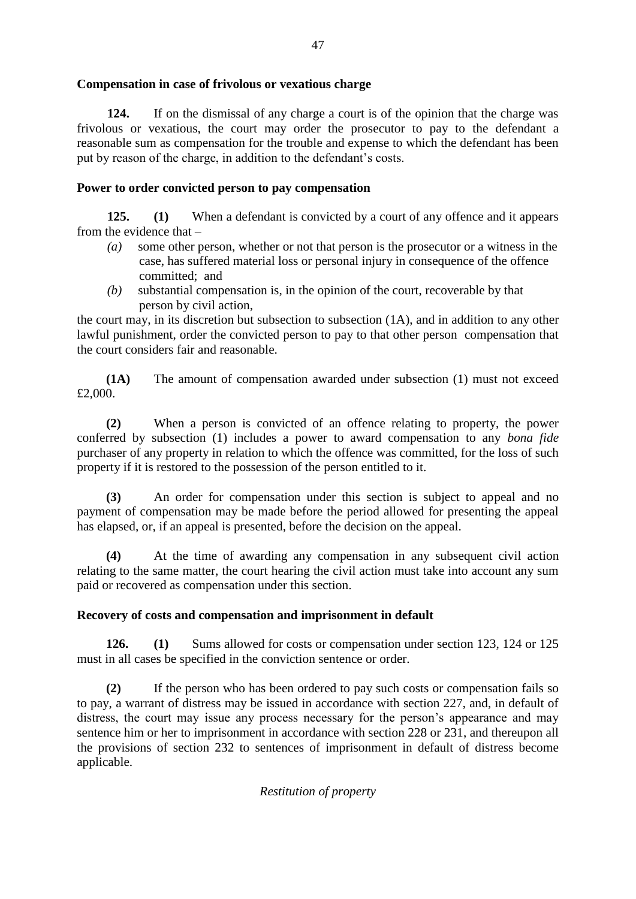# **Compensation in case of frivolous or vexatious charge**

**124.** If on the dismissal of any charge a court is of the opinion that the charge was frivolous or vexatious, the court may order the prosecutor to pay to the defendant a reasonable sum as compensation for the trouble and expense to which the defendant has been put by reason of the charge, in addition to the defendant's costs.

# **Power to order convicted person to pay compensation**

**125. (1)** When a defendant is convicted by a court of any offence and it appears from the evidence that –

- *(a)* some other person, whether or not that person is the prosecutor or a witness in the case, has suffered material loss or personal injury in consequence of the offence committed; and
- *(b)* substantial compensation is, in the opinion of the court, recoverable by that person by civil action,

the court may, in its discretion but subsection to subsection (1A), and in addition to any other lawful punishment, order the convicted person to pay to that other person compensation that the court considers fair and reasonable.

**(1A)** The amount of compensation awarded under subsection (1) must not exceed £2,000.

**(2)** When a person is convicted of an offence relating to property, the power conferred by subsection (1) includes a power to award compensation to any *bona fide* purchaser of any property in relation to which the offence was committed, for the loss of such property if it is restored to the possession of the person entitled to it.

**(3)** An order for compensation under this section is subject to appeal and no payment of compensation may be made before the period allowed for presenting the appeal has elapsed, or, if an appeal is presented, before the decision on the appeal.

**(4)** At the time of awarding any compensation in any subsequent civil action relating to the same matter, the court hearing the civil action must take into account any sum paid or recovered as compensation under this section.

# **Recovery of costs and compensation and imprisonment in default**

**126. (1)** Sums allowed for costs or compensation under section 123, 124 or 125 must in all cases be specified in the conviction sentence or order.

**(2)** If the person who has been ordered to pay such costs or compensation fails so to pay, a warrant of distress may be issued in accordance with section 227, and, in default of distress, the court may issue any process necessary for the person's appearance and may sentence him or her to imprisonment in accordance with section 228 or 231, and thereupon all the provisions of section 232 to sentences of imprisonment in default of distress become applicable.

# *Restitution of property*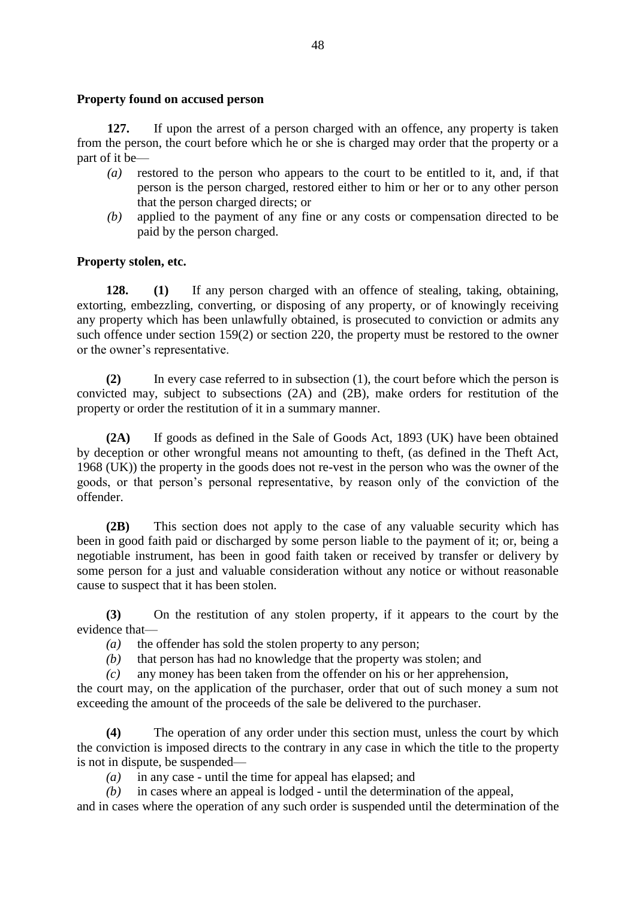#### **Property found on accused person**

**127.** If upon the arrest of a person charged with an offence, any property is taken from the person, the court before which he or she is charged may order that the property or a part of it be—

- *(a)* restored to the person who appears to the court to be entitled to it, and, if that person is the person charged, restored either to him or her or to any other person that the person charged directs; or
- *(b)* applied to the payment of any fine or any costs or compensation directed to be paid by the person charged.

### **Property stolen, etc.**

**128. (1)** If any person charged with an offence of stealing, taking, obtaining, extorting, embezzling, converting, or disposing of any property, or of knowingly receiving any property which has been unlawfully obtained, is prosecuted to conviction or admits any such offence under section 159(2) or section 220, the property must be restored to the owner or the owner's representative.

**(2)** In every case referred to in subsection (1), the court before which the person is convicted may, subject to subsections (2A) and (2B), make orders for restitution of the property or order the restitution of it in a summary manner.

**(2A)** If goods as defined in the Sale of Goods Act, 1893 (UK) have been obtained by deception or other wrongful means not amounting to theft, (as defined in the Theft Act, 1968 (UK)) the property in the goods does not re-vest in the person who was the owner of the goods, or that person's personal representative, by reason only of the conviction of the offender.

**(2B)** This section does not apply to the case of any valuable security which has been in good faith paid or discharged by some person liable to the payment of it; or, being a negotiable instrument, has been in good faith taken or received by transfer or delivery by some person for a just and valuable consideration without any notice or without reasonable cause to suspect that it has been stolen.

**(3)** On the restitution of any stolen property, if it appears to the court by the evidence that—

- *(a)* the offender has sold the stolen property to any person;
- *(b)* that person has had no knowledge that the property was stolen; and

*(c)* any money has been taken from the offender on his or her apprehension,

the court may, on the application of the purchaser, order that out of such money a sum not exceeding the amount of the proceeds of the sale be delivered to the purchaser.

**(4)** The operation of any order under this section must, unless the court by which the conviction is imposed directs to the contrary in any case in which the title to the property is not in dispute, be suspended—

*(a)* in any case - until the time for appeal has elapsed; and

*(b)* in cases where an appeal is lodged - until the determination of the appeal,

and in cases where the operation of any such order is suspended until the determination of the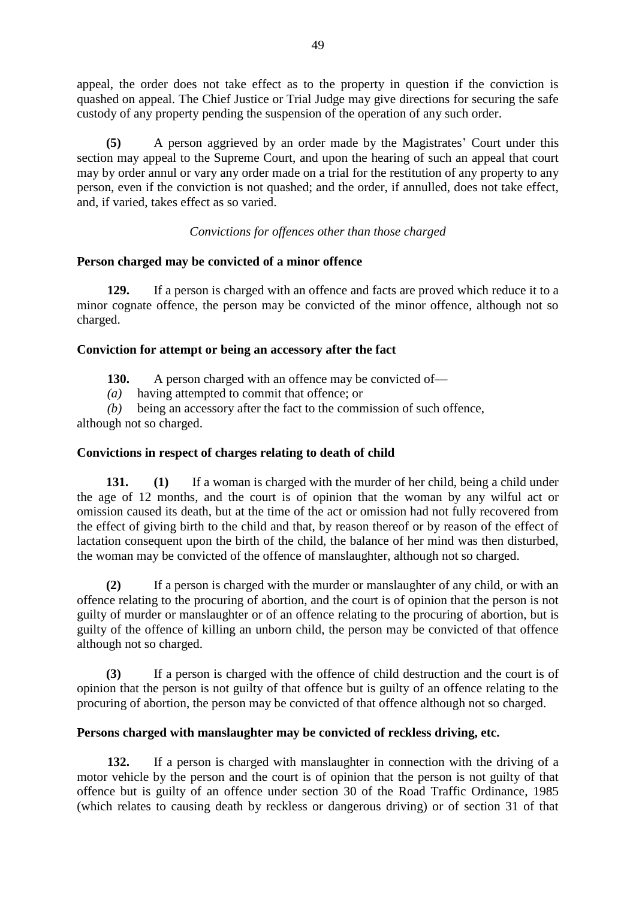appeal, the order does not take effect as to the property in question if the conviction is quashed on appeal. The Chief Justice or Trial Judge may give directions for securing the safe custody of any property pending the suspension of the operation of any such order.

**(5)** A person aggrieved by an order made by the Magistrates' Court under this section may appeal to the Supreme Court, and upon the hearing of such an appeal that court may by order annul or vary any order made on a trial for the restitution of any property to any person, even if the conviction is not quashed; and the order, if annulled, does not take effect, and, if varied, takes effect as so varied.

# *Convictions for offences other than those charged*

### **Person charged may be convicted of a minor offence**

**129.** If a person is charged with an offence and facts are proved which reduce it to a minor cognate offence, the person may be convicted of the minor offence, although not so charged.

### **Conviction for attempt or being an accessory after the fact**

130. A person charged with an offence may be convicted of—

*(a)* having attempted to commit that offence; or

*(b)* being an accessory after the fact to the commission of such offence,

although not so charged.

# **Convictions in respect of charges relating to death of child**

**131. (1)** If a woman is charged with the murder of her child, being a child under the age of 12 months, and the court is of opinion that the woman by any wilful act or omission caused its death, but at the time of the act or omission had not fully recovered from the effect of giving birth to the child and that, by reason thereof or by reason of the effect of lactation consequent upon the birth of the child, the balance of her mind was then disturbed, the woman may be convicted of the offence of manslaughter, although not so charged.

**(2)** If a person is charged with the murder or manslaughter of any child, or with an offence relating to the procuring of abortion, and the court is of opinion that the person is not guilty of murder or manslaughter or of an offence relating to the procuring of abortion, but is guilty of the offence of killing an unborn child, the person may be convicted of that offence although not so charged.

**(3)** If a person is charged with the offence of child destruction and the court is of opinion that the person is not guilty of that offence but is guilty of an offence relating to the procuring of abortion, the person may be convicted of that offence although not so charged.

# **Persons charged with manslaughter may be convicted of reckless driving, etc.**

**132.** If a person is charged with manslaughter in connection with the driving of a motor vehicle by the person and the court is of opinion that the person is not guilty of that offence but is guilty of an offence under section 30 of the Road Traffic Ordinance, 1985 (which relates to causing death by reckless or dangerous driving) or of section 31 of that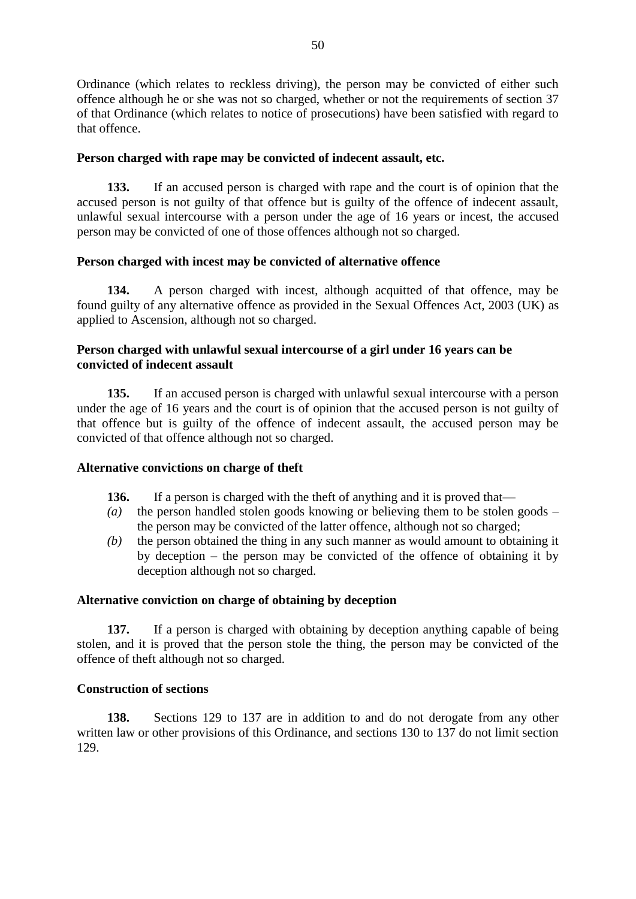Ordinance (which relates to reckless driving), the person may be convicted of either such offence although he or she was not so charged, whether or not the requirements of section 37 of that Ordinance (which relates to notice of prosecutions) have been satisfied with regard to that offence.

# **Person charged with rape may be convicted of indecent assault, etc.**

**133.** If an accused person is charged with rape and the court is of opinion that the accused person is not guilty of that offence but is guilty of the offence of indecent assault, unlawful sexual intercourse with a person under the age of 16 years or incest, the accused person may be convicted of one of those offences although not so charged.

### **Person charged with incest may be convicted of alternative offence**

**134.** A person charged with incest, although acquitted of that offence, may be found guilty of any alternative offence as provided in the Sexual Offences Act, 2003 (UK) as applied to Ascension, although not so charged.

# **Person charged with unlawful sexual intercourse of a girl under 16 years can be convicted of indecent assault**

**135.** If an accused person is charged with unlawful sexual intercourse with a person under the age of 16 years and the court is of opinion that the accused person is not guilty of that offence but is guilty of the offence of indecent assault, the accused person may be convicted of that offence although not so charged.

### **Alternative convictions on charge of theft**

- **136.** If a person is charged with the theft of anything and it is proved that—
- *(a)* the person handled stolen goods knowing or believing them to be stolen goods the person may be convicted of the latter offence, although not so charged;
- *(b)* the person obtained the thing in any such manner as would amount to obtaining it by deception – the person may be convicted of the offence of obtaining it by deception although not so charged.

### **Alternative conviction on charge of obtaining by deception**

**137.** If a person is charged with obtaining by deception anything capable of being stolen, and it is proved that the person stole the thing, the person may be convicted of the offence of theft although not so charged.

### **Construction of sections**

**138.** Sections 129 to 137 are in addition to and do not derogate from any other written law or other provisions of this Ordinance, and sections 130 to 137 do not limit section 129.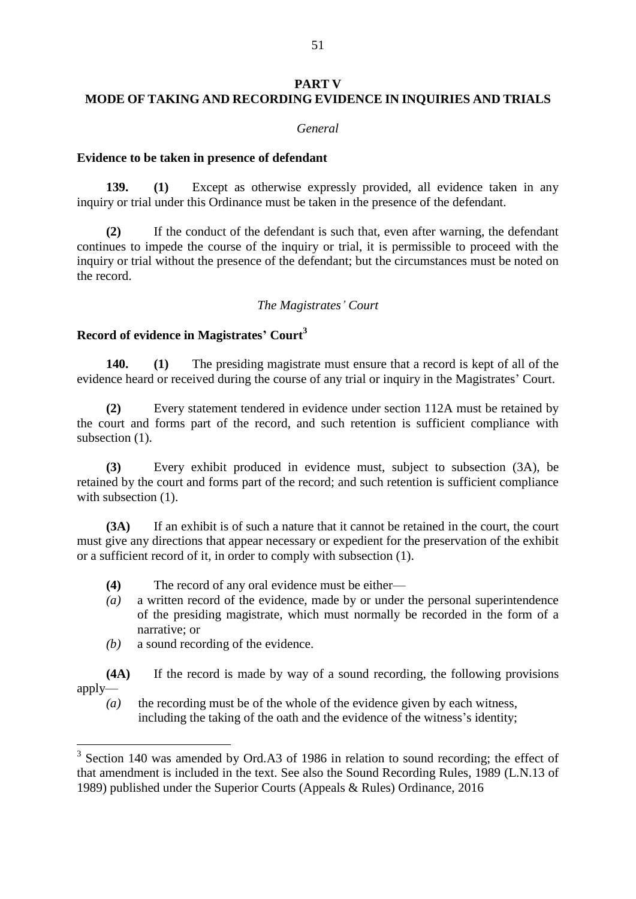#### **PART V**

# **MODE OF TAKING AND RECORDING EVIDENCE IN INQUIRIES AND TRIALS**

### *General*

### **Evidence to be taken in presence of defendant**

**139. (1)** Except as otherwise expressly provided, all evidence taken in any inquiry or trial under this Ordinance must be taken in the presence of the defendant.

**(2)** If the conduct of the defendant is such that, even after warning, the defendant continues to impede the course of the inquiry or trial, it is permissible to proceed with the inquiry or trial without the presence of the defendant; but the circumstances must be noted on the record.

### *The Magistrates' Court*

# **Record of evidence in Magistrates' Court<sup>3</sup>**

**140. (1)** The presiding magistrate must ensure that a record is kept of all of the evidence heard or received during the course of any trial or inquiry in the Magistrates' Court.

**(2)** Every statement tendered in evidence under section 112A must be retained by the court and forms part of the record, and such retention is sufficient compliance with subsection (1).

**(3)** Every exhibit produced in evidence must, subject to subsection (3A), be retained by the court and forms part of the record; and such retention is sufficient compliance with subsection  $(1)$ .

**(3A)** If an exhibit is of such a nature that it cannot be retained in the court, the court must give any directions that appear necessary or expedient for the preservation of the exhibit or a sufficient record of it, in order to comply with subsection (1).

- **(4)** The record of any oral evidence must be either—
- *(a)* a written record of the evidence, made by or under the personal superintendence of the presiding magistrate, which must normally be recorded in the form of a narrative; or
- *(b)* a sound recording of the evidence.
- **(4A)** If the record is made by way of a sound recording, the following provisions apply—
	- *(a)* the recording must be of the whole of the evidence given by each witness, including the taking of the oath and the evidence of the witness's identity;

<sup>&</sup>lt;sup>3</sup> Section 140 was amended by Ord.A3 of 1986 in relation to sound recording; the effect of that amendment is included in the text. See also the Sound Recording Rules, 1989 (L.N.13 of 1989) published under the Superior Courts (Appeals & Rules) Ordinance, 2016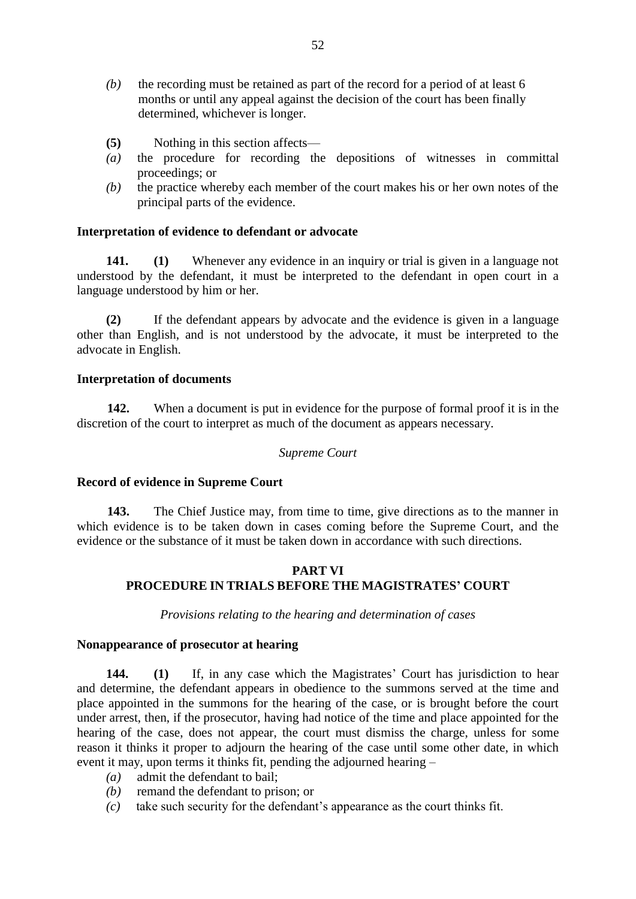- *(b)* the recording must be retained as part of the record for a period of at least 6 months or until any appeal against the decision of the court has been finally determined, whichever is longer.
- **(5)** Nothing in this section affects—
- *(a)* the procedure for recording the depositions of witnesses in committal proceedings; or
- *(b)* the practice whereby each member of the court makes his or her own notes of the principal parts of the evidence.

#### **Interpretation of evidence to defendant or advocate**

**141. (1)** Whenever any evidence in an inquiry or trial is given in a language not understood by the defendant, it must be interpreted to the defendant in open court in a language understood by him or her.

**(2)** If the defendant appears by advocate and the evidence is given in a language other than English, and is not understood by the advocate, it must be interpreted to the advocate in English.

#### **Interpretation of documents**

**142.** When a document is put in evidence for the purpose of formal proof it is in the discretion of the court to interpret as much of the document as appears necessary.

#### *Supreme Court*

#### **Record of evidence in Supreme Court**

**143.** The Chief Justice may, from time to time, give directions as to the manner in which evidence is to be taken down in cases coming before the Supreme Court, and the evidence or the substance of it must be taken down in accordance with such directions.

### **PART VI PROCEDURE IN TRIALS BEFORE THE MAGISTRATES' COURT**

*Provisions relating to the hearing and determination of cases*

#### **Nonappearance of prosecutor at hearing**

**144. (1)** If, in any case which the Magistrates' Court has jurisdiction to hear and determine, the defendant appears in obedience to the summons served at the time and place appointed in the summons for the hearing of the case, or is brought before the court under arrest, then, if the prosecutor, having had notice of the time and place appointed for the hearing of the case, does not appear, the court must dismiss the charge, unless for some reason it thinks it proper to adjourn the hearing of the case until some other date, in which event it may, upon terms it thinks fit, pending the adjourned hearing –

- *(a)* admit the defendant to bail;
- *(b)* remand the defendant to prison; or
- *(c)* take such security for the defendant's appearance as the court thinks fit.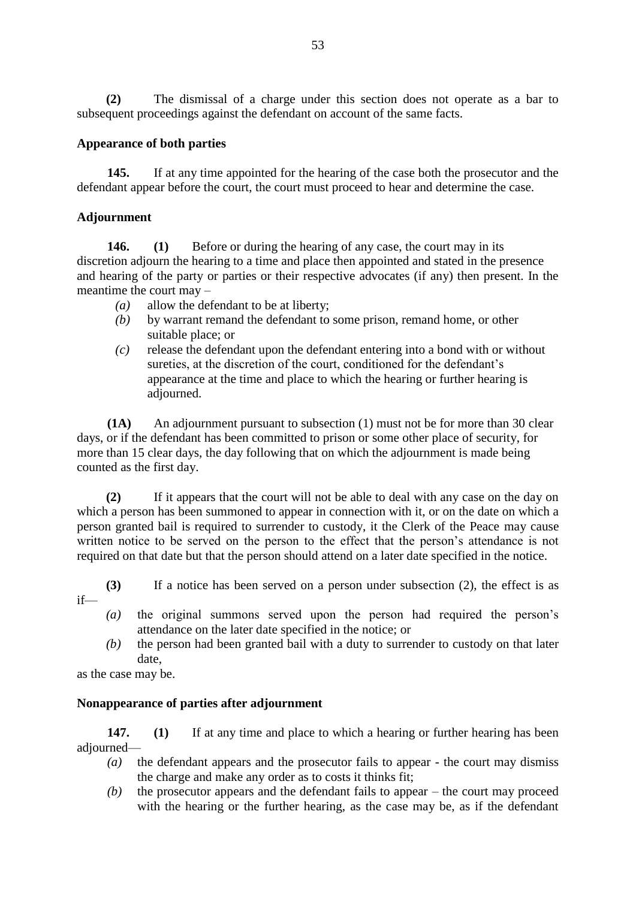**(2)** The dismissal of a charge under this section does not operate as a bar to subsequent proceedings against the defendant on account of the same facts.

### **Appearance of both parties**

**145.** If at any time appointed for the hearing of the case both the prosecutor and the defendant appear before the court, the court must proceed to hear and determine the case.

# **Adjournment**

**146. (1)** Before or during the hearing of any case, the court may in its discretion adjourn the hearing to a time and place then appointed and stated in the presence and hearing of the party or parties or their respective advocates (if any) then present. In the meantime the court may –

- *(a)* allow the defendant to be at liberty;
- *(b)* by warrant remand the defendant to some prison, remand home, or other suitable place; or
- *(c)* release the defendant upon the defendant entering into a bond with or without sureties, at the discretion of the court, conditioned for the defendant's appearance at the time and place to which the hearing or further hearing is adjourned.

**(1A)** An adjournment pursuant to subsection (1) must not be for more than 30 clear days, or if the defendant has been committed to prison or some other place of security, for more than 15 clear days, the day following that on which the adjournment is made being counted as the first day.

**(2)** If it appears that the court will not be able to deal with any case on the day on which a person has been summoned to appear in connection with it, or on the date on which a person granted bail is required to surrender to custody, it the Clerk of the Peace may cause written notice to be served on the person to the effect that the person's attendance is not required on that date but that the person should attend on a later date specified in the notice.

**(3)** If a notice has been served on a person under subsection (2), the effect is as if—

- *(a)* the original summons served upon the person had required the person's attendance on the later date specified in the notice; or
- *(b)* the person had been granted bail with a duty to surrender to custody on that later date,

as the case may be.

### **Nonappearance of parties after adjournment**

**147. (1)** If at any time and place to which a hearing or further hearing has been adjourned—

- *(a)* the defendant appears and the prosecutor fails to appear the court may dismiss the charge and make any order as to costs it thinks fit;
- *(b)* the prosecutor appears and the defendant fails to appear the court may proceed with the hearing or the further hearing, as the case may be, as if the defendant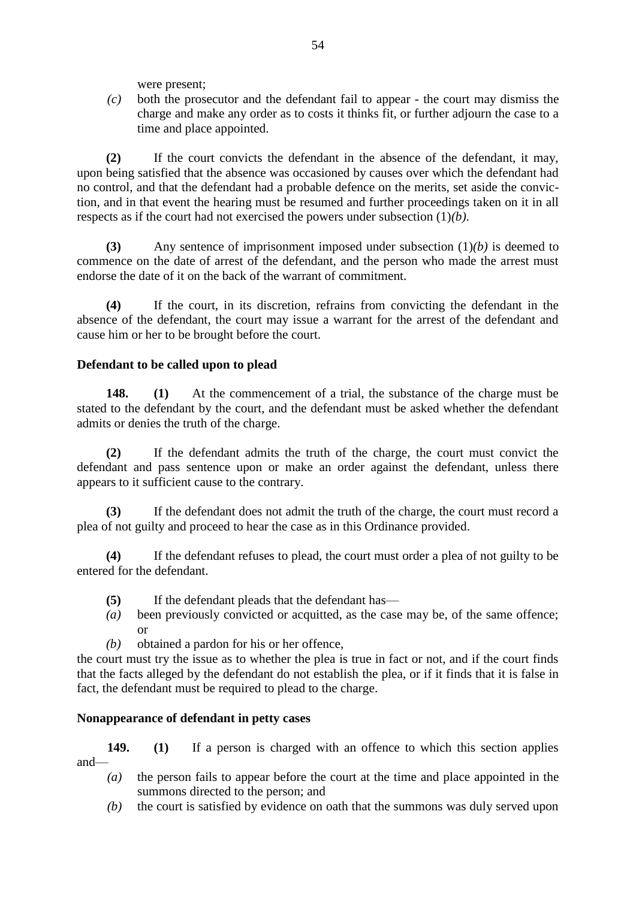were present;

*(c)* both the prosecutor and the defendant fail to appear - the court may dismiss the charge and make any order as to costs it thinks fit, or further adjourn the case to a time and place appointed.

**(2)** If the court convicts the defendant in the absence of the defendant, it may, upon being satisfied that the absence was occasioned by causes over which the defendant had no control, and that the defendant had a probable defence on the merits, set aside the conviction, and in that event the hearing must be resumed and further proceedings taken on it in all respects as if the court had not exercised the powers under subsection (1)*(b)*.

**(3)** Any sentence of imprisonment imposed under subsection (1)*(b)* is deemed to commence on the date of arrest of the defendant, and the person who made the arrest must endorse the date of it on the back of the warrant of commitment.

**(4)** If the court, in its discretion, refrains from convicting the defendant in the absence of the defendant, the court may issue a warrant for the arrest of the defendant and cause him or her to be brought before the court.

### **Defendant to be called upon to plead**

**148. (1)** At the commencement of a trial, the substance of the charge must be stated to the defendant by the court, and the defendant must be asked whether the defendant admits or denies the truth of the charge.

**(2)** If the defendant admits the truth of the charge, the court must convict the defendant and pass sentence upon or make an order against the defendant, unless there appears to it sufficient cause to the contrary.

**(3)** If the defendant does not admit the truth of the charge, the court must record a plea of not guilty and proceed to hear the case as in this Ordinance provided.

**(4)** If the defendant refuses to plead, the court must order a plea of not guilty to be entered for the defendant.

- **(5)** If the defendant pleads that the defendant has—
- *(a)* been previously convicted or acquitted, as the case may be, of the same offence; or
- *(b)* obtained a pardon for his or her offence,

the court must try the issue as to whether the plea is true in fact or not, and if the court finds that the facts alleged by the defendant do not establish the plea, or if it finds that it is false in fact, the defendant must be required to plead to the charge.

### **Nonappearance of defendant in petty cases**

**149. (1)** If a person is charged with an offence to which this section applies and—

- *(a)* the person fails to appear before the court at the time and place appointed in the summons directed to the person; and
- *(b)* the court is satisfied by evidence on oath that the summons was duly served upon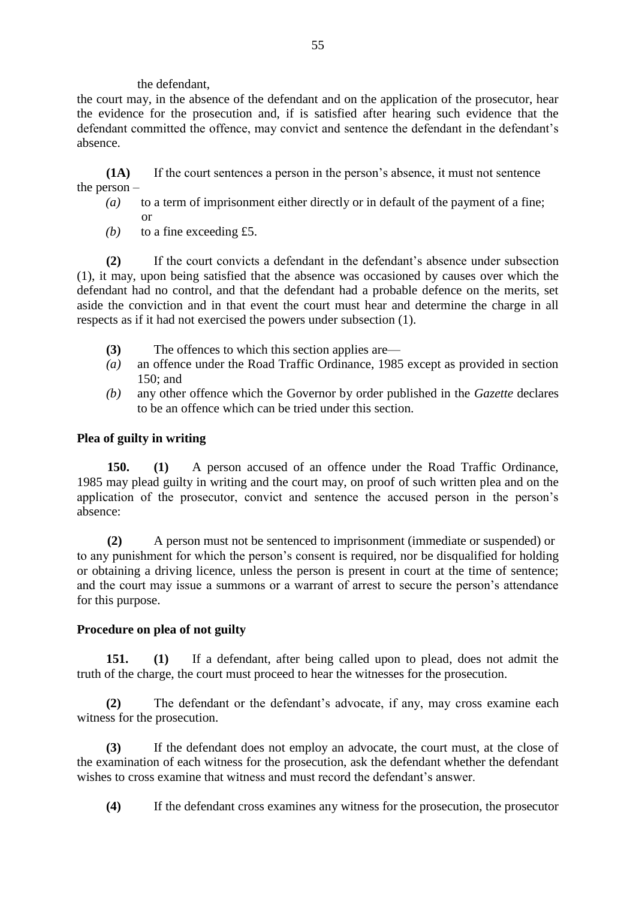the defendant,

the court may, in the absence of the defendant and on the application of the prosecutor, hear the evidence for the prosecution and, if is satisfied after hearing such evidence that the defendant committed the offence, may convict and sentence the defendant in the defendant's absence.

**(1A)** If the court sentences a person in the person's absence, it must not sentence the person –

- *(a)* to a term of imprisonment either directly or in default of the payment of a fine; or
- *(b)* to a fine exceeding £5.

**(2)** If the court convicts a defendant in the defendant's absence under subsection (1), it may, upon being satisfied that the absence was occasioned by causes over which the defendant had no control, and that the defendant had a probable defence on the merits, set aside the conviction and in that event the court must hear and determine the charge in all respects as if it had not exercised the powers under subsection (1).

- **(3)** The offences to which this section applies are—
- *(a)* an offence under the Road Traffic Ordinance, 1985 except as provided in section 150; and
- *(b)* any other offence which the Governor by order published in the *Gazette* declares to be an offence which can be tried under this section.

# **Plea of guilty in writing**

**150. (1)** A person accused of an offence under the Road Traffic Ordinance, 1985 may plead guilty in writing and the court may, on proof of such written plea and on the application of the prosecutor, convict and sentence the accused person in the person's absence:

**(2)** A person must not be sentenced to imprisonment (immediate or suspended) or to any punishment for which the person's consent is required, nor be disqualified for holding or obtaining a driving licence, unless the person is present in court at the time of sentence; and the court may issue a summons or a warrant of arrest to secure the person's attendance for this purpose.

# **Procedure on plea of not guilty**

**151. (1)** If a defendant, after being called upon to plead, does not admit the truth of the charge, the court must proceed to hear the witnesses for the prosecution.

**(2)** The defendant or the defendant's advocate, if any, may cross examine each witness for the prosecution.

**(3)** If the defendant does not employ an advocate, the court must, at the close of the examination of each witness for the prosecution, ask the defendant whether the defendant wishes to cross examine that witness and must record the defendant's answer.

**(4)** If the defendant cross examines any witness for the prosecution, the prosecutor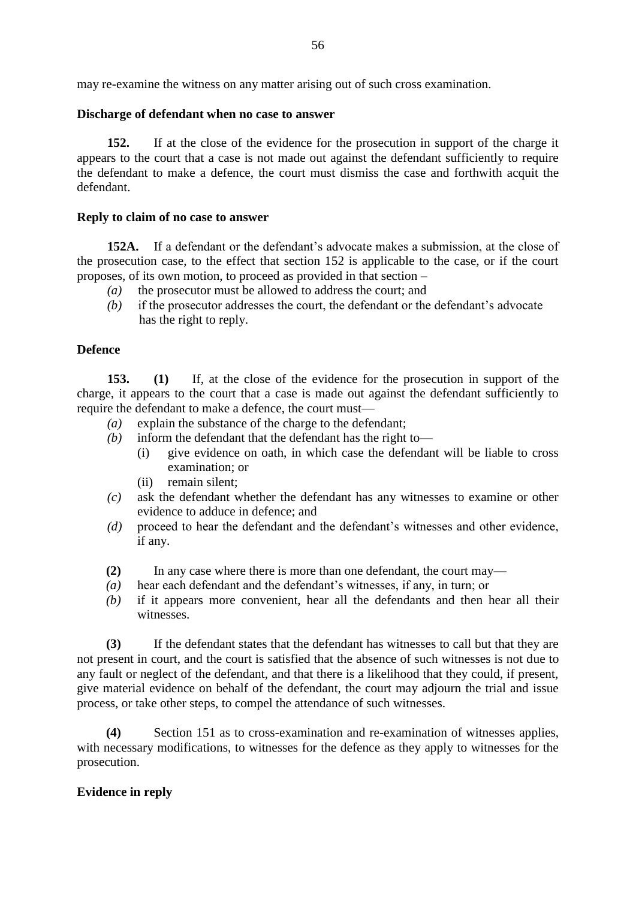may re-examine the witness on any matter arising out of such cross examination.

### **Discharge of defendant when no case to answer**

**152.** If at the close of the evidence for the prosecution in support of the charge it appears to the court that a case is not made out against the defendant sufficiently to require the defendant to make a defence, the court must dismiss the case and forthwith acquit the defendant.

### **Reply to claim of no case to answer**

**152A.** If a defendant or the defendant's advocate makes a submission, at the close of the prosecution case, to the effect that section 152 is applicable to the case, or if the court proposes, of its own motion, to proceed as provided in that section –

- *(a)* the prosecutor must be allowed to address the court; and
- *(b)* if the prosecutor addresses the court, the defendant or the defendant's advocate has the right to reply.

### **Defence**

**153. (1)** If, at the close of the evidence for the prosecution in support of the charge, it appears to the court that a case is made out against the defendant sufficiently to require the defendant to make a defence, the court must—

- *(a)* explain the substance of the charge to the defendant;
- *(b)* inform the defendant that the defendant has the right to—
	- (i) give evidence on oath, in which case the defendant will be liable to cross examination; or
	- (ii) remain silent;
- *(c)* ask the defendant whether the defendant has any witnesses to examine or other evidence to adduce in defence; and
- *(d)* proceed to hear the defendant and the defendant's witnesses and other evidence, if any.
- **(2)** In any case where there is more than one defendant, the court may—
- *(a)* hear each defendant and the defendant's witnesses, if any, in turn; or
- *(b)* if it appears more convenient, hear all the defendants and then hear all their witnesses.

**(3)** If the defendant states that the defendant has witnesses to call but that they are not present in court, and the court is satisfied that the absence of such witnesses is not due to any fault or neglect of the defendant, and that there is a likelihood that they could, if present, give material evidence on behalf of the defendant, the court may adjourn the trial and issue process, or take other steps, to compel the attendance of such witnesses.

**(4)** Section 151 as to cross-examination and re-examination of witnesses applies, with necessary modifications, to witnesses for the defence as they apply to witnesses for the prosecution.

# **Evidence in reply**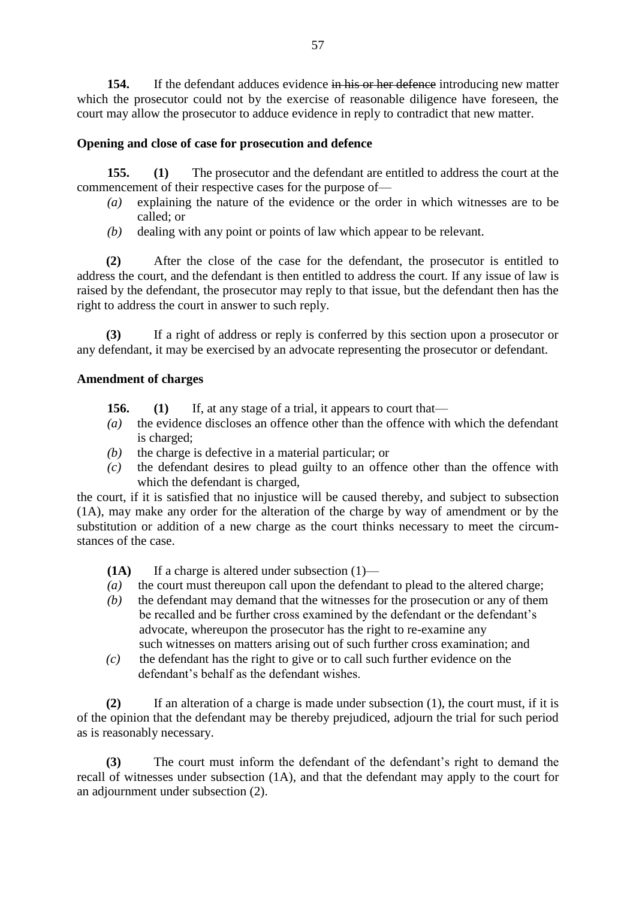**154.** If the defendant adduces evidence in his or her defence introducing new matter which the prosecutor could not by the exercise of reasonable diligence have foreseen, the court may allow the prosecutor to adduce evidence in reply to contradict that new matter.

# **Opening and close of case for prosecution and defence**

**155. (1)** The prosecutor and the defendant are entitled to address the court at the commencement of their respective cases for the purpose of—

- *(a)* explaining the nature of the evidence or the order in which witnesses are to be called; or
- *(b)* dealing with any point or points of law which appear to be relevant.

**(2)** After the close of the case for the defendant, the prosecutor is entitled to address the court, and the defendant is then entitled to address the court. If any issue of law is raised by the defendant, the prosecutor may reply to that issue, but the defendant then has the right to address the court in answer to such reply.

**(3)** If a right of address or reply is conferred by this section upon a prosecutor or any defendant, it may be exercised by an advocate representing the prosecutor or defendant.

### **Amendment of charges**

- **156. (1)** If, at any stage of a trial, it appears to court that—
- *(a)* the evidence discloses an offence other than the offence with which the defendant is charged;
- *(b)* the charge is defective in a material particular; or
- *(c)* the defendant desires to plead guilty to an offence other than the offence with which the defendant is charged,

the court, if it is satisfied that no injustice will be caused thereby, and subject to subsection (1A), may make any order for the alteration of the charge by way of amendment or by the substitution or addition of a new charge as the court thinks necessary to meet the circumstances of the case.

**(1A)** If a charge is altered under subsection (1)—

- *(a)* the court must thereupon call upon the defendant to plead to the altered charge;
- *(b)* the defendant may demand that the witnesses for the prosecution or any of them be recalled and be further cross examined by the defendant or the defendant's advocate, whereupon the prosecutor has the right to re-examine any such witnesses on matters arising out of such further cross examination; and
- *(c)* the defendant has the right to give or to call such further evidence on the defendant's behalf as the defendant wishes.

**(2)** If an alteration of a charge is made under subsection (1), the court must, if it is of the opinion that the defendant may be thereby prejudiced, adjourn the trial for such period as is reasonably necessary.

**(3)** The court must inform the defendant of the defendant's right to demand the recall of witnesses under subsection (1A), and that the defendant may apply to the court for an adjournment under subsection (2).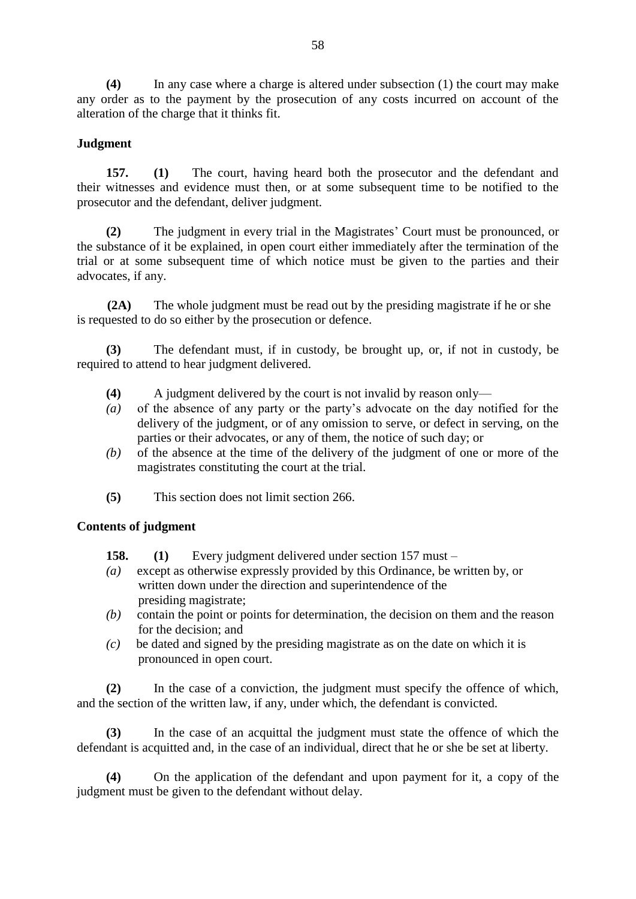**(4)** In any case where a charge is altered under subsection (1) the court may make any order as to the payment by the prosecution of any costs incurred on account of the alteration of the charge that it thinks fit.

# **Judgment**

**157. (1)** The court, having heard both the prosecutor and the defendant and their witnesses and evidence must then, or at some subsequent time to be notified to the prosecutor and the defendant, deliver judgment.

**(2)** The judgment in every trial in the Magistrates' Court must be pronounced, or the substance of it be explained, in open court either immediately after the termination of the trial or at some subsequent time of which notice must be given to the parties and their advocates, if any.

**(2A)** The whole judgment must be read out by the presiding magistrate if he or she is requested to do so either by the prosecution or defence.

**(3)** The defendant must, if in custody, be brought up, or, if not in custody, be required to attend to hear judgment delivered.

- **(4)** A judgment delivered by the court is not invalid by reason only—
- *(a)* of the absence of any party or the party's advocate on the day notified for the delivery of the judgment, or of any omission to serve, or defect in serving, on the parties or their advocates, or any of them, the notice of such day; or
- *(b)* of the absence at the time of the delivery of the judgment of one or more of the magistrates constituting the court at the trial.
- **(5)** This section does not limit section 266.

### **Contents of judgment**

**158. (1)** Every judgment delivered under section 157 must –

- *(a)* except as otherwise expressly provided by this Ordinance, be written by, or written down under the direction and superintendence of the presiding magistrate;
- *(b)* contain the point or points for determination, the decision on them and the reason for the decision; and
- *(c)* be dated and signed by the presiding magistrate as on the date on which it is pronounced in open court.

**(2)** In the case of a conviction, the judgment must specify the offence of which, and the section of the written law, if any, under which, the defendant is convicted.

**(3)** In the case of an acquittal the judgment must state the offence of which the defendant is acquitted and, in the case of an individual, direct that he or she be set at liberty.

**(4)** On the application of the defendant and upon payment for it, a copy of the judgment must be given to the defendant without delay.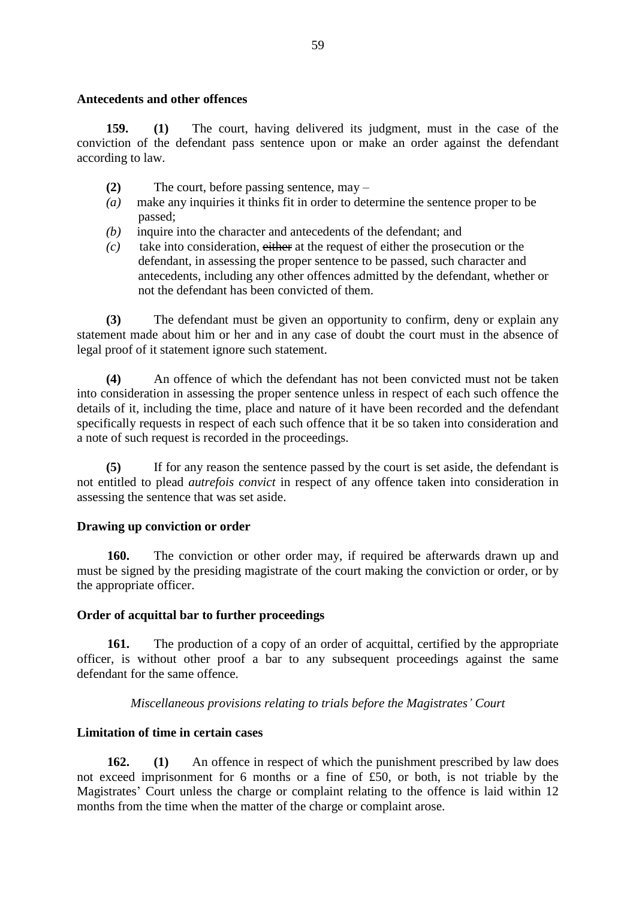#### **Antecedents and other offences**

**159. (1)** The court, having delivered its judgment, must in the case of the conviction of the defendant pass sentence upon or make an order against the defendant according to law.

- **(2)** The court, before passing sentence, may –
- *(a)* make any inquiries it thinks fit in order to determine the sentence proper to be passed;
- *(b)* inquire into the character and antecedents of the defendant; and
- *(c)* take into consideration, either at the request of either the prosecution or the defendant, in assessing the proper sentence to be passed, such character and antecedents, including any other offences admitted by the defendant, whether or not the defendant has been convicted of them.

**(3)** The defendant must be given an opportunity to confirm, deny or explain any statement made about him or her and in any case of doubt the court must in the absence of legal proof of it statement ignore such statement.

**(4)** An offence of which the defendant has not been convicted must not be taken into consideration in assessing the proper sentence unless in respect of each such offence the details of it, including the time, place and nature of it have been recorded and the defendant specifically requests in respect of each such offence that it be so taken into consideration and a note of such request is recorded in the proceedings.

**(5)** If for any reason the sentence passed by the court is set aside, the defendant is not entitled to plead *autrefois convict* in respect of any offence taken into consideration in assessing the sentence that was set aside.

### **Drawing up conviction or order**

**160.** The conviction or other order may, if required be afterwards drawn up and must be signed by the presiding magistrate of the court making the conviction or order, or by the appropriate officer.

### **Order of acquittal bar to further proceedings**

**161.** The production of a copy of an order of acquittal, certified by the appropriate officer, is without other proof a bar to any subsequent proceedings against the same defendant for the same offence.

# *Miscellaneous provisions relating to trials before the Magistrates' Court*

# **Limitation of time in certain cases**

**162. (1)** An offence in respect of which the punishment prescribed by law does not exceed imprisonment for 6 months or a fine of £50, or both, is not triable by the Magistrates' Court unless the charge or complaint relating to the offence is laid within 12 months from the time when the matter of the charge or complaint arose.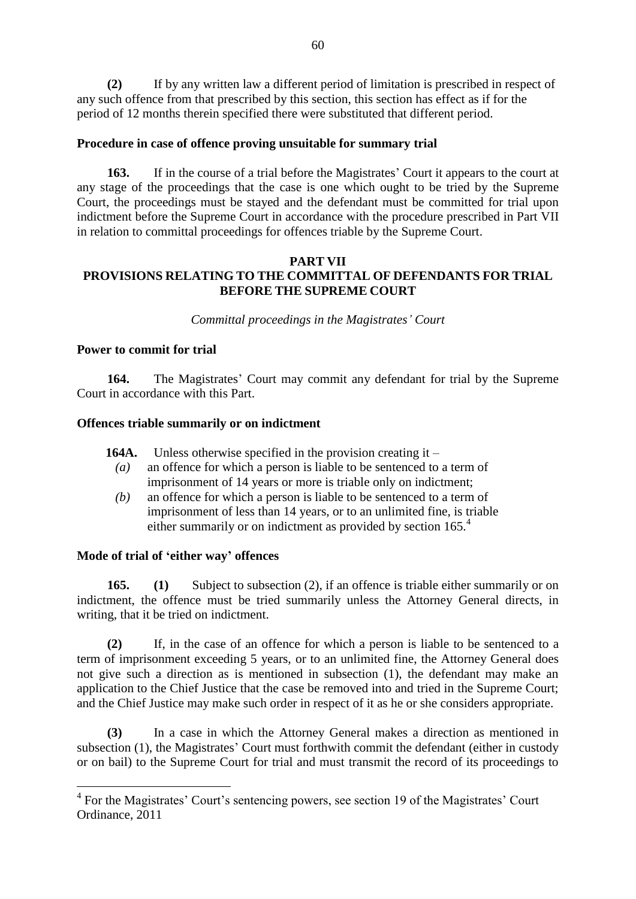**(2)** If by any written law a different period of limitation is prescribed in respect of any such offence from that prescribed by this section, this section has effect as if for the period of 12 months therein specified there were substituted that different period.

### **Procedure in case of offence proving unsuitable for summary trial**

**163.** If in the course of a trial before the Magistrates' Court it appears to the court at any stage of the proceedings that the case is one which ought to be tried by the Supreme Court, the proceedings must be stayed and the defendant must be committed for trial upon indictment before the Supreme Court in accordance with the procedure prescribed in Part VII in relation to committal proceedings for offences triable by the Supreme Court.

### **PART VII PROVISIONS RELATING TO THE COMMITTAL OF DEFENDANTS FOR TRIAL BEFORE THE SUPREME COURT**

*Committal proceedings in the Magistrates' Court*

#### **Power to commit for trial**

**164.** The Magistrates' Court may commit any defendant for trial by the Supreme Court in accordance with this Part.

#### **Offences triable summarily or on indictment**

**164A.** Unless otherwise specified in the provision creating it –

- *(a)* an offence for which a person is liable to be sentenced to a term of imprisonment of 14 years or more is triable only on indictment;
- *(b)* an offence for which a person is liable to be sentenced to a term of imprisonment of less than 14 years, or to an unlimited fine, is triable either summarily or on indictment as provided by section 165.<sup>4</sup>

### **Mode of trial of 'either way' offences**

1

**165. (1)** Subject to subsection (2), if an offence is triable either summarily or on indictment, the offence must be tried summarily unless the Attorney General directs, in writing, that it be tried on indictment.

**(2)** If, in the case of an offence for which a person is liable to be sentenced to a term of imprisonment exceeding 5 years, or to an unlimited fine, the Attorney General does not give such a direction as is mentioned in subsection (1), the defendant may make an application to the Chief Justice that the case be removed into and tried in the Supreme Court; and the Chief Justice may make such order in respect of it as he or she considers appropriate.

**(3)** In a case in which the Attorney General makes a direction as mentioned in subsection (1), the Magistrates' Court must forthwith commit the defendant (either in custody or on bail) to the Supreme Court for trial and must transmit the record of its proceedings to

<sup>&</sup>lt;sup>4</sup> For the Magistrates' Court's sentencing powers, see section 19 of the Magistrates' Court Ordinance, 2011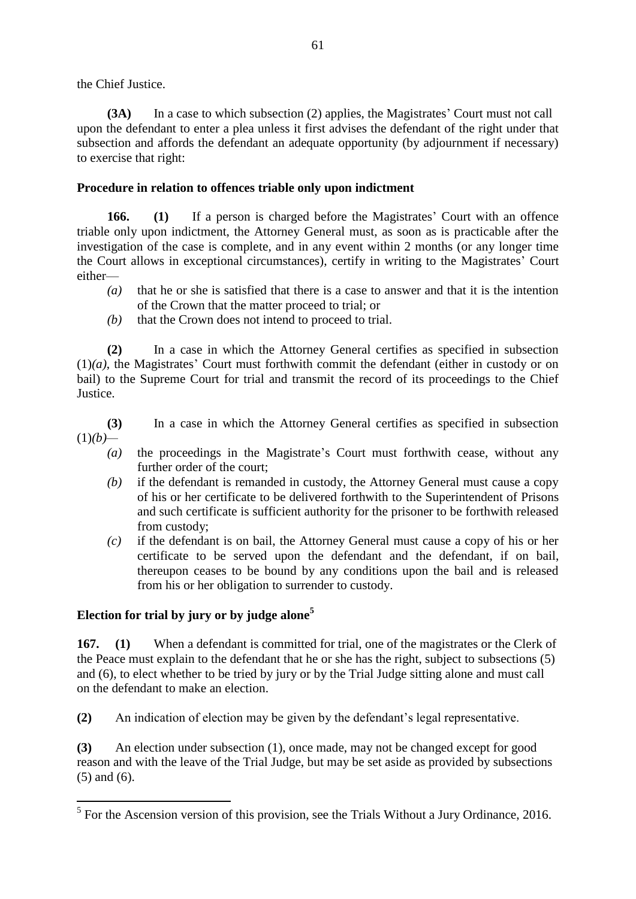the Chief Justice.

**(3A)** In a case to which subsection (2) applies, the Magistrates' Court must not call upon the defendant to enter a plea unless it first advises the defendant of the right under that subsection and affords the defendant an adequate opportunity (by adjournment if necessary) to exercise that right:

# **Procedure in relation to offences triable only upon indictment**

**166. (1)** If a person is charged before the Magistrates' Court with an offence triable only upon indictment, the Attorney General must, as soon as is practicable after the investigation of the case is complete, and in any event within 2 months (or any longer time the Court allows in exceptional circumstances), certify in writing to the Magistrates' Court either—

- *(a)* that he or she is satisfied that there is a case to answer and that it is the intention of the Crown that the matter proceed to trial; or
- *(b)* that the Crown does not intend to proceed to trial.

**(2)** In a case in which the Attorney General certifies as specified in subsection (1)*(a)*, the Magistrates' Court must forthwith commit the defendant (either in custody or on bail) to the Supreme Court for trial and transmit the record of its proceedings to the Chief Justice.

**(3)** In a case in which the Attorney General certifies as specified in subsection  $(1)(b)$ —

- *(a)* the proceedings in the Magistrate's Court must forthwith cease, without any further order of the court;
- *(b)* if the defendant is remanded in custody, the Attorney General must cause a copy of his or her certificate to be delivered forthwith to the Superintendent of Prisons and such certificate is sufficient authority for the prisoner to be forthwith released from custody;
- *(c)* if the defendant is on bail, the Attorney General must cause a copy of his or her certificate to be served upon the defendant and the defendant, if on bail, thereupon ceases to be bound by any conditions upon the bail and is released from his or her obligation to surrender to custody.

# **Election for trial by jury or by judge alone<sup>5</sup>**

**167. (1)** When a defendant is committed for trial, one of the magistrates or the Clerk of the Peace must explain to the defendant that he or she has the right, subject to subsections (5) and (6), to elect whether to be tried by jury or by the Trial Judge sitting alone and must call on the defendant to make an election.

**(2)** An indication of election may be given by the defendant's legal representative.

**(3)** An election under subsection (1), once made, may not be changed except for good reason and with the leave of the Trial Judge, but may be set aside as provided by subsections (5) and (6).

<sup>&</sup>lt;sup>5</sup> For the Ascension version of this provision, see the Trials Without a Jury Ordinance, 2016.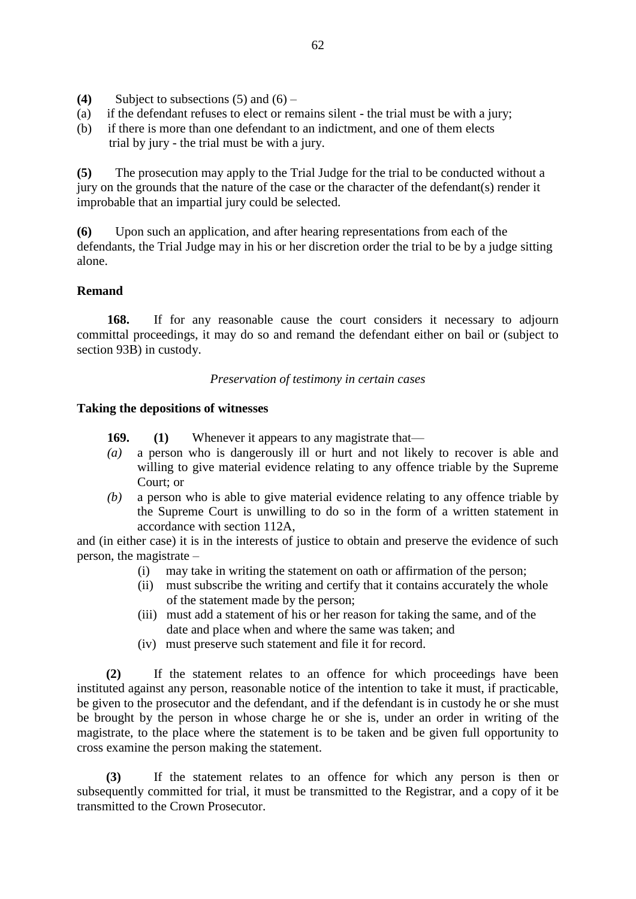- **(4)** Subject to subsections  $(5)$  and  $(6)$  –
- (a) if the defendant refuses to elect or remains silent the trial must be with a jury;
- (b) if there is more than one defendant to an indictment, and one of them elects trial by jury - the trial must be with a jury.

**(5)** The prosecution may apply to the Trial Judge for the trial to be conducted without a jury on the grounds that the nature of the case or the character of the defendant(s) render it improbable that an impartial jury could be selected.

**(6)** Upon such an application, and after hearing representations from each of the defendants, the Trial Judge may in his or her discretion order the trial to be by a judge sitting alone.

### **Remand**

**168.** If for any reasonable cause the court considers it necessary to adjourn committal proceedings, it may do so and remand the defendant either on bail or (subject to section 93B) in custody.

*Preservation of testimony in certain cases*

#### **Taking the depositions of witnesses**

- **169. (1)** Whenever it appears to any magistrate that—
- *(a)* a person who is dangerously ill or hurt and not likely to recover is able and willing to give material evidence relating to any offence triable by the Supreme Court; or
- *(b)* a person who is able to give material evidence relating to any offence triable by the Supreme Court is unwilling to do so in the form of a written statement in accordance with section 112A,

and (in either case) it is in the interests of justice to obtain and preserve the evidence of such person, the magistrate –

- (i) may take in writing the statement on oath or affirmation of the person;
- (ii) must subscribe the writing and certify that it contains accurately the whole of the statement made by the person;
- (iii) must add a statement of his or her reason for taking the same, and of the date and place when and where the same was taken; and
- (iv) must preserve such statement and file it for record.

**(2)** If the statement relates to an offence for which proceedings have been instituted against any person, reasonable notice of the intention to take it must, if practicable, be given to the prosecutor and the defendant, and if the defendant is in custody he or she must be brought by the person in whose charge he or she is, under an order in writing of the magistrate, to the place where the statement is to be taken and be given full opportunity to cross examine the person making the statement.

**(3)** If the statement relates to an offence for which any person is then or subsequently committed for trial, it must be transmitted to the Registrar, and a copy of it be transmitted to the Crown Prosecutor.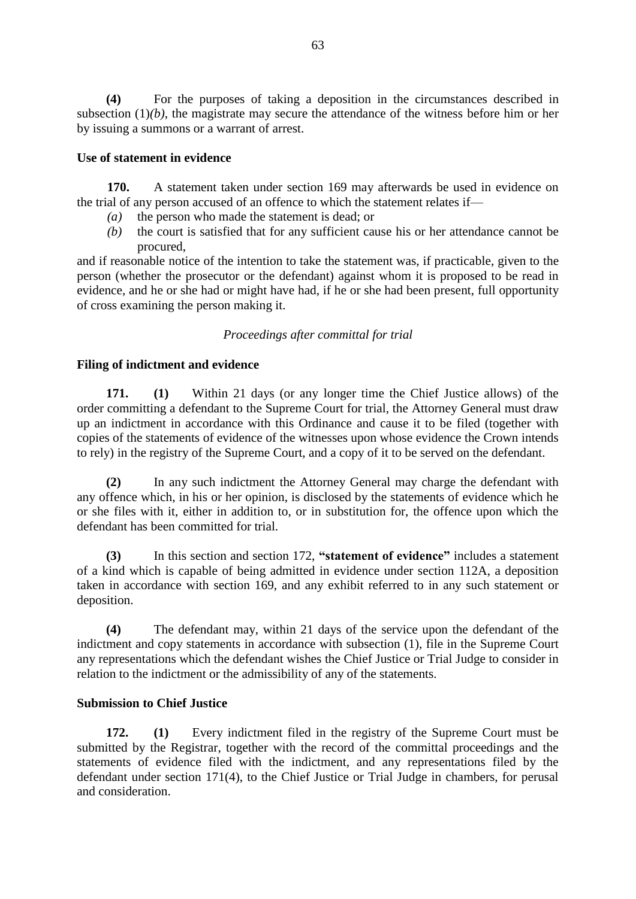**(4)** For the purposes of taking a deposition in the circumstances described in subsection (1)*(b)*, the magistrate may secure the attendance of the witness before him or her by issuing a summons or a warrant of arrest.

### **Use of statement in evidence**

**170.** A statement taken under section 169 may afterwards be used in evidence on the trial of any person accused of an offence to which the statement relates if—

- *(a)* the person who made the statement is dead; or
- *(b)* the court is satisfied that for any sufficient cause his or her attendance cannot be procured,

and if reasonable notice of the intention to take the statement was, if practicable, given to the person (whether the prosecutor or the defendant) against whom it is proposed to be read in evidence, and he or she had or might have had, if he or she had been present, full opportunity of cross examining the person making it.

### *Proceedings after committal for trial*

### **Filing of indictment and evidence**

**171. (1)** Within 21 days (or any longer time the Chief Justice allows) of the order committing a defendant to the Supreme Court for trial, the Attorney General must draw up an indictment in accordance with this Ordinance and cause it to be filed (together with copies of the statements of evidence of the witnesses upon whose evidence the Crown intends to rely) in the registry of the Supreme Court, and a copy of it to be served on the defendant.

**(2)** In any such indictment the Attorney General may charge the defendant with any offence which, in his or her opinion, is disclosed by the statements of evidence which he or she files with it, either in addition to, or in substitution for, the offence upon which the defendant has been committed for trial.

**(3)** In this section and section 172, **"statement of evidence"** includes a statement of a kind which is capable of being admitted in evidence under section 112A, a deposition taken in accordance with section 169, and any exhibit referred to in any such statement or deposition.

**(4)** The defendant may, within 21 days of the service upon the defendant of the indictment and copy statements in accordance with subsection (1), file in the Supreme Court any representations which the defendant wishes the Chief Justice or Trial Judge to consider in relation to the indictment or the admissibility of any of the statements.

### **Submission to Chief Justice**

**172. (1)** Every indictment filed in the registry of the Supreme Court must be submitted by the Registrar, together with the record of the committal proceedings and the statements of evidence filed with the indictment, and any representations filed by the defendant under section 171(4), to the Chief Justice or Trial Judge in chambers, for perusal and consideration.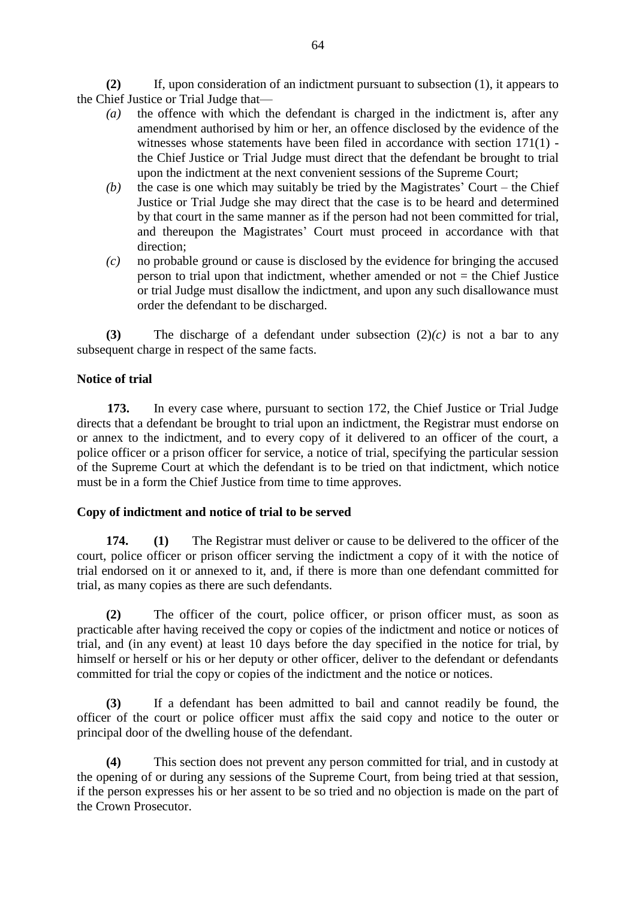**(2)** If, upon consideration of an indictment pursuant to subsection (1), it appears to the Chief Justice or Trial Judge that—

- *(a)* the offence with which the defendant is charged in the indictment is, after any amendment authorised by him or her, an offence disclosed by the evidence of the witnesses whose statements have been filed in accordance with section 171(1) the Chief Justice or Trial Judge must direct that the defendant be brought to trial upon the indictment at the next convenient sessions of the Supreme Court;
- *(b)* the case is one which may suitably be tried by the Magistrates' Court the Chief Justice or Trial Judge she may direct that the case is to be heard and determined by that court in the same manner as if the person had not been committed for trial, and thereupon the Magistrates' Court must proceed in accordance with that direction;
- *(c)* no probable ground or cause is disclosed by the evidence for bringing the accused person to trial upon that indictment, whether amended or not  $=$  the Chief Justice or trial Judge must disallow the indictment, and upon any such disallowance must order the defendant to be discharged.

**(3)** The discharge of a defendant under subsection (2)*(c)* is not a bar to any subsequent charge in respect of the same facts.

### **Notice of trial**

**173.** In every case where, pursuant to section 172, the Chief Justice or Trial Judge directs that a defendant be brought to trial upon an indictment, the Registrar must endorse on or annex to the indictment, and to every copy of it delivered to an officer of the court, a police officer or a prison officer for service, a notice of trial, specifying the particular session of the Supreme Court at which the defendant is to be tried on that indictment, which notice must be in a form the Chief Justice from time to time approves.

### **Copy of indictment and notice of trial to be served**

**174. (1)** The Registrar must deliver or cause to be delivered to the officer of the court, police officer or prison officer serving the indictment a copy of it with the notice of trial endorsed on it or annexed to it, and, if there is more than one defendant committed for trial, as many copies as there are such defendants.

**(2)** The officer of the court, police officer, or prison officer must, as soon as practicable after having received the copy or copies of the indictment and notice or notices of trial, and (in any event) at least 10 days before the day specified in the notice for trial, by himself or herself or his or her deputy or other officer, deliver to the defendant or defendants committed for trial the copy or copies of the indictment and the notice or notices.

**(3)** If a defendant has been admitted to bail and cannot readily be found, the officer of the court or police officer must affix the said copy and notice to the outer or principal door of the dwelling house of the defendant.

**(4)** This section does not prevent any person committed for trial, and in custody at the opening of or during any sessions of the Supreme Court, from being tried at that session, if the person expresses his or her assent to be so tried and no objection is made on the part of the Crown Prosecutor.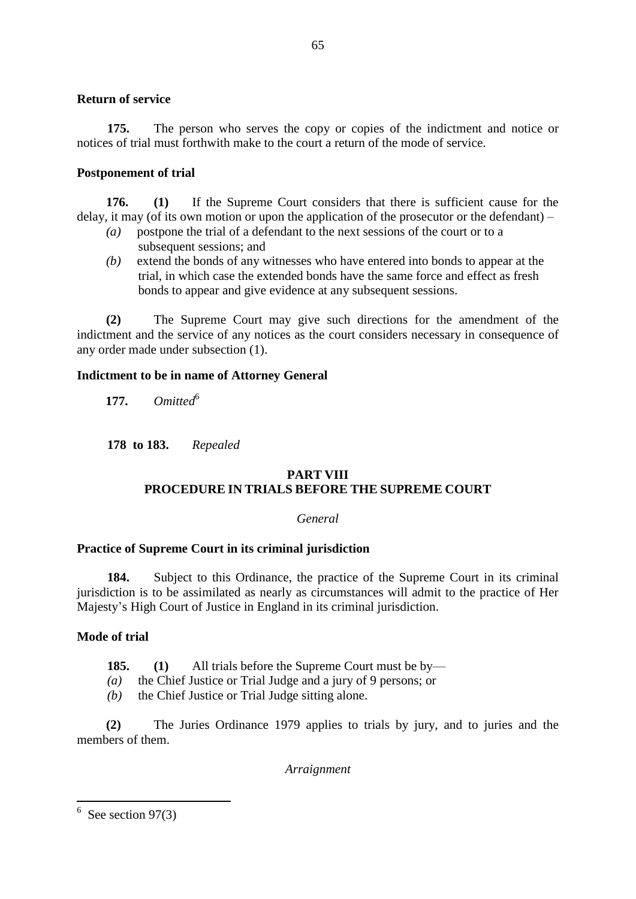### **Return of service**

**175.** The person who serves the copy or copies of the indictment and notice or notices of trial must forthwith make to the court a return of the mode of service.

### **Postponement of trial**

**176. (1)** If the Supreme Court considers that there is sufficient cause for the delay, it may (of its own motion or upon the application of the prosecutor or the defendant) –

- *(a)* postpone the trial of a defendant to the next sessions of the court or to a subsequent sessions; and
- *(b)* extend the bonds of any witnesses who have entered into bonds to appear at the trial, in which case the extended bonds have the same force and effect as fresh bonds to appear and give evidence at any subsequent sessions.

**(2)** The Supreme Court may give such directions for the amendment of the indictment and the service of any notices as the court considers necessary in consequence of any order made under subsection (1).

#### **Indictment to be in name of Attorney General**

**177.**  $Omited^6$ 

**178 to 183.** *Repealed*

# **PART VIII PROCEDURE IN TRIALS BEFORE THE SUPREME COURT**

#### *General*

### **Practice of Supreme Court in its criminal jurisdiction**

**184.** Subject to this Ordinance, the practice of the Supreme Court in its criminal jurisdiction is to be assimilated as nearly as circumstances will admit to the practice of Her Majesty's High Court of Justice in England in its criminal jurisdiction.

### **Mode of trial**

**185. (1)** All trials before the Supreme Court must be by—

- *(a)* the Chief Justice or Trial Judge and a jury of 9 persons; or
- *(b)* the Chief Justice or Trial Judge sitting alone.

**(2)** The Juries Ordinance 1979 applies to trials by jury, and to juries and the members of them.

*Arraignment*

 $\frac{6}{6}$  See section 97(3)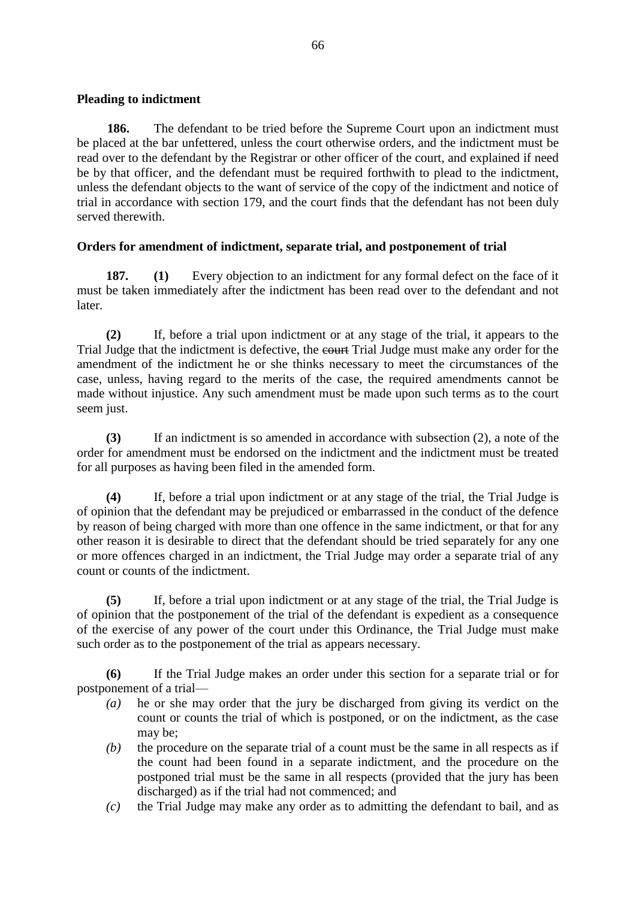### **Pleading to indictment**

**186.** The defendant to be tried before the Supreme Court upon an indictment must be placed at the bar unfettered, unless the court otherwise orders, and the indictment must be read over to the defendant by the Registrar or other officer of the court, and explained if need be by that officer, and the defendant must be required forthwith to plead to the indictment, unless the defendant objects to the want of service of the copy of the indictment and notice of trial in accordance with section 179, and the court finds that the defendant has not been duly served therewith.

# **Orders for amendment of indictment, separate trial, and postponement of trial**

**187. (1)** Every objection to an indictment for any formal defect on the face of it must be taken immediately after the indictment has been read over to the defendant and not later.

**(2)** If, before a trial upon indictment or at any stage of the trial, it appears to the Trial Judge that the indictment is defective, the court Trial Judge must make any order for the amendment of the indictment he or she thinks necessary to meet the circumstances of the case, unless, having regard to the merits of the case, the required amendments cannot be made without injustice. Any such amendment must be made upon such terms as to the court seem just.

**(3)** If an indictment is so amended in accordance with subsection (2), a note of the order for amendment must be endorsed on the indictment and the indictment must be treated for all purposes as having been filed in the amended form.

**(4)** If, before a trial upon indictment or at any stage of the trial, the Trial Judge is of opinion that the defendant may be prejudiced or embarrassed in the conduct of the defence by reason of being charged with more than one offence in the same indictment, or that for any other reason it is desirable to direct that the defendant should be tried separately for any one or more offences charged in an indictment, the Trial Judge may order a separate trial of any count or counts of the indictment.

**(5)** If, before a trial upon indictment or at any stage of the trial, the Trial Judge is of opinion that the postponement of the trial of the defendant is expedient as a consequence of the exercise of any power of the court under this Ordinance, the Trial Judge must make such order as to the postponement of the trial as appears necessary.

**(6)** If the Trial Judge makes an order under this section for a separate trial or for postponement of a trial—

- *(a)* he or she may order that the jury be discharged from giving its verdict on the count or counts the trial of which is postponed, or on the indictment, as the case may be;
- *(b)* the procedure on the separate trial of a count must be the same in all respects as if the count had been found in a separate indictment, and the procedure on the postponed trial must be the same in all respects (provided that the jury has been discharged) as if the trial had not commenced; and
- *(c)* the Trial Judge may make any order as to admitting the defendant to bail, and as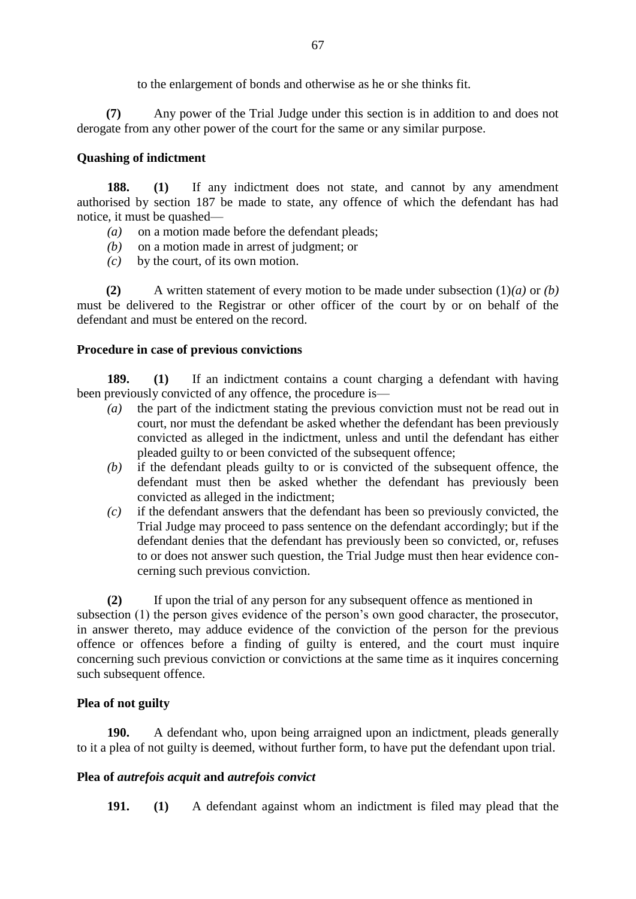to the enlargement of bonds and otherwise as he or she thinks fit.

**(7)** Any power of the Trial Judge under this section is in addition to and does not derogate from any other power of the court for the same or any similar purpose.

# **Quashing of indictment**

**188. (1)** If any indictment does not state, and cannot by any amendment authorised by section 187 be made to state, any offence of which the defendant has had notice, it must be quashed—

- *(a)* on a motion made before the defendant pleads;
- *(b)* on a motion made in arrest of judgment; or
- *(c)* by the court, of its own motion.

**(2)** A written statement of every motion to be made under subsection (1)*(a)* or *(b)* must be delivered to the Registrar or other officer of the court by or on behalf of the defendant and must be entered on the record.

### **Procedure in case of previous convictions**

**189. (1)** If an indictment contains a count charging a defendant with having been previously convicted of any offence, the procedure is—

- *(a)* the part of the indictment stating the previous conviction must not be read out in court, nor must the defendant be asked whether the defendant has been previously convicted as alleged in the indictment, unless and until the defendant has either pleaded guilty to or been convicted of the subsequent offence;
- *(b)* if the defendant pleads guilty to or is convicted of the subsequent offence, the defendant must then be asked whether the defendant has previously been convicted as alleged in the indictment;
- *(c)* if the defendant answers that the defendant has been so previously convicted, the Trial Judge may proceed to pass sentence on the defendant accordingly; but if the defendant denies that the defendant has previously been so convicted, or, refuses to or does not answer such question, the Trial Judge must then hear evidence concerning such previous conviction.

**(2)** If upon the trial of any person for any subsequent offence as mentioned in subsection (1) the person gives evidence of the person's own good character, the prosecutor, in answer thereto, may adduce evidence of the conviction of the person for the previous offence or offences before a finding of guilty is entered, and the court must inquire concerning such previous conviction or convictions at the same time as it inquires concerning such subsequent offence.

# **Plea of not guilty**

**190.** A defendant who, upon being arraigned upon an indictment, pleads generally to it a plea of not guilty is deemed, without further form, to have put the defendant upon trial.

# **Plea of** *autrefois acquit* **and** *autrefois convict*

**191. (1)** A defendant against whom an indictment is filed may plead that the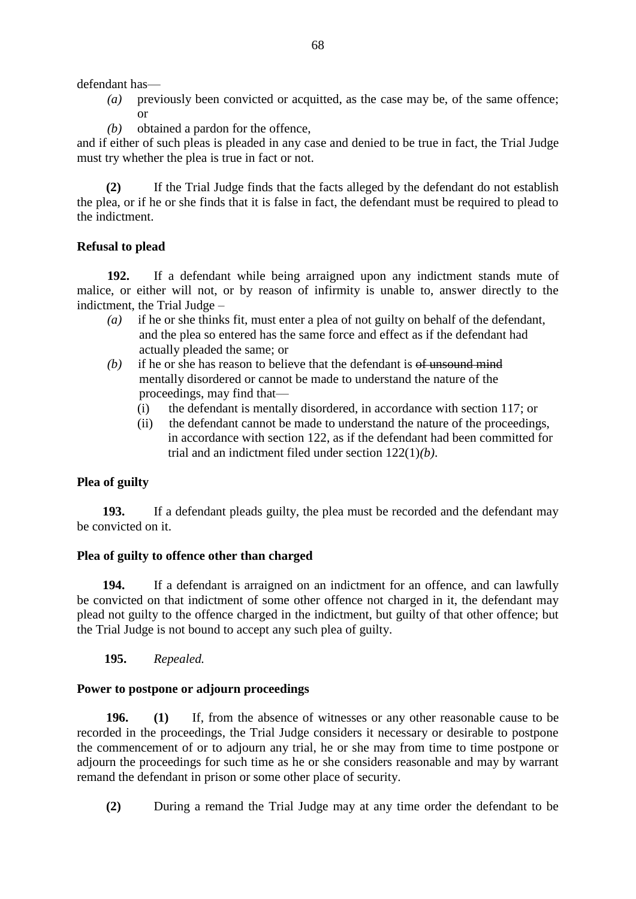defendant has—

- *(a)* previously been convicted or acquitted, as the case may be, of the same offence; or
- *(b)* obtained a pardon for the offence,

and if either of such pleas is pleaded in any case and denied to be true in fact, the Trial Judge must try whether the plea is true in fact or not.

**(2)** If the Trial Judge finds that the facts alleged by the defendant do not establish the plea, or if he or she finds that it is false in fact, the defendant must be required to plead to the indictment.

# **Refusal to plead**

**192.** If a defendant while being arraigned upon any indictment stands mute of malice, or either will not, or by reason of infirmity is unable to, answer directly to the indictment, the Trial Judge –

- *(a)* if he or she thinks fit, must enter a plea of not guilty on behalf of the defendant, and the plea so entered has the same force and effect as if the defendant had actually pleaded the same; or
- *(b)* if he or she has reason to believe that the defendant is of unsound mind mentally disordered or cannot be made to understand the nature of the proceedings, may find that—
	- (i) the defendant is mentally disordered, in accordance with section 117; or
	- (ii) the defendant cannot be made to understand the nature of the proceedings, in accordance with section 122, as if the defendant had been committed for trial and an indictment filed under section 122(1)*(b)*.

# **Plea of guilty**

 **193.** If a defendant pleads guilty, the plea must be recorded and the defendant may be convicted on it.

# **Plea of guilty to offence other than charged**

 **194.** If a defendant is arraigned on an indictment for an offence, and can lawfully be convicted on that indictment of some other offence not charged in it, the defendant may plead not guilty to the offence charged in the indictment, but guilty of that other offence; but the Trial Judge is not bound to accept any such plea of guilty.

### **195.** *Repealed.*

# **Power to postpone or adjourn proceedings**

**196. (1)** If, from the absence of witnesses or any other reasonable cause to be recorded in the proceedings, the Trial Judge considers it necessary or desirable to postpone the commencement of or to adjourn any trial, he or she may from time to time postpone or adjourn the proceedings for such time as he or she considers reasonable and may by warrant remand the defendant in prison or some other place of security.

**(2)** During a remand the Trial Judge may at any time order the defendant to be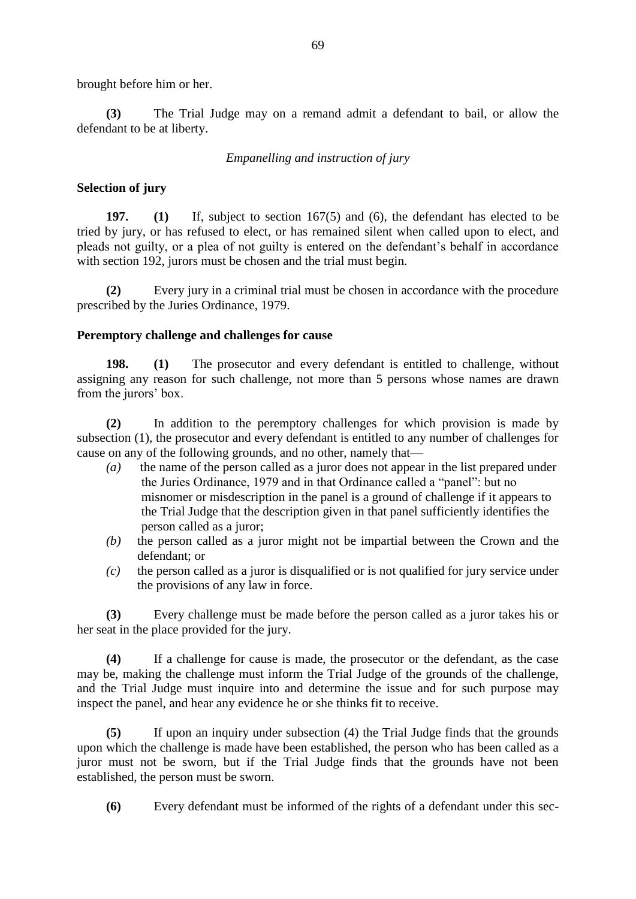brought before him or her.

**(3)** The Trial Judge may on a remand admit a defendant to bail, or allow the defendant to be at liberty.

# *Empanelling and instruction of jury*

### **Selection of jury**

**197. (1)** If, subject to section 167(5) and (6), the defendant has elected to be tried by jury, or has refused to elect, or has remained silent when called upon to elect, and pleads not guilty, or a plea of not guilty is entered on the defendant's behalf in accordance with section 192, jurors must be chosen and the trial must begin.

**(2)** Every jury in a criminal trial must be chosen in accordance with the procedure prescribed by the Juries Ordinance, 1979.

### **Peremptory challenge and challenges for cause**

**198. (1)** The prosecutor and every defendant is entitled to challenge, without assigning any reason for such challenge, not more than 5 persons whose names are drawn from the jurors' box.

**(2)** In addition to the peremptory challenges for which provision is made by subsection (1), the prosecutor and every defendant is entitled to any number of challenges for cause on any of the following grounds, and no other, namely that—

- *(a)* the name of the person called as a juror does not appear in the list prepared under the Juries Ordinance, 1979 and in that Ordinance called a "panel": but no misnomer or misdescription in the panel is a ground of challenge if it appears to the Trial Judge that the description given in that panel sufficiently identifies the person called as a juror;
- *(b)* the person called as a juror might not be impartial between the Crown and the defendant; or
- *(c)* the person called as a juror is disqualified or is not qualified for jury service under the provisions of any law in force.

**(3)** Every challenge must be made before the person called as a juror takes his or her seat in the place provided for the jury.

**(4)** If a challenge for cause is made, the prosecutor or the defendant, as the case may be, making the challenge must inform the Trial Judge of the grounds of the challenge, and the Trial Judge must inquire into and determine the issue and for such purpose may inspect the panel, and hear any evidence he or she thinks fit to receive.

**(5)** If upon an inquiry under subsection (4) the Trial Judge finds that the grounds upon which the challenge is made have been established, the person who has been called as a juror must not be sworn, but if the Trial Judge finds that the grounds have not been established, the person must be sworn.

**(6)** Every defendant must be informed of the rights of a defendant under this sec-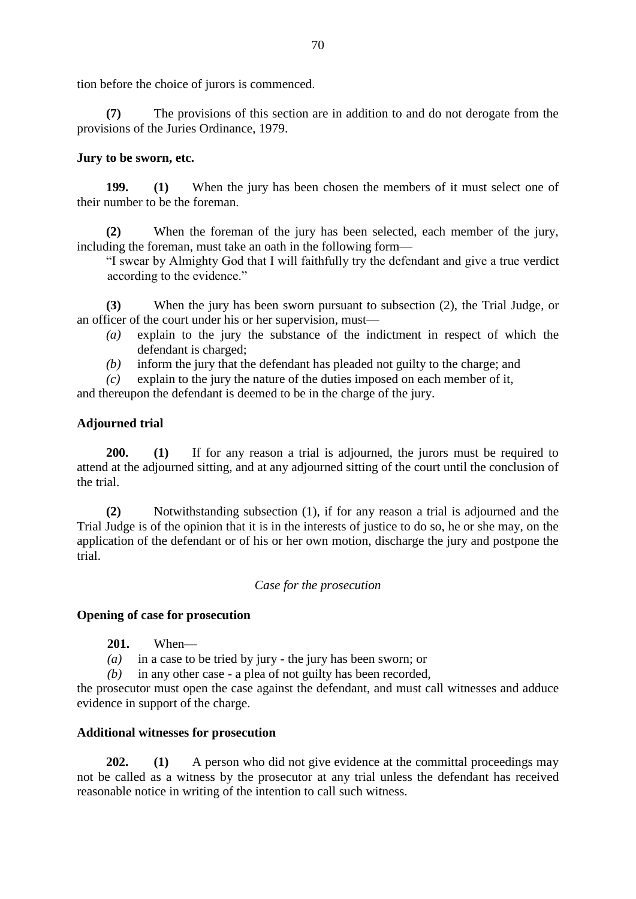tion before the choice of jurors is commenced.

**(7)** The provisions of this section are in addition to and do not derogate from the provisions of the Juries Ordinance, 1979.

# **Jury to be sworn, etc.**

**199. (1)** When the jury has been chosen the members of it must select one of their number to be the foreman.

**(2)** When the foreman of the jury has been selected, each member of the jury, including the foreman, must take an oath in the following form—

"I swear by Almighty God that I will faithfully try the defendant and give a true verdict according to the evidence."

**(3)** When the jury has been sworn pursuant to subsection (2), the Trial Judge, or an officer of the court under his or her supervision, must—

- *(a)* explain to the jury the substance of the indictment in respect of which the defendant is charged;
- *(b)* inform the jury that the defendant has pleaded not guilty to the charge; and

*(c)* explain to the jury the nature of the duties imposed on each member of it,

and thereupon the defendant is deemed to be in the charge of the jury.

# **Adjourned trial**

**200. (1)** If for any reason a trial is adjourned, the jurors must be required to attend at the adjourned sitting, and at any adjourned sitting of the court until the conclusion of the trial.

**(2)** Notwithstanding subsection (1), if for any reason a trial is adjourned and the Trial Judge is of the opinion that it is in the interests of justice to do so, he or she may, on the application of the defendant or of his or her own motion, discharge the jury and postpone the trial.

### *Case for the prosecution*

# **Opening of case for prosecution**

### **201.** When—

*(a)* in a case to be tried by jury - the jury has been sworn; or

*(b)* in any other case - a plea of not guilty has been recorded,

the prosecutor must open the case against the defendant, and must call witnesses and adduce evidence in support of the charge.

# **Additional witnesses for prosecution**

**202. (1)** A person who did not give evidence at the committal proceedings may not be called as a witness by the prosecutor at any trial unless the defendant has received reasonable notice in writing of the intention to call such witness.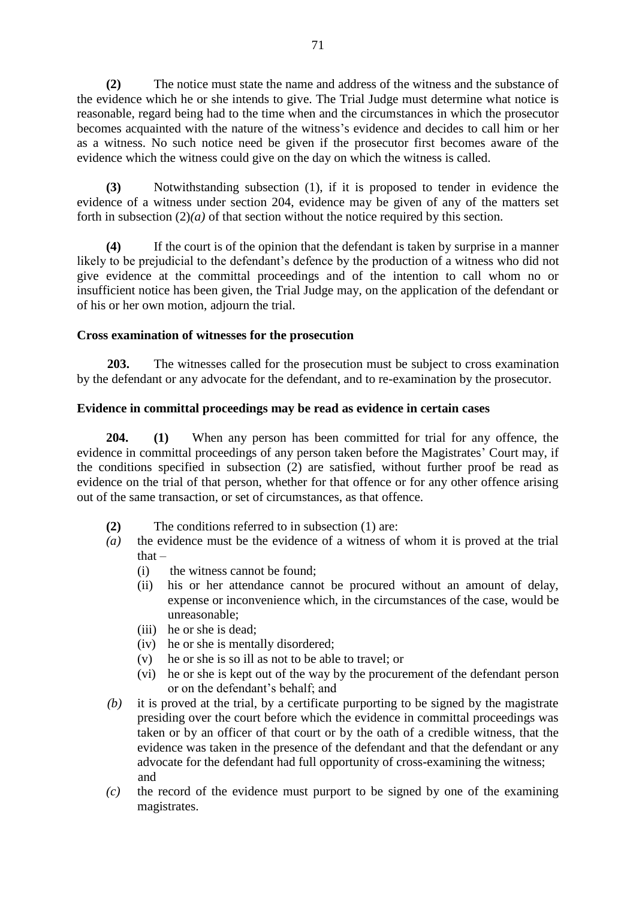**(2)** The notice must state the name and address of the witness and the substance of the evidence which he or she intends to give. The Trial Judge must determine what notice is reasonable, regard being had to the time when and the circumstances in which the prosecutor becomes acquainted with the nature of the witness's evidence and decides to call him or her as a witness. No such notice need be given if the prosecutor first becomes aware of the evidence which the witness could give on the day on which the witness is called.

**(3)** Notwithstanding subsection (1), if it is proposed to tender in evidence the evidence of a witness under section 204, evidence may be given of any of the matters set forth in subsection (2)*(a)* of that section without the notice required by this section.

**(4)** If the court is of the opinion that the defendant is taken by surprise in a manner likely to be prejudicial to the defendant's defence by the production of a witness who did not give evidence at the committal proceedings and of the intention to call whom no or insufficient notice has been given, the Trial Judge may, on the application of the defendant or of his or her own motion, adjourn the trial.

### **Cross examination of witnesses for the prosecution**

**203.** The witnesses called for the prosecution must be subject to cross examination by the defendant or any advocate for the defendant, and to re-examination by the prosecutor.

### **Evidence in committal proceedings may be read as evidence in certain cases**

**204. (1)** When any person has been committed for trial for any offence, the evidence in committal proceedings of any person taken before the Magistrates' Court may, if the conditions specified in subsection (2) are satisfied, without further proof be read as evidence on the trial of that person, whether for that offence or for any other offence arising out of the same transaction, or set of circumstances, as that offence.

- **(2)** The conditions referred to in subsection (1) are:
- *(a)* the evidence must be the evidence of a witness of whom it is proved at the trial that  $-$ 
	- (i) the witness cannot be found;
	- (ii) his or her attendance cannot be procured without an amount of delay, expense or inconvenience which, in the circumstances of the case, would be unreasonable;
	- (iii) he or she is dead;
	- (iv) he or she is mentally disordered;
	- (v) he or she is so ill as not to be able to travel; or
	- (vi) he or she is kept out of the way by the procurement of the defendant person or on the defendant's behalf; and
- *(b)* it is proved at the trial, by a certificate purporting to be signed by the magistrate presiding over the court before which the evidence in committal proceedings was taken or by an officer of that court or by the oath of a credible witness, that the evidence was taken in the presence of the defendant and that the defendant or any advocate for the defendant had full opportunity of cross-examining the witness; and
- *(c)* the record of the evidence must purport to be signed by one of the examining magistrates.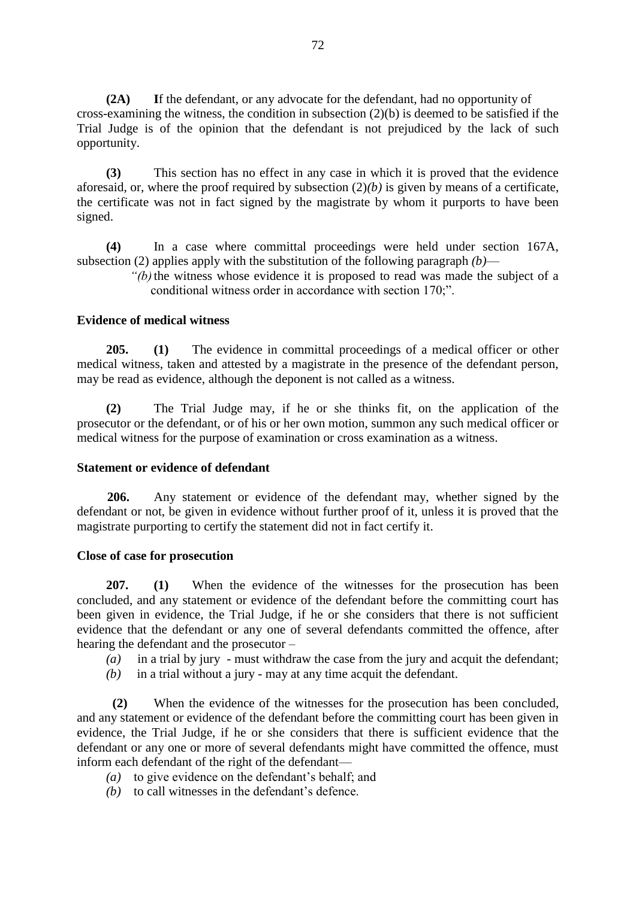**(2A) I**f the defendant, or any advocate for the defendant, had no opportunity of cross-examining the witness, the condition in subsection (2)(b) is deemed to be satisfied if the Trial Judge is of the opinion that the defendant is not prejudiced by the lack of such opportunity.

**(3)** This section has no effect in any case in which it is proved that the evidence aforesaid, or, where the proof required by subsection (2)*(b)* is given by means of a certificate, the certificate was not in fact signed by the magistrate by whom it purports to have been signed.

**(4)** In a case where committal proceedings were held under section 167A, subsection (2) applies apply with the substitution of the following paragraph *(b)*—

> *"(b)*the witness whose evidence it is proposed to read was made the subject of a conditional witness order in accordance with section 170;".

### **Evidence of medical witness**

**205. (1)** The evidence in committal proceedings of a medical officer or other medical witness, taken and attested by a magistrate in the presence of the defendant person, may be read as evidence, although the deponent is not called as a witness.

**(2)** The Trial Judge may, if he or she thinks fit, on the application of the prosecutor or the defendant, or of his or her own motion, summon any such medical officer or medical witness for the purpose of examination or cross examination as a witness.

#### **Statement or evidence of defendant**

**206.** Any statement or evidence of the defendant may, whether signed by the defendant or not, be given in evidence without further proof of it, unless it is proved that the magistrate purporting to certify the statement did not in fact certify it.

#### **Close of case for prosecution**

**207. (1)** When the evidence of the witnesses for the prosecution has been concluded, and any statement or evidence of the defendant before the committing court has been given in evidence, the Trial Judge, if he or she considers that there is not sufficient evidence that the defendant or any one of several defendants committed the offence, after hearing the defendant and the prosecutor –

- *(a)* in a trial by jury must withdraw the case from the jury and acquit the defendant;
- *(b)* in a trial without a jury may at any time acquit the defendant.

 **(2)** When the evidence of the witnesses for the prosecution has been concluded, and any statement or evidence of the defendant before the committing court has been given in evidence, the Trial Judge, if he or she considers that there is sufficient evidence that the defendant or any one or more of several defendants might have committed the offence, must inform each defendant of the right of the defendant—

- *(a)* to give evidence on the defendant's behalf; and
- *(b)* to call witnesses in the defendant's defence.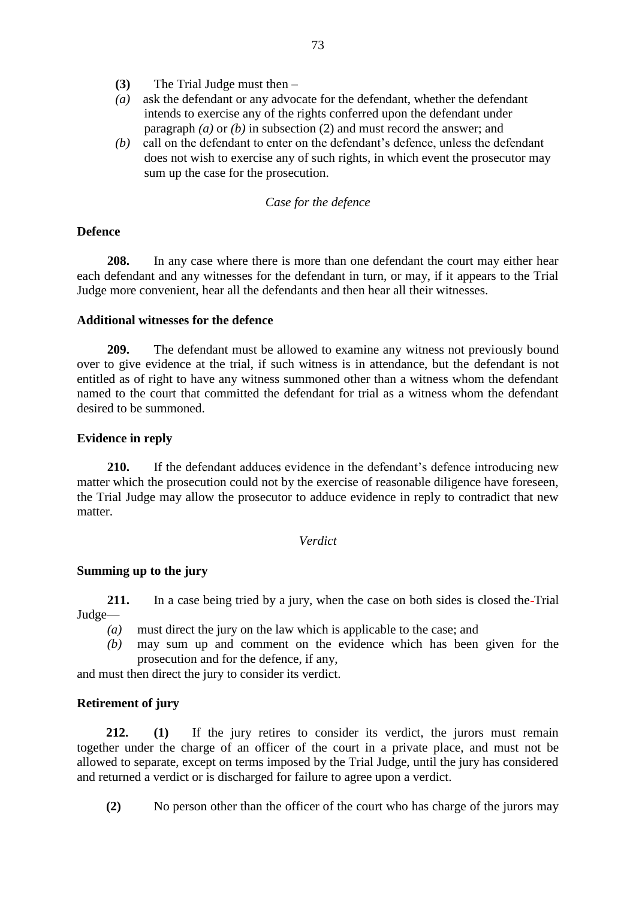- **(3)** The Trial Judge must then –
- *(a)* ask the defendant or any advocate for the defendant, whether the defendant intends to exercise any of the rights conferred upon the defendant under paragraph *(a)* or *(b)* in subsection (2) and must record the answer; and
- *(b)* call on the defendant to enter on the defendant's defence, unless the defendant does not wish to exercise any of such rights, in which event the prosecutor may sum up the case for the prosecution.

### *Case for the defence*

## **Defence**

**208.** In any case where there is more than one defendant the court may either hear each defendant and any witnesses for the defendant in turn, or may, if it appears to the Trial Judge more convenient, hear all the defendants and then hear all their witnesses.

### **Additional witnesses for the defence**

**209.** The defendant must be allowed to examine any witness not previously bound over to give evidence at the trial, if such witness is in attendance, but the defendant is not entitled as of right to have any witness summoned other than a witness whom the defendant named to the court that committed the defendant for trial as a witness whom the defendant desired to be summoned.

### **Evidence in reply**

**210.** If the defendant adduces evidence in the defendant's defence introducing new matter which the prosecution could not by the exercise of reasonable diligence have foreseen, the Trial Judge may allow the prosecutor to adduce evidence in reply to contradict that new matter.

### *Verdict*

### **Summing up to the jury**

**211.** In a case being tried by a jury, when the case on both sides is closed the-Trial Judge—

- *(a)* must direct the jury on the law which is applicable to the case; and
- *(b)* may sum up and comment on the evidence which has been given for the prosecution and for the defence, if any,

and must then direct the jury to consider its verdict.

### **Retirement of jury**

**212. (1)** If the jury retires to consider its verdict, the jurors must remain together under the charge of an officer of the court in a private place, and must not be allowed to separate, except on terms imposed by the Trial Judge, until the jury has considered and returned a verdict or is discharged for failure to agree upon a verdict.

**(2)** No person other than the officer of the court who has charge of the jurors may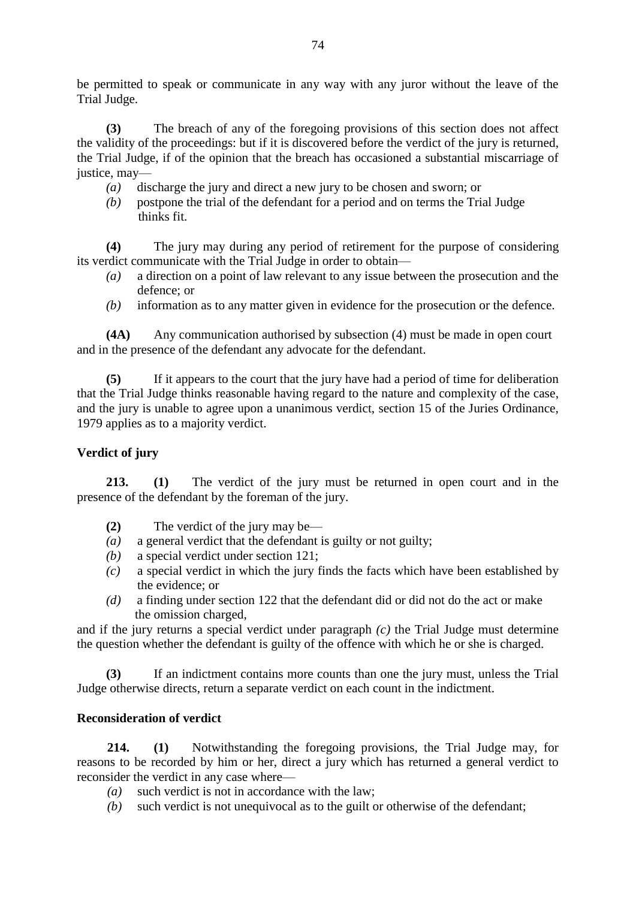be permitted to speak or communicate in any way with any juror without the leave of the Trial Judge.

**(3)** The breach of any of the foregoing provisions of this section does not affect the validity of the proceedings: but if it is discovered before the verdict of the jury is returned, the Trial Judge, if of the opinion that the breach has occasioned a substantial miscarriage of justice, may—

- *(a)* discharge the jury and direct a new jury to be chosen and sworn; or
- *(b)* postpone the trial of the defendant for a period and on terms the Trial Judge thinks fit.

**(4)** The jury may during any period of retirement for the purpose of considering its verdict communicate with the Trial Judge in order to obtain—

- *(a)* a direction on a point of law relevant to any issue between the prosecution and the defence; or
- *(b)* information as to any matter given in evidence for the prosecution or the defence.

**(4A)** Any communication authorised by subsection (4) must be made in open court and in the presence of the defendant any advocate for the defendant.

**(5)** If it appears to the court that the jury have had a period of time for deliberation that the Trial Judge thinks reasonable having regard to the nature and complexity of the case, and the jury is unable to agree upon a unanimous verdict, section 15 of the Juries Ordinance, 1979 applies as to a majority verdict.

## **Verdict of jury**

**213. (1)** The verdict of the jury must be returned in open court and in the presence of the defendant by the foreman of the jury.

- **(2)** The verdict of the jury may be—
- *(a)* a general verdict that the defendant is guilty or not guilty;
- *(b)* a special verdict under section 121;
- *(c)* a special verdict in which the jury finds the facts which have been established by the evidence; or
- *(d)* a finding under section 122 that the defendant did or did not do the act or make the omission charged,

and if the jury returns a special verdict under paragraph *(c)* the Trial Judge must determine the question whether the defendant is guilty of the offence with which he or she is charged.

**(3)** If an indictment contains more counts than one the jury must, unless the Trial Judge otherwise directs, return a separate verdict on each count in the indictment.

# **Reconsideration of verdict**

**214. (1)** Notwithstanding the foregoing provisions, the Trial Judge may, for reasons to be recorded by him or her, direct a jury which has returned a general verdict to reconsider the verdict in any case where—

- *(a)* such verdict is not in accordance with the law;
- *(b)* such verdict is not unequivocal as to the guilt or otherwise of the defendant;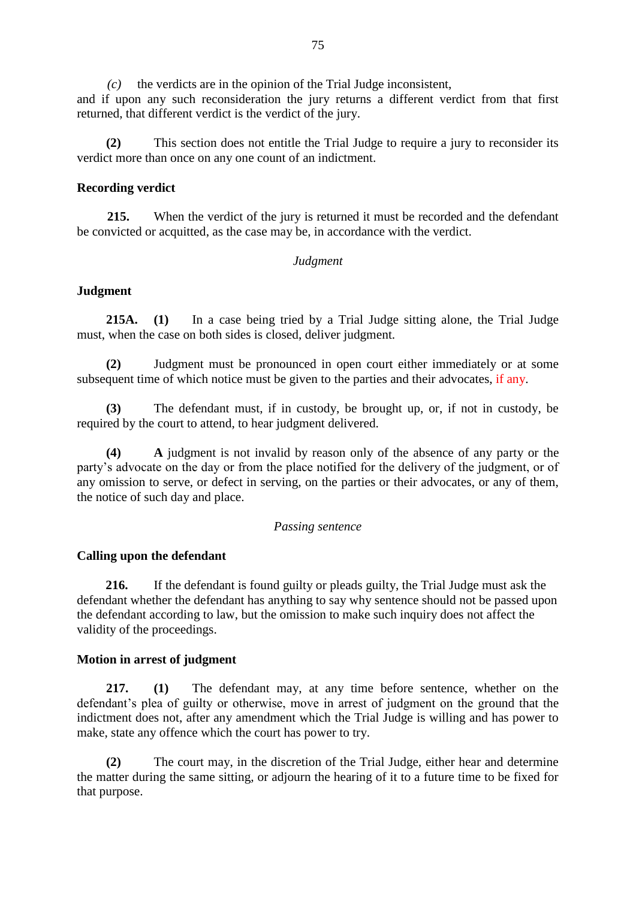*(c)* the verdicts are in the opinion of the Trial Judge inconsistent, and if upon any such reconsideration the jury returns a different verdict from that first returned, that different verdict is the verdict of the jury.

**(2)** This section does not entitle the Trial Judge to require a jury to reconsider its verdict more than once on any one count of an indictment.

#### **Recording verdict**

**215.** When the verdict of the jury is returned it must be recorded and the defendant be convicted or acquitted, as the case may be, in accordance with the verdict.

#### *Judgment*

#### **Judgment**

**215A. (1)** In a case being tried by a Trial Judge sitting alone, the Trial Judge must, when the case on both sides is closed, deliver judgment.

**(2)** Judgment must be pronounced in open court either immediately or at some subsequent time of which notice must be given to the parties and their advocates, if any.

**(3)** The defendant must, if in custody, be brought up, or, if not in custody, be required by the court to attend, to hear judgment delivered.

**(4) A** judgment is not invalid by reason only of the absence of any party or the party's advocate on the day or from the place notified for the delivery of the judgment, or of any omission to serve, or defect in serving, on the parties or their advocates, or any of them, the notice of such day and place.

#### *Passing sentence*

#### **Calling upon the defendant**

 **216.** If the defendant is found guilty or pleads guilty, the Trial Judge must ask the defendant whether the defendant has anything to say why sentence should not be passed upon the defendant according to law, but the omission to make such inquiry does not affect the validity of the proceedings.

#### **Motion in arrest of judgment**

**217. (1)** The defendant may, at any time before sentence, whether on the defendant's plea of guilty or otherwise, move in arrest of judgment on the ground that the indictment does not, after any amendment which the Trial Judge is willing and has power to make, state any offence which the court has power to try.

**(2)** The court may, in the discretion of the Trial Judge, either hear and determine the matter during the same sitting, or adjourn the hearing of it to a future time to be fixed for that purpose.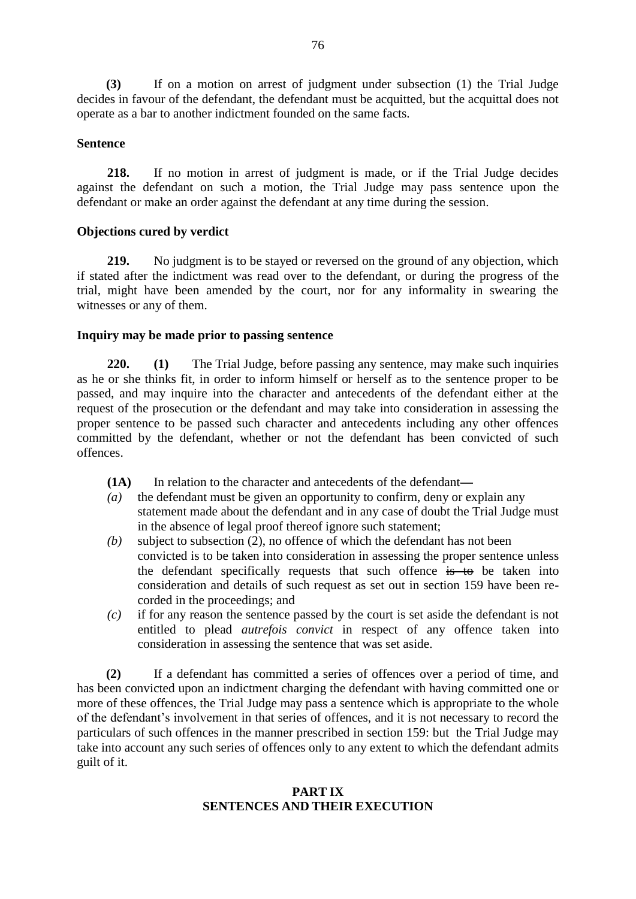**(3)** If on a motion on arrest of judgment under subsection (1) the Trial Judge decides in favour of the defendant, the defendant must be acquitted, but the acquittal does not operate as a bar to another indictment founded on the same facts.

### **Sentence**

**218.** If no motion in arrest of judgment is made, or if the Trial Judge decides against the defendant on such a motion, the Trial Judge may pass sentence upon the defendant or make an order against the defendant at any time during the session.

## **Objections cured by verdict**

**219.** No judgment is to be stayed or reversed on the ground of any objection, which if stated after the indictment was read over to the defendant, or during the progress of the trial, might have been amended by the court, nor for any informality in swearing the witnesses or any of them.

## **Inquiry may be made prior to passing sentence**

**220. (1)** The Trial Judge, before passing any sentence, may make such inquiries as he or she thinks fit, in order to inform himself or herself as to the sentence proper to be passed, and may inquire into the character and antecedents of the defendant either at the request of the prosecution or the defendant and may take into consideration in assessing the proper sentence to be passed such character and antecedents including any other offences committed by the defendant, whether or not the defendant has been convicted of such offences.

- **(1A)** In relation to the character and antecedents of the defendant—
- *(a)* the defendant must be given an opportunity to confirm, deny or explain any statement made about the defendant and in any case of doubt the Trial Judge must in the absence of legal proof thereof ignore such statement;
- *(b)* subject to subsection (2), no offence of which the defendant has not been convicted is to be taken into consideration in assessing the proper sentence unless the defendant specifically requests that such offence is to be taken into consideration and details of such request as set out in section 159 have been recorded in the proceedings; and
- *(c)* if for any reason the sentence passed by the court is set aside the defendant is not entitled to plead *autrefois convict* in respect of any offence taken into consideration in assessing the sentence that was set aside.

**(2)** If a defendant has committed a series of offences over a period of time, and has been convicted upon an indictment charging the defendant with having committed one or more of these offences, the Trial Judge may pass a sentence which is appropriate to the whole of the defendant's involvement in that series of offences, and it is not necessary to record the particulars of such offences in the manner prescribed in section 159: but the Trial Judge may take into account any such series of offences only to any extent to which the defendant admits guilt of it.

# **PART IX SENTENCES AND THEIR EXECUTION**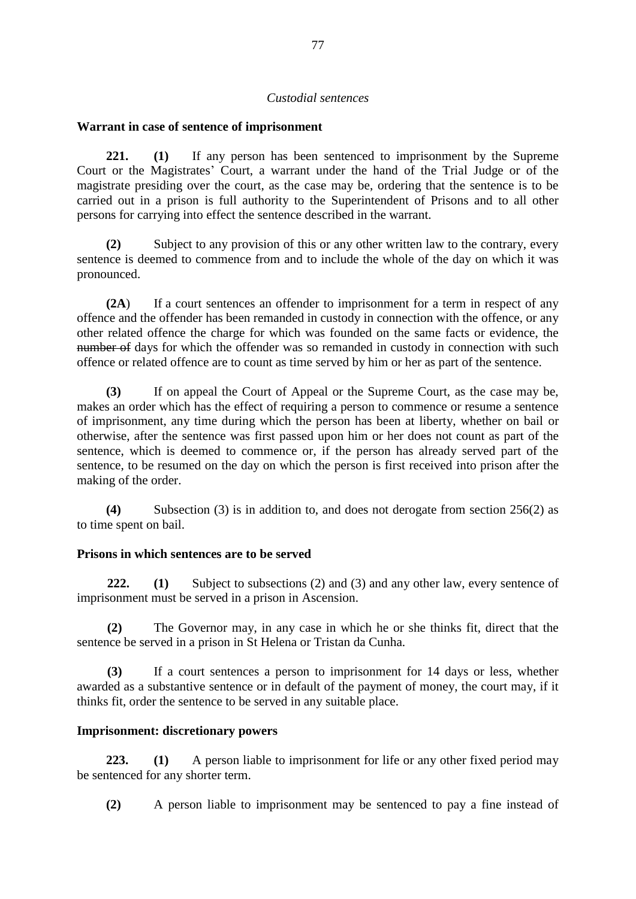### *Custodial sentences*

### **Warrant in case of sentence of imprisonment**

**221. (1)** If any person has been sentenced to imprisonment by the Supreme Court or the Magistrates' Court, a warrant under the hand of the Trial Judge or of the magistrate presiding over the court, as the case may be, ordering that the sentence is to be carried out in a prison is full authority to the Superintendent of Prisons and to all other persons for carrying into effect the sentence described in the warrant.

**(2)** Subject to any provision of this or any other written law to the contrary, every sentence is deemed to commence from and to include the whole of the day on which it was pronounced.

**(2A**) If a court sentences an offender to imprisonment for a term in respect of any offence and the offender has been remanded in custody in connection with the offence, or any other related offence the charge for which was founded on the same facts or evidence, the number of days for which the offender was so remanded in custody in connection with such offence or related offence are to count as time served by him or her as part of the sentence.

**(3)** If on appeal the Court of Appeal or the Supreme Court, as the case may be, makes an order which has the effect of requiring a person to commence or resume a sentence of imprisonment, any time during which the person has been at liberty, whether on bail or otherwise, after the sentence was first passed upon him or her does not count as part of the sentence, which is deemed to commence or, if the person has already served part of the sentence, to be resumed on the day on which the person is first received into prison after the making of the order.

**(4)** Subsection (3) is in addition to, and does not derogate from section 256(2) as to time spent on bail.

### **Prisons in which sentences are to be served**

**222. (1)** Subject to subsections (2) and (3) and any other law, every sentence of imprisonment must be served in a prison in Ascension.

**(2)** The Governor may, in any case in which he or she thinks fit, direct that the sentence be served in a prison in St Helena or Tristan da Cunha.

**(3)** If a court sentences a person to imprisonment for 14 days or less, whether awarded as a substantive sentence or in default of the payment of money, the court may, if it thinks fit, order the sentence to be served in any suitable place.

### **Imprisonment: discretionary powers**

**223. (1)** A person liable to imprisonment for life or any other fixed period may be sentenced for any shorter term.

**(2)** A person liable to imprisonment may be sentenced to pay a fine instead of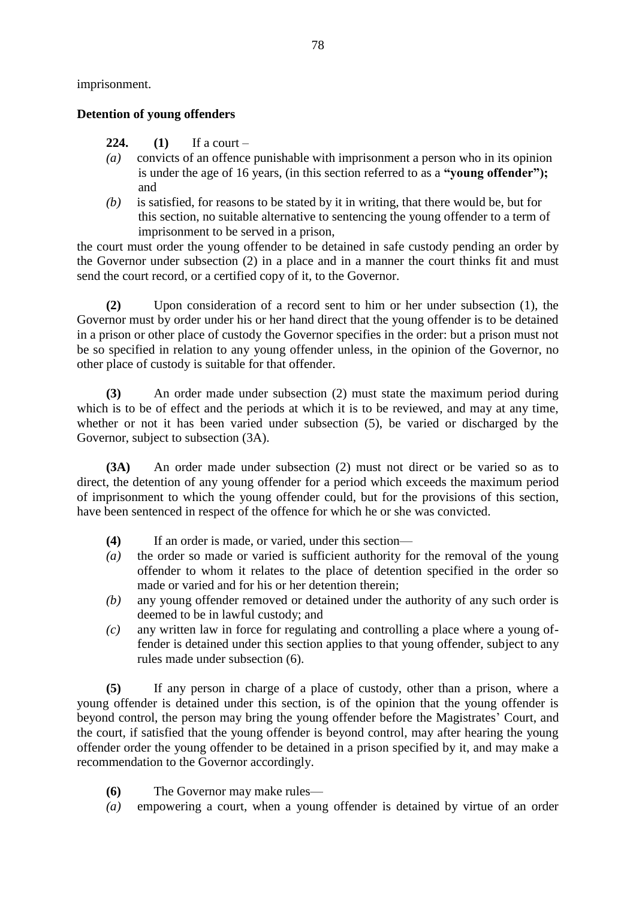imprisonment.

## **Detention of young offenders**

- **224. (1)** If a court –
- *(a)* convicts of an offence punishable with imprisonment a person who in its opinion is under the age of 16 years, (in this section referred to as a **"young offender");** and
- *(b)* is satisfied, for reasons to be stated by it in writing, that there would be, but for this section, no suitable alternative to sentencing the young offender to a term of imprisonment to be served in a prison,

the court must order the young offender to be detained in safe custody pending an order by the Governor under subsection (2) in a place and in a manner the court thinks fit and must send the court record, or a certified copy of it, to the Governor.

**(2)** Upon consideration of a record sent to him or her under subsection (1), the Governor must by order under his or her hand direct that the young offender is to be detained in a prison or other place of custody the Governor specifies in the order: but a prison must not be so specified in relation to any young offender unless, in the opinion of the Governor, no other place of custody is suitable for that offender.

**(3)** An order made under subsection (2) must state the maximum period during which is to be of effect and the periods at which it is to be reviewed, and may at any time, whether or not it has been varied under subsection (5), be varied or discharged by the Governor, subject to subsection (3A).

**(3A)** An order made under subsection (2) must not direct or be varied so as to direct, the detention of any young offender for a period which exceeds the maximum period of imprisonment to which the young offender could, but for the provisions of this section, have been sentenced in respect of the offence for which he or she was convicted.

- **(4)** If an order is made, or varied, under this section—
- *(a)* the order so made or varied is sufficient authority for the removal of the young offender to whom it relates to the place of detention specified in the order so made or varied and for his or her detention therein;
- *(b)* any young offender removed or detained under the authority of any such order is deemed to be in lawful custody; and
- *(c)* any written law in force for regulating and controlling a place where a young offender is detained under this section applies to that young offender, subject to any rules made under subsection (6).

**(5)** If any person in charge of a place of custody, other than a prison, where a young offender is detained under this section, is of the opinion that the young offender is beyond control, the person may bring the young offender before the Magistrates' Court, and the court, if satisfied that the young offender is beyond control, may after hearing the young offender order the young offender to be detained in a prison specified by it, and may make a recommendation to the Governor accordingly.

- **(6)** The Governor may make rules—
- *(a)* empowering a court, when a young offender is detained by virtue of an order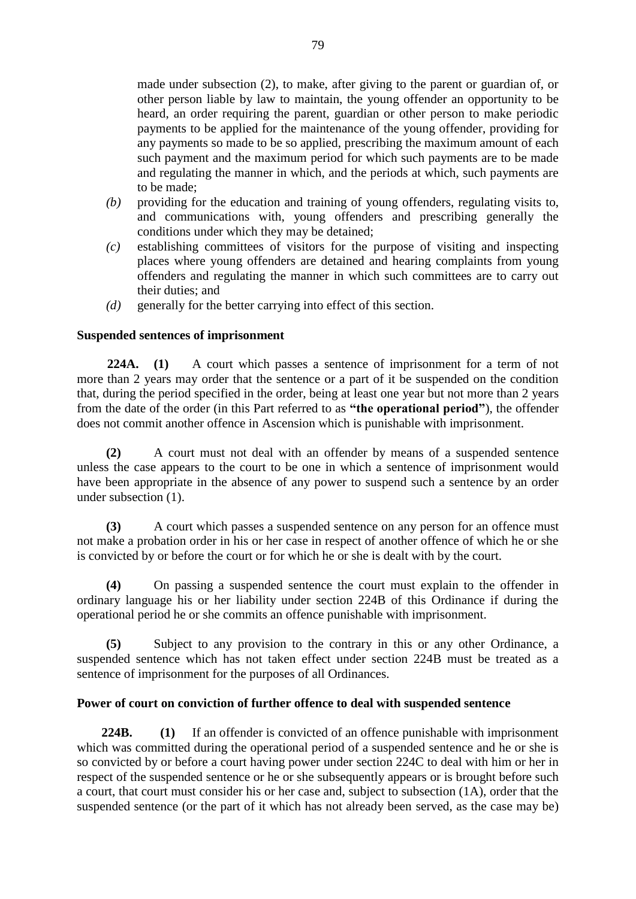made under subsection (2), to make, after giving to the parent or guardian of, or other person liable by law to maintain, the young offender an opportunity to be heard, an order requiring the parent, guardian or other person to make periodic payments to be applied for the maintenance of the young offender, providing for any payments so made to be so applied, prescribing the maximum amount of each such payment and the maximum period for which such payments are to be made and regulating the manner in which, and the periods at which, such payments are to be made;

- *(b)* providing for the education and training of young offenders, regulating visits to, and communications with, young offenders and prescribing generally the conditions under which they may be detained;
- *(c)* establishing committees of visitors for the purpose of visiting and inspecting places where young offenders are detained and hearing complaints from young offenders and regulating the manner in which such committees are to carry out their duties; and
- *(d)* generally for the better carrying into effect of this section.

### **Suspended sentences of imprisonment**

**224A. (1)** A court which passes a sentence of imprisonment for a term of not more than 2 years may order that the sentence or a part of it be suspended on the condition that, during the period specified in the order, being at least one year but not more than 2 years from the date of the order (in this Part referred to as **"the operational period"**), the offender does not commit another offence in Ascension which is punishable with imprisonment.

**(2)** A court must not deal with an offender by means of a suspended sentence unless the case appears to the court to be one in which a sentence of imprisonment would have been appropriate in the absence of any power to suspend such a sentence by an order under subsection (1).

**(3)** A court which passes a suspended sentence on any person for an offence must not make a probation order in his or her case in respect of another offence of which he or she is convicted by or before the court or for which he or she is dealt with by the court.

**(4)** On passing a suspended sentence the court must explain to the offender in ordinary language his or her liability under section 224B of this Ordinance if during the operational period he or she commits an offence punishable with imprisonment.

**(5)** Subject to any provision to the contrary in this or any other Ordinance, a suspended sentence which has not taken effect under section 224B must be treated as a sentence of imprisonment for the purposes of all Ordinances.

### **Power of court on conviction of further offence to deal with suspended sentence**

**224B. (1)** If an offender is convicted of an offence punishable with imprisonment which was committed during the operational period of a suspended sentence and he or she is so convicted by or before a court having power under section 224C to deal with him or her in respect of the suspended sentence or he or she subsequently appears or is brought before such a court, that court must consider his or her case and, subject to subsection (1A), order that the suspended sentence (or the part of it which has not already been served, as the case may be)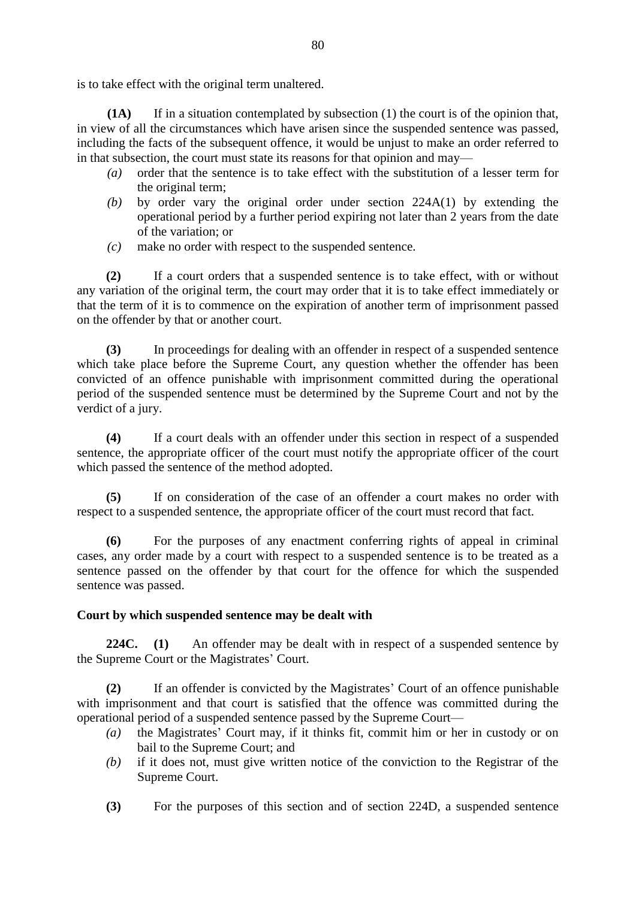is to take effect with the original term unaltered.

**(1A)** If in a situation contemplated by subsection (1) the court is of the opinion that, in view of all the circumstances which have arisen since the suspended sentence was passed, including the facts of the subsequent offence, it would be unjust to make an order referred to in that subsection, the court must state its reasons for that opinion and may—

- *(a)* order that the sentence is to take effect with the substitution of a lesser term for the original term;
- *(b)* by order vary the original order under section 224A(1) by extending the operational period by a further period expiring not later than 2 years from the date of the variation; or
- *(c)* make no order with respect to the suspended sentence.

**(2)** If a court orders that a suspended sentence is to take effect, with or without any variation of the original term, the court may order that it is to take effect immediately or that the term of it is to commence on the expiration of another term of imprisonment passed on the offender by that or another court.

**(3)** In proceedings for dealing with an offender in respect of a suspended sentence which take place before the Supreme Court, any question whether the offender has been convicted of an offence punishable with imprisonment committed during the operational period of the suspended sentence must be determined by the Supreme Court and not by the verdict of a jury.

**(4)** If a court deals with an offender under this section in respect of a suspended sentence, the appropriate officer of the court must notify the appropriate officer of the court which passed the sentence of the method adopted.

**(5)** If on consideration of the case of an offender a court makes no order with respect to a suspended sentence, the appropriate officer of the court must record that fact.

**(6)** For the purposes of any enactment conferring rights of appeal in criminal cases, any order made by a court with respect to a suspended sentence is to be treated as a sentence passed on the offender by that court for the offence for which the suspended sentence was passed.

### **Court by which suspended sentence may be dealt with**

**224C. (1)** An offender may be dealt with in respect of a suspended sentence by the Supreme Court or the Magistrates' Court.

**(2)** If an offender is convicted by the Magistrates' Court of an offence punishable with imprisonment and that court is satisfied that the offence was committed during the operational period of a suspended sentence passed by the Supreme Court—

- *(a)* the Magistrates' Court may, if it thinks fit, commit him or her in custody or on bail to the Supreme Court; and
- *(b)* if it does not, must give written notice of the conviction to the Registrar of the Supreme Court.
- **(3)** For the purposes of this section and of section 224D, a suspended sentence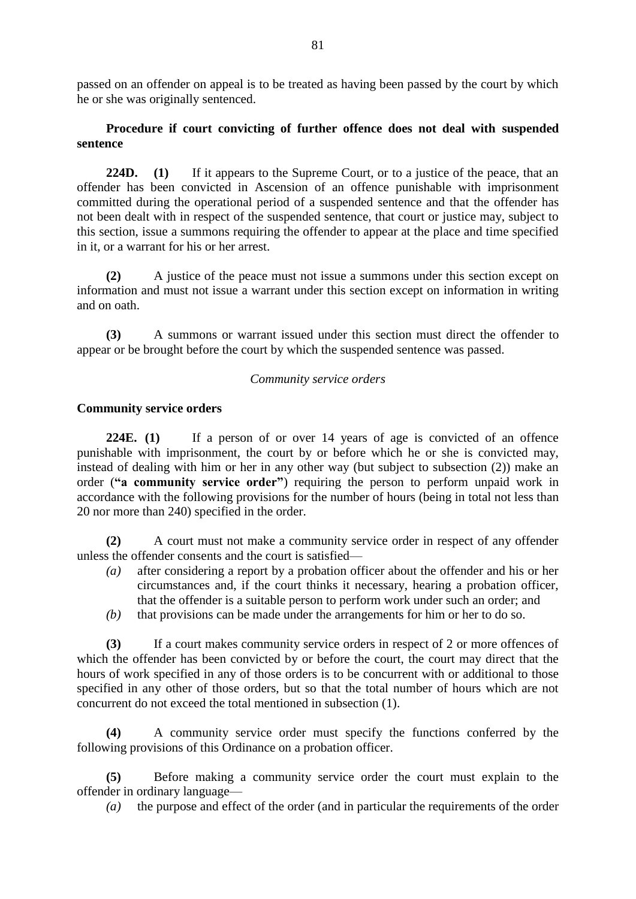passed on an offender on appeal is to be treated as having been passed by the court by which he or she was originally sentenced.

## **Procedure if court convicting of further offence does not deal with suspended sentence**

224D. **(1)** If it appears to the Supreme Court, or to a justice of the peace, that an offender has been convicted in Ascension of an offence punishable with imprisonment committed during the operational period of a suspended sentence and that the offender has not been dealt with in respect of the suspended sentence, that court or justice may, subject to this section, issue a summons requiring the offender to appear at the place and time specified in it, or a warrant for his or her arrest.

**(2)** A justice of the peace must not issue a summons under this section except on information and must not issue a warrant under this section except on information in writing and on oath.

**(3)** A summons or warrant issued under this section must direct the offender to appear or be brought before the court by which the suspended sentence was passed.

### *Community service orders*

### **Community service orders**

**224E. (1)** If a person of or over 14 years of age is convicted of an offence punishable with imprisonment, the court by or before which he or she is convicted may, instead of dealing with him or her in any other way (but subject to subsection (2)) make an order (**"a community service order"**) requiring the person to perform unpaid work in accordance with the following provisions for the number of hours (being in total not less than 20 nor more than 240) specified in the order.

**(2)** A court must not make a community service order in respect of any offender unless the offender consents and the court is satisfied—

- *(a)* after considering a report by a probation officer about the offender and his or her circumstances and, if the court thinks it necessary, hearing a probation officer, that the offender is a suitable person to perform work under such an order; and
- *(b)* that provisions can be made under the arrangements for him or her to do so.

**(3)** If a court makes community service orders in respect of 2 or more offences of which the offender has been convicted by or before the court, the court may direct that the hours of work specified in any of those orders is to be concurrent with or additional to those specified in any other of those orders, but so that the total number of hours which are not concurrent do not exceed the total mentioned in subsection (1).

**(4)** A community service order must specify the functions conferred by the following provisions of this Ordinance on a probation officer.

**(5)** Before making a community service order the court must explain to the offender in ordinary language—

*(a)* the purpose and effect of the order (and in particular the requirements of the order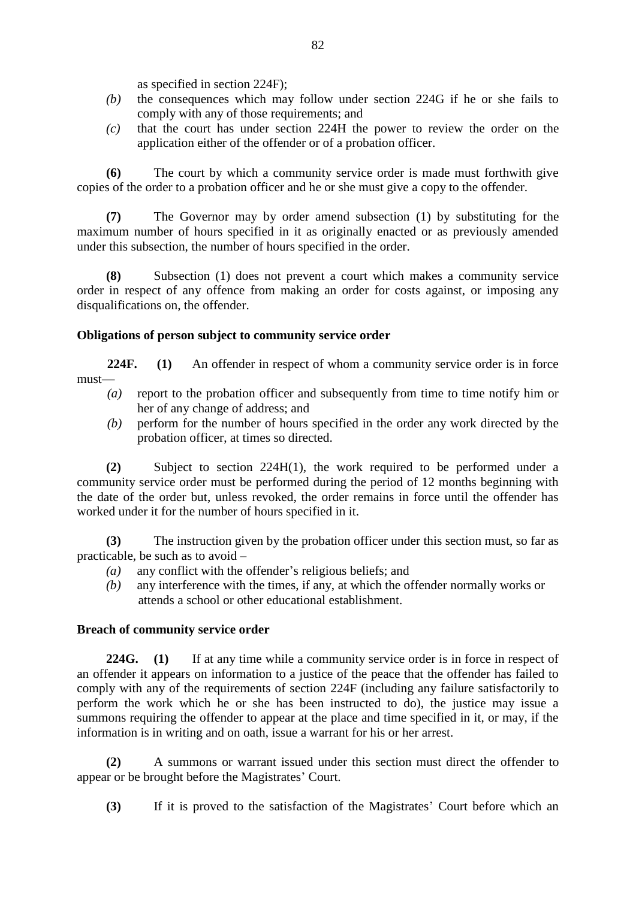as specified in section 224F);

- *(b)* the consequences which may follow under section 224G if he or she fails to comply with any of those requirements; and
- *(c)* that the court has under section 224H the power to review the order on the application either of the offender or of a probation officer.

**(6)** The court by which a community service order is made must forthwith give copies of the order to a probation officer and he or she must give a copy to the offender.

**(7)** The Governor may by order amend subsection (1) by substituting for the maximum number of hours specified in it as originally enacted or as previously amended under this subsection, the number of hours specified in the order.

**(8)** Subsection (1) does not prevent a court which makes a community service order in respect of any offence from making an order for costs against, or imposing any disqualifications on, the offender.

### **Obligations of person subject to community service order**

**224F. (1)** An offender in respect of whom a community service order is in force must—

- *(a)* report to the probation officer and subsequently from time to time notify him or her of any change of address; and
- *(b)* perform for the number of hours specified in the order any work directed by the probation officer, at times so directed.

**(2)** Subject to section 224H(1), the work required to be performed under a community service order must be performed during the period of 12 months beginning with the date of the order but, unless revoked, the order remains in force until the offender has worked under it for the number of hours specified in it.

**(3)** The instruction given by the probation officer under this section must, so far as practicable, be such as to avoid –

- *(a)* any conflict with the offender's religious beliefs; and
- *(b)* any interference with the times, if any, at which the offender normally works or attends a school or other educational establishment.

### **Breach of community service order**

**224G. (1)** If at any time while a community service order is in force in respect of an offender it appears on information to a justice of the peace that the offender has failed to comply with any of the requirements of section 224F (including any failure satisfactorily to perform the work which he or she has been instructed to do), the justice may issue a summons requiring the offender to appear at the place and time specified in it, or may, if the information is in writing and on oath, issue a warrant for his or her arrest.

**(2)** A summons or warrant issued under this section must direct the offender to appear or be brought before the Magistrates' Court.

**(3)** If it is proved to the satisfaction of the Magistrates' Court before which an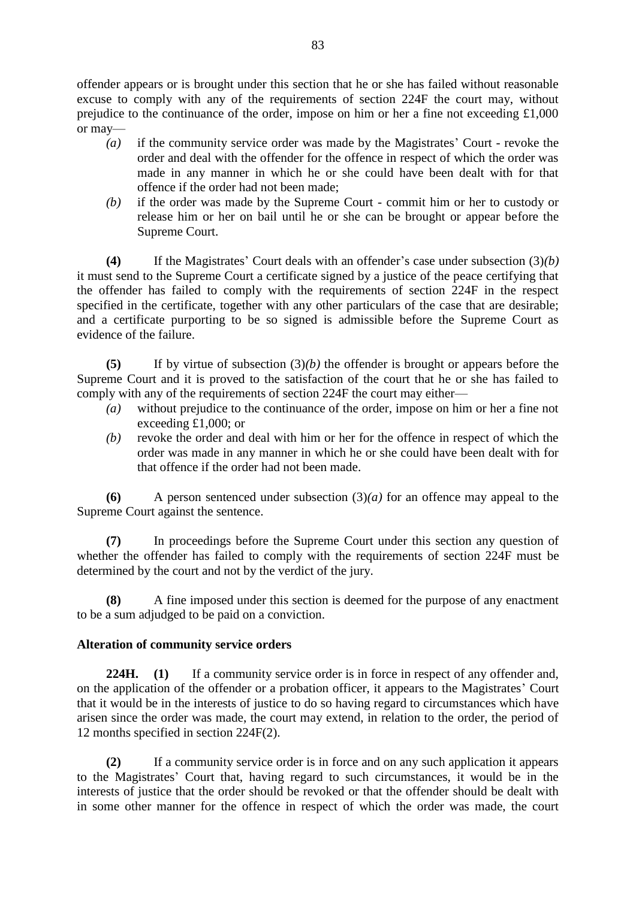offender appears or is brought under this section that he or she has failed without reasonable excuse to comply with any of the requirements of section 224F the court may, without prejudice to the continuance of the order, impose on him or her a fine not exceeding £1,000 or may—

- *(a)* if the community service order was made by the Magistrates' Court revoke the order and deal with the offender for the offence in respect of which the order was made in any manner in which he or she could have been dealt with for that offence if the order had not been made;
- *(b)* if the order was made by the Supreme Court commit him or her to custody or release him or her on bail until he or she can be brought or appear before the Supreme Court.

**(4)** If the Magistrates' Court deals with an offender's case under subsection (3)*(b)* it must send to the Supreme Court a certificate signed by a justice of the peace certifying that the offender has failed to comply with the requirements of section 224F in the respect specified in the certificate, together with any other particulars of the case that are desirable; and a certificate purporting to be so signed is admissible before the Supreme Court as evidence of the failure.

**(5)** If by virtue of subsection (3)*(b)* the offender is brought or appears before the Supreme Court and it is proved to the satisfaction of the court that he or she has failed to comply with any of the requirements of section 224F the court may either—

- *(a)* without prejudice to the continuance of the order, impose on him or her a fine not exceeding £1,000; or
- *(b)* revoke the order and deal with him or her for the offence in respect of which the order was made in any manner in which he or she could have been dealt with for that offence if the order had not been made.

**(6)** A person sentenced under subsection (3)*(a)* for an offence may appeal to the Supreme Court against the sentence.

**(7)** In proceedings before the Supreme Court under this section any question of whether the offender has failed to comply with the requirements of section 224F must be determined by the court and not by the verdict of the jury.

**(8)** A fine imposed under this section is deemed for the purpose of any enactment to be a sum adjudged to be paid on a conviction.

# **Alteration of community service orders**

**224H. (1)** If a community service order is in force in respect of any offender and, on the application of the offender or a probation officer, it appears to the Magistrates' Court that it would be in the interests of justice to do so having regard to circumstances which have arisen since the order was made, the court may extend, in relation to the order, the period of 12 months specified in section 224F(2).

**(2)** If a community service order is in force and on any such application it appears to the Magistrates' Court that, having regard to such circumstances, it would be in the interests of justice that the order should be revoked or that the offender should be dealt with in some other manner for the offence in respect of which the order was made, the court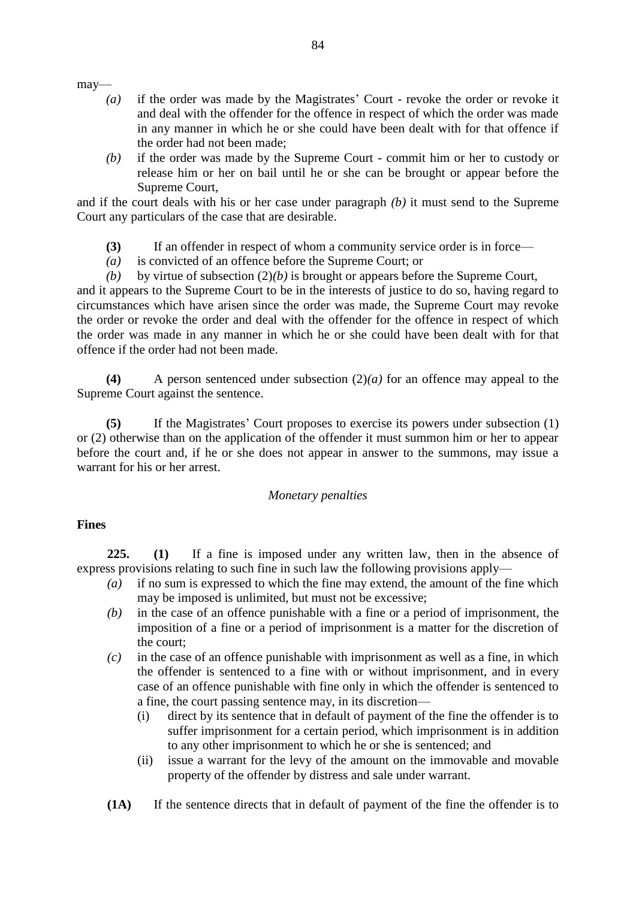may—

- *(a)* if the order was made by the Magistrates' Court revoke the order or revoke it and deal with the offender for the offence in respect of which the order was made in any manner in which he or she could have been dealt with for that offence if the order had not been made;
- *(b)* if the order was made by the Supreme Court commit him or her to custody or release him or her on bail until he or she can be brought or appear before the Supreme Court,

and if the court deals with his or her case under paragraph *(b)* it must send to the Supreme Court any particulars of the case that are desirable.

- **(3)** If an offender in respect of whom a community service order is in force—
- *(a)* is convicted of an offence before the Supreme Court; or
- *(b)* by virtue of subsection (2)*(b)* is brought or appears before the Supreme Court,

and it appears to the Supreme Court to be in the interests of justice to do so, having regard to circumstances which have arisen since the order was made, the Supreme Court may revoke the order or revoke the order and deal with the offender for the offence in respect of which the order was made in any manner in which he or she could have been dealt with for that offence if the order had not been made.

**(4)** A person sentenced under subsection (2)*(a)* for an offence may appeal to the Supreme Court against the sentence.

**(5)** If the Magistrates' Court proposes to exercise its powers under subsection (1) or (2) otherwise than on the application of the offender it must summon him or her to appear before the court and, if he or she does not appear in answer to the summons, may issue a warrant for his or her arrest.

#### *Monetary penalties*

#### **Fines**

**225. (1)** If a fine is imposed under any written law, then in the absence of express provisions relating to such fine in such law the following provisions apply—

- *(a)* if no sum is expressed to which the fine may extend, the amount of the fine which may be imposed is unlimited, but must not be excessive;
- *(b)* in the case of an offence punishable with a fine or a period of imprisonment, the imposition of a fine or a period of imprisonment is a matter for the discretion of the court;
- *(c)* in the case of an offence punishable with imprisonment as well as a fine, in which the offender is sentenced to a fine with or without imprisonment, and in every case of an offence punishable with fine only in which the offender is sentenced to a fine, the court passing sentence may, in its discretion—
	- (i) direct by its sentence that in default of payment of the fine the offender is to suffer imprisonment for a certain period, which imprisonment is in addition to any other imprisonment to which he or she is sentenced; and
	- (ii) issue a warrant for the levy of the amount on the immovable and movable property of the offender by distress and sale under warrant.
- **(1A)** If the sentence directs that in default of payment of the fine the offender is to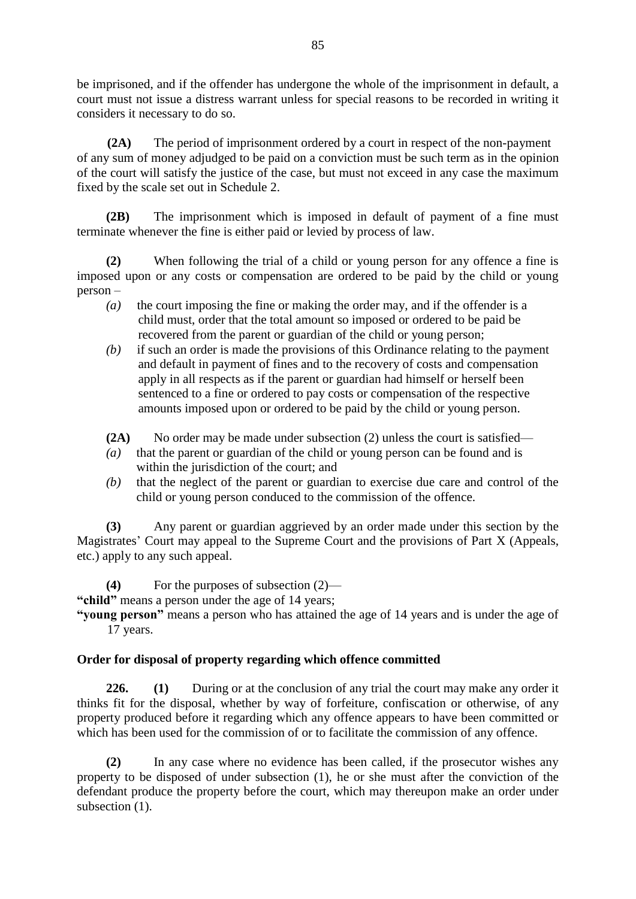be imprisoned, and if the offender has undergone the whole of the imprisonment in default, a court must not issue a distress warrant unless for special reasons to be recorded in writing it considers it necessary to do so.

**(2A)** The period of imprisonment ordered by a court in respect of the non-payment of any sum of money adjudged to be paid on a conviction must be such term as in the opinion of the court will satisfy the justice of the case, but must not exceed in any case the maximum fixed by the scale set out in Schedule 2.

**(2B)** The imprisonment which is imposed in default of payment of a fine must terminate whenever the fine is either paid or levied by process of law.

**(2)** When following the trial of a child or young person for any offence a fine is imposed upon or any costs or compensation are ordered to be paid by the child or young person –

- *(a)* the court imposing the fine or making the order may, and if the offender is a child must, order that the total amount so imposed or ordered to be paid be recovered from the parent or guardian of the child or young person;
- *(b)* if such an order is made the provisions of this Ordinance relating to the payment and default in payment of fines and to the recovery of costs and compensation apply in all respects as if the parent or guardian had himself or herself been sentenced to a fine or ordered to pay costs or compensation of the respective amounts imposed upon or ordered to be paid by the child or young person.
- **(2A)** No order may be made under subsection (2) unless the court is satisfied—
- *(a)* that the parent or guardian of the child or young person can be found and is within the jurisdiction of the court; and
- *(b)* that the neglect of the parent or guardian to exercise due care and control of the child or young person conduced to the commission of the offence.

**(3)** Any parent or guardian aggrieved by an order made under this section by the Magistrates' Court may appeal to the Supreme Court and the provisions of Part X (Appeals, etc.) apply to any such appeal.

**(4)** For the purposes of subsection (2)— **"child"** means a person under the age of 14 years;

**"young person"** means a person who has attained the age of 14 years and is under the age of 17 years.

# **Order for disposal of property regarding which offence committed**

**226. (1)** During or at the conclusion of any trial the court may make any order it thinks fit for the disposal, whether by way of forfeiture, confiscation or otherwise, of any property produced before it regarding which any offence appears to have been committed or which has been used for the commission of or to facilitate the commission of any offence.

**(2)** In any case where no evidence has been called, if the prosecutor wishes any property to be disposed of under subsection (1), he or she must after the conviction of the defendant produce the property before the court, which may thereupon make an order under subsection  $(1)$ .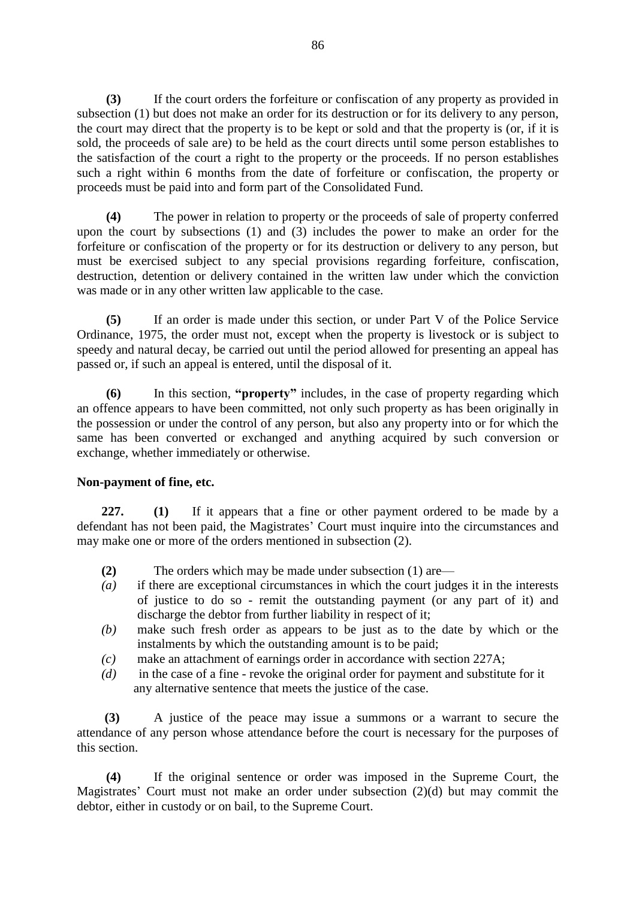**(3)** If the court orders the forfeiture or confiscation of any property as provided in subsection (1) but does not make an order for its destruction or for its delivery to any person, the court may direct that the property is to be kept or sold and that the property is (or, if it is sold, the proceeds of sale are) to be held as the court directs until some person establishes to the satisfaction of the court a right to the property or the proceeds. If no person establishes such a right within 6 months from the date of forfeiture or confiscation, the property or proceeds must be paid into and form part of the Consolidated Fund.

**(4)** The power in relation to property or the proceeds of sale of property conferred upon the court by subsections (1) and (3) includes the power to make an order for the forfeiture or confiscation of the property or for its destruction or delivery to any person, but must be exercised subject to any special provisions regarding forfeiture, confiscation, destruction, detention or delivery contained in the written law under which the conviction was made or in any other written law applicable to the case.

**(5)** If an order is made under this section, or under Part V of the Police Service Ordinance, 1975, the order must not, except when the property is livestock or is subject to speedy and natural decay, be carried out until the period allowed for presenting an appeal has passed or, if such an appeal is entered, until the disposal of it.

**(6)** In this section, **"property"** includes, in the case of property regarding which an offence appears to have been committed, not only such property as has been originally in the possession or under the control of any person, but also any property into or for which the same has been converted or exchanged and anything acquired by such conversion or exchange, whether immediately or otherwise.

### **Non-payment of fine, etc.**

**227. (1)** If it appears that a fine or other payment ordered to be made by a defendant has not been paid, the Magistrates' Court must inquire into the circumstances and may make one or more of the orders mentioned in subsection (2).

- **(2)** The orders which may be made under subsection (1) are—
- *(a)* if there are exceptional circumstances in which the court judges it in the interests of justice to do so - remit the outstanding payment (or any part of it) and discharge the debtor from further liability in respect of it;
- *(b)* make such fresh order as appears to be just as to the date by which or the instalments by which the outstanding amount is to be paid;
- *(c)* make an attachment of earnings order in accordance with section 227A;
- *(d)* in the case of a fine revoke the original order for payment and substitute for it any alternative sentence that meets the justice of the case.

**(3)** A justice of the peace may issue a summons or a warrant to secure the attendance of any person whose attendance before the court is necessary for the purposes of this section.

**(4)** If the original sentence or order was imposed in the Supreme Court, the Magistrates' Court must not make an order under subsection (2)(d) but may commit the debtor, either in custody or on bail, to the Supreme Court.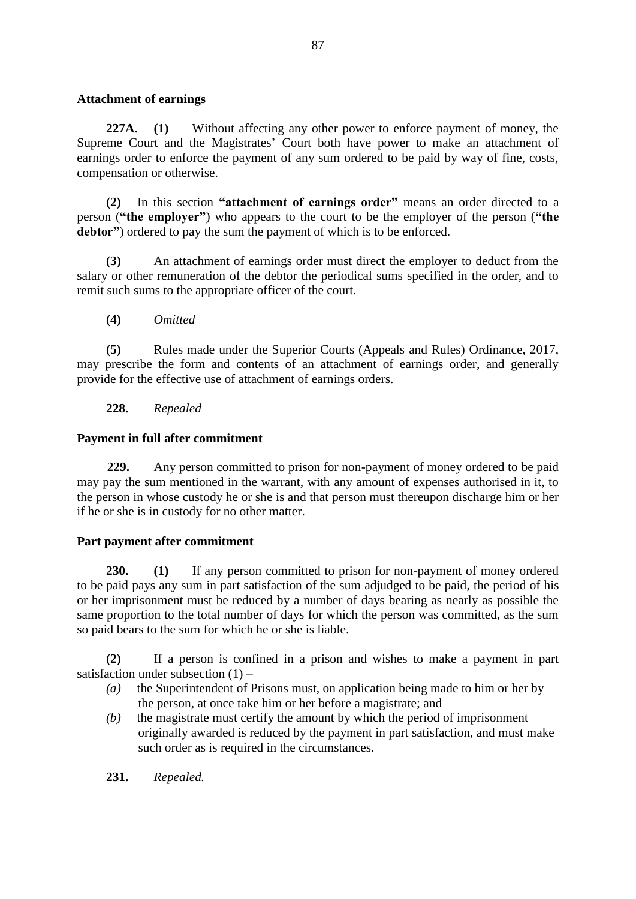### **Attachment of earnings**

**227A. (1)** Without affecting any other power to enforce payment of money, the Supreme Court and the Magistrates' Court both have power to make an attachment of earnings order to enforce the payment of any sum ordered to be paid by way of fine, costs, compensation or otherwise.

**(2)** In this section **"attachment of earnings order"** means an order directed to a person (**"the employer"**) who appears to the court to be the employer of the person (**"the debtor"**) ordered to pay the sum the payment of which is to be enforced.

**(3)** An attachment of earnings order must direct the employer to deduct from the salary or other remuneration of the debtor the periodical sums specified in the order, and to remit such sums to the appropriate officer of the court.

**(4)** *Omitted*

**(5)** Rules made under the Superior Courts (Appeals and Rules) Ordinance, 2017, may prescribe the form and contents of an attachment of earnings order, and generally provide for the effective use of attachment of earnings orders.

## **228.** *Repealed*

## **Payment in full after commitment**

**229.** Any person committed to prison for non-payment of money ordered to be paid may pay the sum mentioned in the warrant, with any amount of expenses authorised in it, to the person in whose custody he or she is and that person must thereupon discharge him or her if he or she is in custody for no other matter.

# **Part payment after commitment**

**230. (1)** If any person committed to prison for non-payment of money ordered to be paid pays any sum in part satisfaction of the sum adjudged to be paid, the period of his or her imprisonment must be reduced by a number of days bearing as nearly as possible the same proportion to the total number of days for which the person was committed, as the sum so paid bears to the sum for which he or she is liable.

**(2)** If a person is confined in a prison and wishes to make a payment in part satisfaction under subsection  $(1)$  –

- *(a)* the Superintendent of Prisons must, on application being made to him or her by the person, at once take him or her before a magistrate; and
- *(b)* the magistrate must certify the amount by which the period of imprisonment originally awarded is reduced by the payment in part satisfaction, and must make such order as is required in the circumstances.

**231.** *Repealed.*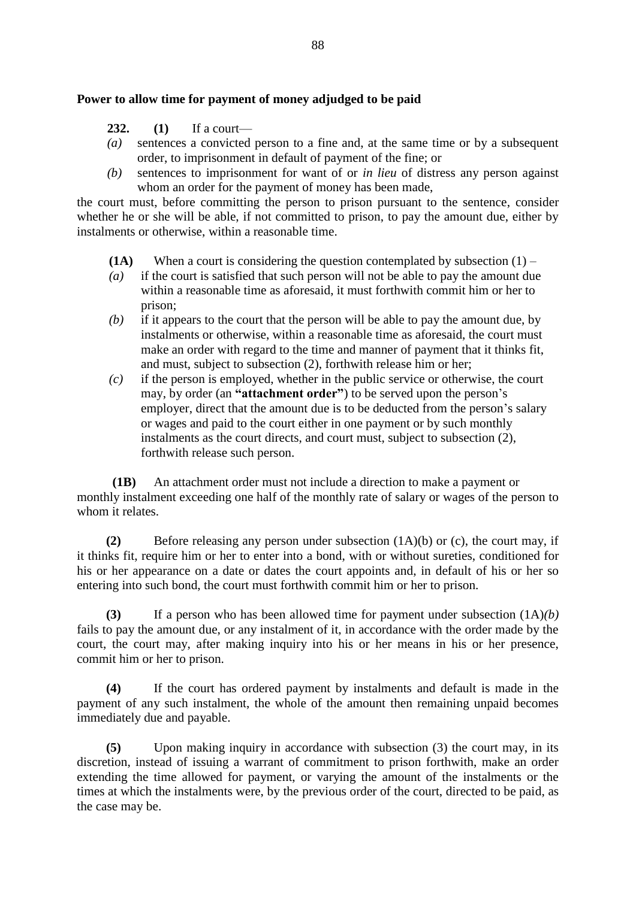### **Power to allow time for payment of money adjudged to be paid**

- **232. (1)** If a court—
- *(a)* sentences a convicted person to a fine and, at the same time or by a subsequent order, to imprisonment in default of payment of the fine; or
- *(b)* sentences to imprisonment for want of or *in lieu* of distress any person against whom an order for the payment of money has been made,

the court must, before committing the person to prison pursuant to the sentence, consider whether he or she will be able, if not committed to prison, to pay the amount due, either by instalments or otherwise, within a reasonable time.

- **(1A)** When a court is considering the question contemplated by subsection  $(1)$  –
- *(a)* if the court is satisfied that such person will not be able to pay the amount due within a reasonable time as aforesaid, it must forthwith commit him or her to prison;
- *(b)* if it appears to the court that the person will be able to pay the amount due, by instalments or otherwise, within a reasonable time as aforesaid, the court must make an order with regard to the time and manner of payment that it thinks fit, and must, subject to subsection (2), forthwith release him or her;
- *(c)* if the person is employed, whether in the public service or otherwise, the court may, by order (an **"attachment order"**) to be served upon the person's employer, direct that the amount due is to be deducted from the person's salary or wages and paid to the court either in one payment or by such monthly instalments as the court directs, and court must, subject to subsection (2), forthwith release such person.

 **(1B)** An attachment order must not include a direction to make a payment or monthly instalment exceeding one half of the monthly rate of salary or wages of the person to whom it relates.

**(2)** Before releasing any person under subsection (1A)(b) or (c), the court may, if it thinks fit, require him or her to enter into a bond, with or without sureties, conditioned for his or her appearance on a date or dates the court appoints and, in default of his or her so entering into such bond, the court must forthwith commit him or her to prison.

**(3)** If a person who has been allowed time for payment under subsection (1A)*(b)*  fails to pay the amount due, or any instalment of it, in accordance with the order made by the court, the court may, after making inquiry into his or her means in his or her presence, commit him or her to prison.

**(4)** If the court has ordered payment by instalments and default is made in the payment of any such instalment, the whole of the amount then remaining unpaid becomes immediately due and payable.

**(5)** Upon making inquiry in accordance with subsection (3) the court may, in its discretion, instead of issuing a warrant of commitment to prison forthwith, make an order extending the time allowed for payment, or varying the amount of the instalments or the times at which the instalments were, by the previous order of the court, directed to be paid, as the case may be.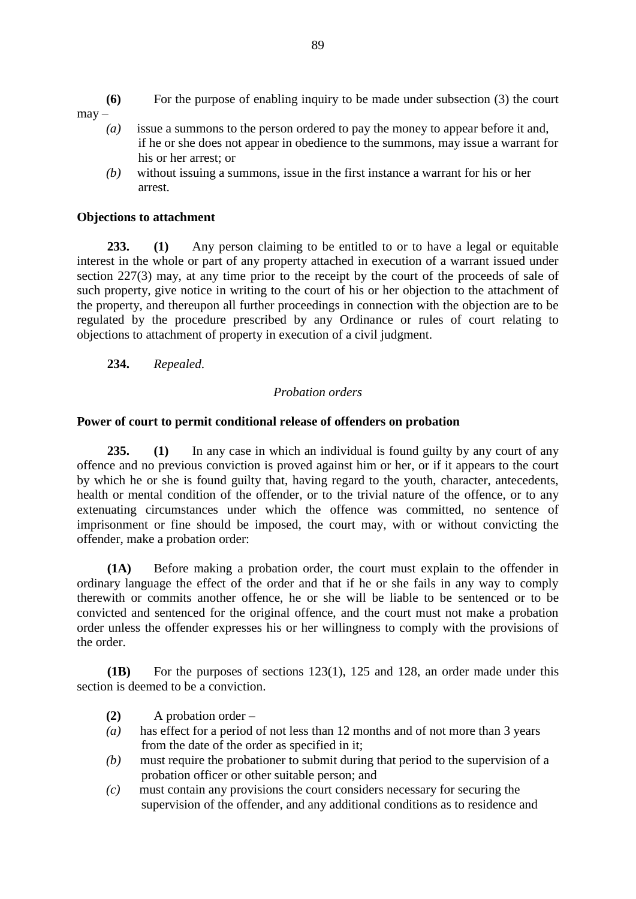- **(6)** For the purpose of enabling inquiry to be made under subsection (3) the court
- may
	- *(a)* issue a summons to the person ordered to pay the money to appear before it and, if he or she does not appear in obedience to the summons, may issue a warrant for his or her arrest; or
	- *(b)* without issuing a summons, issue in the first instance a warrant for his or her arrest.

## **Objections to attachment**

**233. (1)** Any person claiming to be entitled to or to have a legal or equitable interest in the whole or part of any property attached in execution of a warrant issued under section 227(3) may, at any time prior to the receipt by the court of the proceeds of sale of such property, give notice in writing to the court of his or her objection to the attachment of the property, and thereupon all further proceedings in connection with the objection are to be regulated by the procedure prescribed by any Ordinance or rules of court relating to objections to attachment of property in execution of a civil judgment.

**234.** *Repealed*.

## *Probation orders*

### **Power of court to permit conditional release of offenders on probation**

**235. (1)** In any case in which an individual is found guilty by any court of any offence and no previous conviction is proved against him or her, or if it appears to the court by which he or she is found guilty that, having regard to the youth, character, antecedents, health or mental condition of the offender, or to the trivial nature of the offence, or to any extenuating circumstances under which the offence was committed, no sentence of imprisonment or fine should be imposed, the court may, with or without convicting the offender, make a probation order:

**(1A)** Before making a probation order, the court must explain to the offender in ordinary language the effect of the order and that if he or she fails in any way to comply therewith or commits another offence, he or she will be liable to be sentenced or to be convicted and sentenced for the original offence, and the court must not make a probation order unless the offender expresses his or her willingness to comply with the provisions of the order.

**(1B)** For the purposes of sections 123(1), 125 and 128, an order made under this section is deemed to be a conviction.

- **(2)** A probation order –
- *(a)* has effect for a period of not less than 12 months and of not more than 3 years from the date of the order as specified in it;
- *(b)* must require the probationer to submit during that period to the supervision of a probation officer or other suitable person; and
- *(c)* must contain any provisions the court considers necessary for securing the supervision of the offender, and any additional conditions as to residence and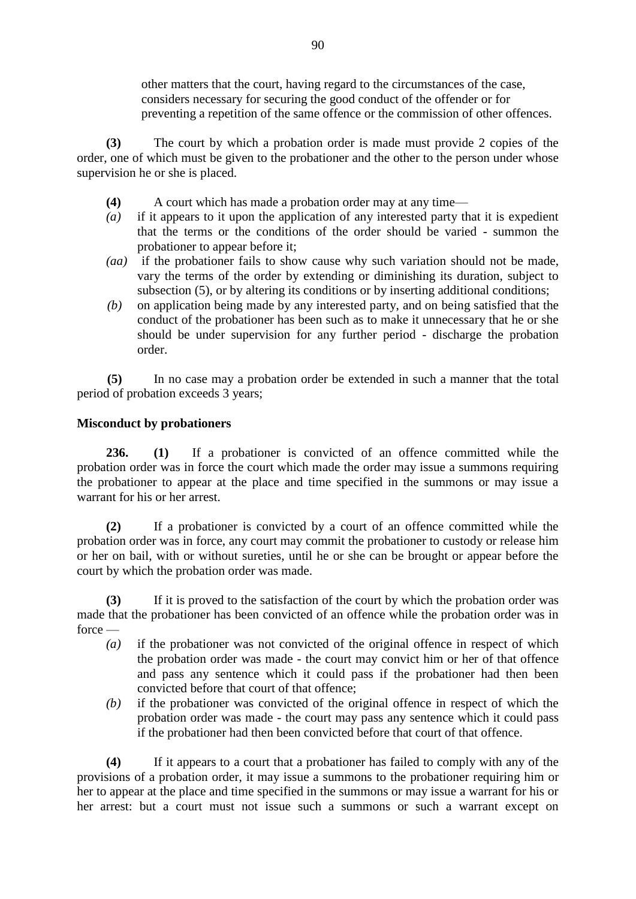other matters that the court, having regard to the circumstances of the case, considers necessary for securing the good conduct of the offender or for preventing a repetition of the same offence or the commission of other offences.

**(3)** The court by which a probation order is made must provide 2 copies of the order, one of which must be given to the probationer and the other to the person under whose supervision he or she is placed.

- **(4)** A court which has made a probation order may at any time—
- *(a)* if it appears to it upon the application of any interested party that it is expedient that the terms or the conditions of the order should be varied - summon the probationer to appear before it;
- *(aa)* if the probationer fails to show cause why such variation should not be made, vary the terms of the order by extending or diminishing its duration, subject to subsection (5), or by altering its conditions or by inserting additional conditions;
- *(b)* on application being made by any interested party, and on being satisfied that the conduct of the probationer has been such as to make it unnecessary that he or she should be under supervision for any further period - discharge the probation order.

**(5)** In no case may a probation order be extended in such a manner that the total period of probation exceeds 3 years;

## **Misconduct by probationers**

**236. (1)** If a probationer is convicted of an offence committed while the probation order was in force the court which made the order may issue a summons requiring the probationer to appear at the place and time specified in the summons or may issue a warrant for his or her arrest.

**(2)** If a probationer is convicted by a court of an offence committed while the probation order was in force, any court may commit the probationer to custody or release him or her on bail, with or without sureties, until he or she can be brought or appear before the court by which the probation order was made.

**(3)** If it is proved to the satisfaction of the court by which the probation order was made that the probationer has been convicted of an offence while the probation order was in force —

- *(a)* if the probationer was not convicted of the original offence in respect of which the probation order was made - the court may convict him or her of that offence and pass any sentence which it could pass if the probationer had then been convicted before that court of that offence;
- *(b)* if the probationer was convicted of the original offence in respect of which the probation order was made - the court may pass any sentence which it could pass if the probationer had then been convicted before that court of that offence.

**(4)** If it appears to a court that a probationer has failed to comply with any of the provisions of a probation order, it may issue a summons to the probationer requiring him or her to appear at the place and time specified in the summons or may issue a warrant for his or her arrest: but a court must not issue such a summons or such a warrant except on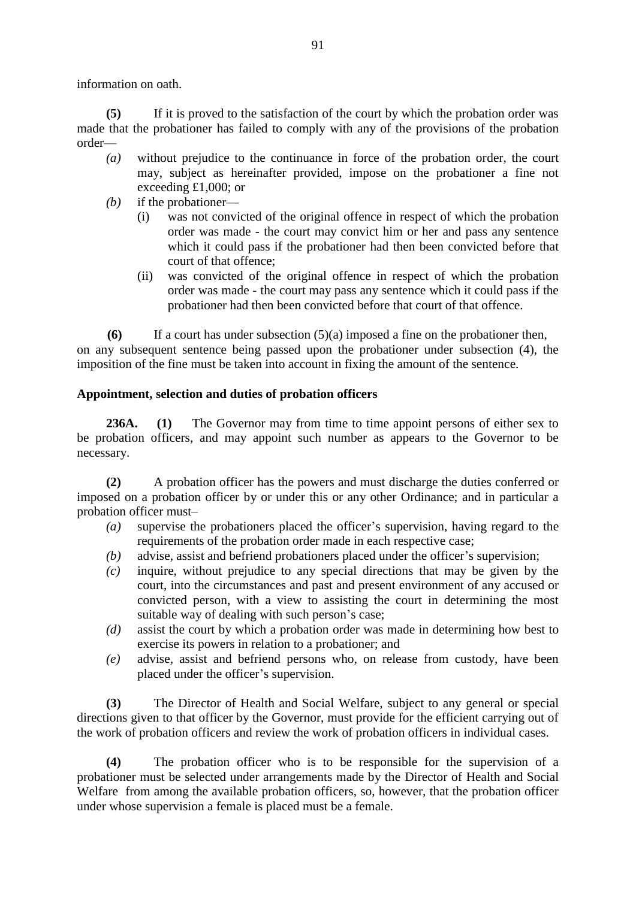information on oath.

**(5)** If it is proved to the satisfaction of the court by which the probation order was made that the probationer has failed to comply with any of the provisions of the probation order—

- *(a)* without prejudice to the continuance in force of the probation order, the court may, subject as hereinafter provided, impose on the probationer a fine not exceeding £1,000; or
- *(b)* if the probationer—
	- (i) was not convicted of the original offence in respect of which the probation order was made - the court may convict him or her and pass any sentence which it could pass if the probationer had then been convicted before that court of that offence;
	- (ii) was convicted of the original offence in respect of which the probation order was made - the court may pass any sentence which it could pass if the probationer had then been convicted before that court of that offence.

**(6)** If a court has under subsection (5)(a) imposed a fine on the probationer then, on any subsequent sentence being passed upon the probationer under subsection (4), the imposition of the fine must be taken into account in fixing the amount of the sentence.

## **Appointment, selection and duties of probation officers**

**236A. (1)** The Governor may from time to time appoint persons of either sex to be probation officers, and may appoint such number as appears to the Governor to be necessary.

**(2)** A probation officer has the powers and must discharge the duties conferred or imposed on a probation officer by or under this or any other Ordinance; and in particular a probation officer must–

- *(a)* supervise the probationers placed the officer's supervision, having regard to the requirements of the probation order made in each respective case;
- *(b)* advise, assist and befriend probationers placed under the officer's supervision;
- *(c)* inquire, without prejudice to any special directions that may be given by the court, into the circumstances and past and present environment of any accused or convicted person, with a view to assisting the court in determining the most suitable way of dealing with such person's case;
- *(d)* assist the court by which a probation order was made in determining how best to exercise its powers in relation to a probationer; and
- *(e)* advise, assist and befriend persons who, on release from custody, have been placed under the officer's supervision.

**(3)** The Director of Health and Social Welfare, subject to any general or special directions given to that officer by the Governor, must provide for the efficient carrying out of the work of probation officers and review the work of probation officers in individual cases.

**(4)** The probation officer who is to be responsible for the supervision of a probationer must be selected under arrangements made by the Director of Health and Social Welfare from among the available probation officers, so, however, that the probation officer under whose supervision a female is placed must be a female.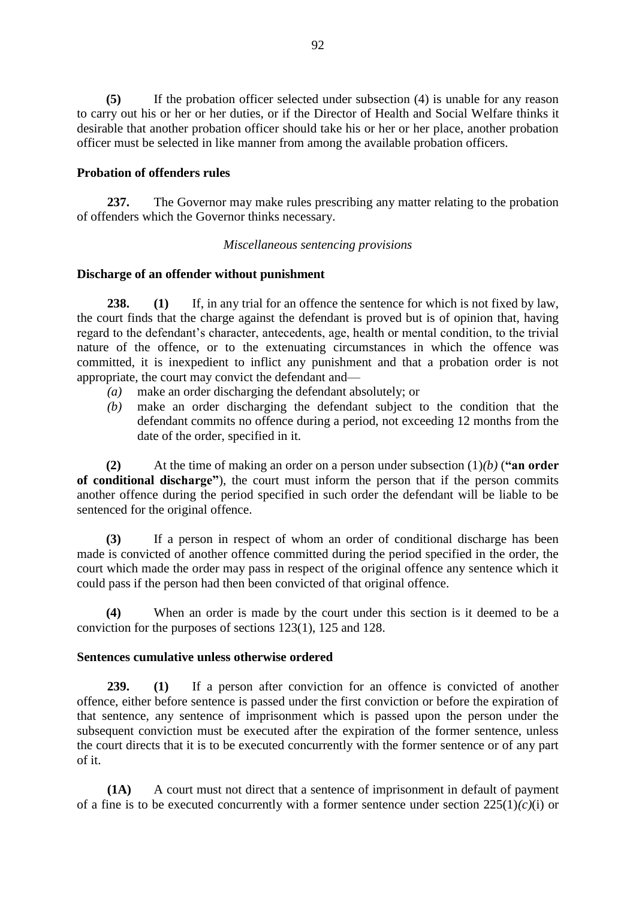**(5)** If the probation officer selected under subsection (4) is unable for any reason to carry out his or her or her duties, or if the Director of Health and Social Welfare thinks it desirable that another probation officer should take his or her or her place, another probation officer must be selected in like manner from among the available probation officers.

## **Probation of offenders rules**

**237.** The Governor may make rules prescribing any matter relating to the probation of offenders which the Governor thinks necessary.

### *Miscellaneous sentencing provisions*

## **Discharge of an offender without punishment**

**238. (1)** If, in any trial for an offence the sentence for which is not fixed by law, the court finds that the charge against the defendant is proved but is of opinion that, having regard to the defendant's character, antecedents, age, health or mental condition, to the trivial nature of the offence, or to the extenuating circumstances in which the offence was committed, it is inexpedient to inflict any punishment and that a probation order is not appropriate, the court may convict the defendant and—

- *(a)* make an order discharging the defendant absolutely; or
- *(b)* make an order discharging the defendant subject to the condition that the defendant commits no offence during a period, not exceeding 12 months from the date of the order, specified in it.

**(2)** At the time of making an order on a person under subsection (1)*(b)* (**"an order of conditional discharge"**), the court must inform the person that if the person commits another offence during the period specified in such order the defendant will be liable to be sentenced for the original offence.

**(3)** If a person in respect of whom an order of conditional discharge has been made is convicted of another offence committed during the period specified in the order, the court which made the order may pass in respect of the original offence any sentence which it could pass if the person had then been convicted of that original offence.

**(4)** When an order is made by the court under this section is it deemed to be a conviction for the purposes of sections 123(1), 125 and 128.

### **Sentences cumulative unless otherwise ordered**

**239. (1)** If a person after conviction for an offence is convicted of another offence, either before sentence is passed under the first conviction or before the expiration of that sentence, any sentence of imprisonment which is passed upon the person under the subsequent conviction must be executed after the expiration of the former sentence, unless the court directs that it is to be executed concurrently with the former sentence or of any part of it.

**(1A)** A court must not direct that a sentence of imprisonment in default of payment of a fine is to be executed concurrently with a former sentence under section 225(1)*(c)*(i) or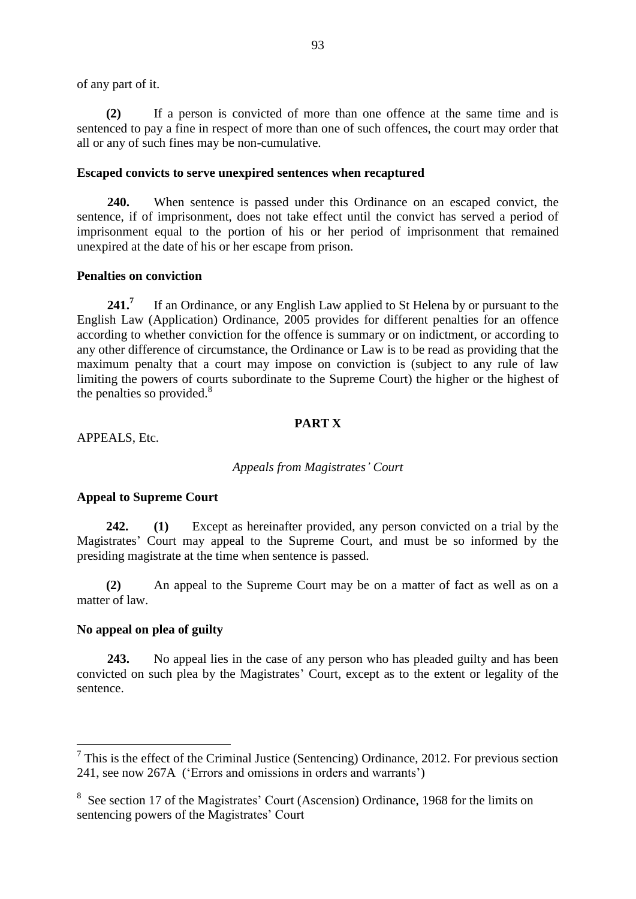of any part of it.

**(2)** If a person is convicted of more than one offence at the same time and is sentenced to pay a fine in respect of more than one of such offences, the court may order that all or any of such fines may be non-cumulative.

#### **Escaped convicts to serve unexpired sentences when recaptured**

**240.** When sentence is passed under this Ordinance on an escaped convict, the sentence, if of imprisonment, does not take effect until the convict has served a period of imprisonment equal to the portion of his or her period of imprisonment that remained unexpired at the date of his or her escape from prison.

### **Penalties on conviction**

**241.<sup>7</sup>** If an Ordinance, or any English Law applied to St Helena by or pursuant to the English Law (Application) Ordinance, 2005 provides for different penalties for an offence according to whether conviction for the offence is summary or on indictment, or according to any other difference of circumstance, the Ordinance or Law is to be read as providing that the maximum penalty that a court may impose on conviction is (subject to any rule of law limiting the powers of courts subordinate to the Supreme Court) the higher or the highest of the penalties so provided. $8$ 

#### **PART X**

APPEALS, Etc.

#### *Appeals from Magistrates' Court*

#### **Appeal to Supreme Court**

**242. (1)** Except as hereinafter provided, any person convicted on a trial by the Magistrates' Court may appeal to the Supreme Court, and must be so informed by the presiding magistrate at the time when sentence is passed.

**(2)** An appeal to the Supreme Court may be on a matter of fact as well as on a matter of law.

#### **No appeal on plea of guilty**

1

**243.** No appeal lies in the case of any person who has pleaded guilty and has been convicted on such plea by the Magistrates' Court, except as to the extent or legality of the sentence.

 $7$  This is the effect of the Criminal Justice (Sentencing) Ordinance, 2012. For previous section 241, see now 267A ('Errors and omissions in orders and warrants')

<sup>&</sup>lt;sup>8</sup> See section 17 of the Magistrates' Court (Ascension) Ordinance, 1968 for the limits on sentencing powers of the Magistrates' Court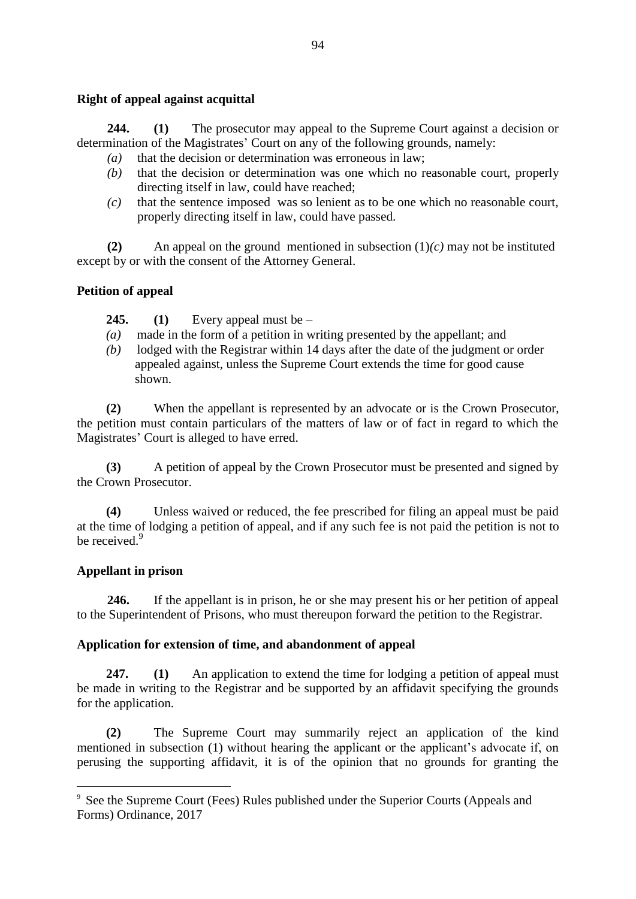### **Right of appeal against acquittal**

**244. (1)** The prosecutor may appeal to the Supreme Court against a decision or determination of the Magistrates' Court on any of the following grounds, namely:

- *(a)* that the decision or determination was erroneous in law;
- *(b)* that the decision or determination was one which no reasonable court, properly directing itself in law, could have reached;
- *(c)* that the sentence imposed was so lenient as to be one which no reasonable court, properly directing itself in law, could have passed.

**(2)** An appeal on the ground mentioned in subsection (1)*(c)* may not be instituted except by or with the consent of the Attorney General.

### **Petition of appeal**

**245. (1)** Every appeal must be –

- *(a)* made in the form of a petition in writing presented by the appellant; and
- *(b)* lodged with the Registrar within 14 days after the date of the judgment or order appealed against, unless the Supreme Court extends the time for good cause shown.

**(2)** When the appellant is represented by an advocate or is the Crown Prosecutor, the petition must contain particulars of the matters of law or of fact in regard to which the Magistrates' Court is alleged to have erred.

**(3)** A petition of appeal by the Crown Prosecutor must be presented and signed by the Crown Prosecutor.

**(4)** Unless waived or reduced, the fee prescribed for filing an appeal must be paid at the time of lodging a petition of appeal, and if any such fee is not paid the petition is not to be received.<sup>9</sup>

### **Appellant in prison**

1

**246.** If the appellant is in prison, he or she may present his or her petition of appeal to the Superintendent of Prisons, who must thereupon forward the petition to the Registrar.

### **Application for extension of time, and abandonment of appeal**

**247. (1)** An application to extend the time for lodging a petition of appeal must be made in writing to the Registrar and be supported by an affidavit specifying the grounds for the application.

**(2)** The Supreme Court may summarily reject an application of the kind mentioned in subsection (1) without hearing the applicant or the applicant's advocate if, on perusing the supporting affidavit, it is of the opinion that no grounds for granting the

<sup>9</sup> See the Supreme Court (Fees) Rules published under the Superior Courts (Appeals and Forms) Ordinance, 2017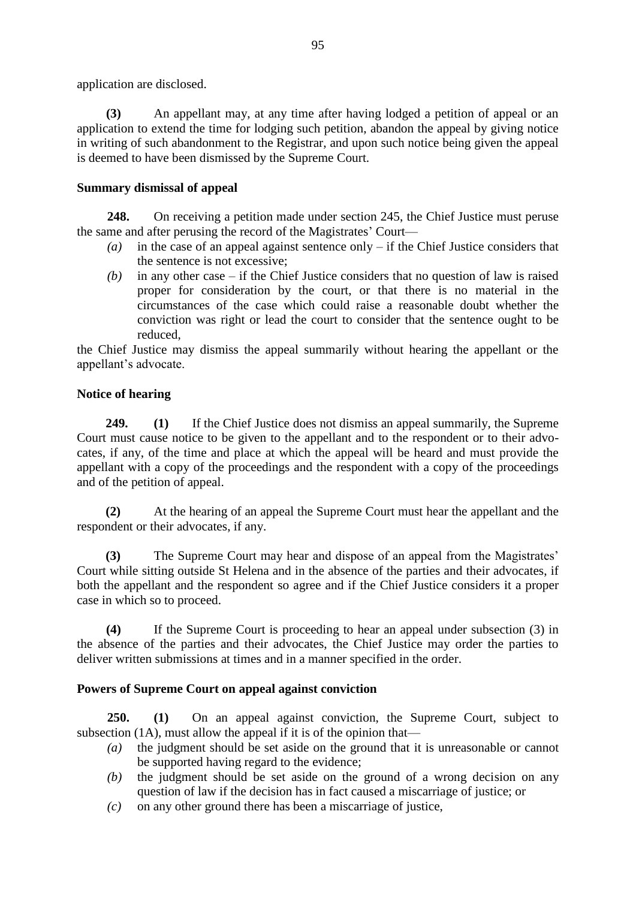application are disclosed.

**(3)** An appellant may, at any time after having lodged a petition of appeal or an application to extend the time for lodging such petition, abandon the appeal by giving notice in writing of such abandonment to the Registrar, and upon such notice being given the appeal is deemed to have been dismissed by the Supreme Court.

# **Summary dismissal of appeal**

**248.** On receiving a petition made under section 245, the Chief Justice must peruse the same and after perusing the record of the Magistrates' Court—

- *(a)* in the case of an appeal against sentence only if the Chief Justice considers that the sentence is not excessive;
- *(b)* in any other case if the Chief Justice considers that no question of law is raised proper for consideration by the court, or that there is no material in the circumstances of the case which could raise a reasonable doubt whether the conviction was right or lead the court to consider that the sentence ought to be reduced,

the Chief Justice may dismiss the appeal summarily without hearing the appellant or the appellant's advocate.

# **Notice of hearing**

**249. (1)** If the Chief Justice does not dismiss an appeal summarily, the Supreme Court must cause notice to be given to the appellant and to the respondent or to their advocates, if any, of the time and place at which the appeal will be heard and must provide the appellant with a copy of the proceedings and the respondent with a copy of the proceedings and of the petition of appeal.

**(2)** At the hearing of an appeal the Supreme Court must hear the appellant and the respondent or their advocates, if any.

**(3)** The Supreme Court may hear and dispose of an appeal from the Magistrates' Court while sitting outside St Helena and in the absence of the parties and their advocates, if both the appellant and the respondent so agree and if the Chief Justice considers it a proper case in which so to proceed.

**(4)** If the Supreme Court is proceeding to hear an appeal under subsection (3) in the absence of the parties and their advocates, the Chief Justice may order the parties to deliver written submissions at times and in a manner specified in the order.

# **Powers of Supreme Court on appeal against conviction**

**250. (1)** On an appeal against conviction, the Supreme Court, subject to subsection (1A), must allow the appeal if it is of the opinion that—

- *(a)* the judgment should be set aside on the ground that it is unreasonable or cannot be supported having regard to the evidence;
- *(b)* the judgment should be set aside on the ground of a wrong decision on any question of law if the decision has in fact caused a miscarriage of justice; or
- *(c)* on any other ground there has been a miscarriage of justice,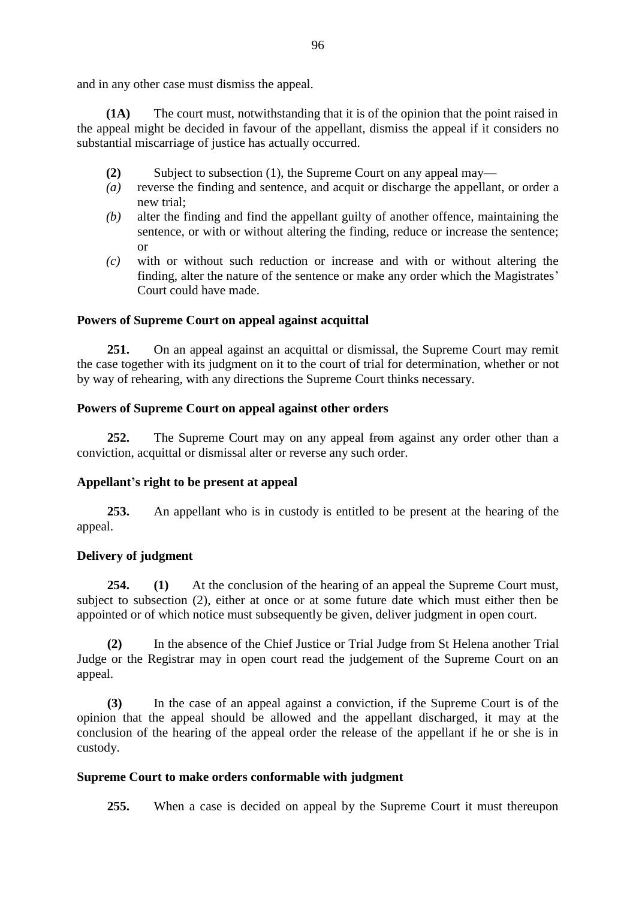and in any other case must dismiss the appeal.

**(1A)** The court must, notwithstanding that it is of the opinion that the point raised in the appeal might be decided in favour of the appellant, dismiss the appeal if it considers no substantial miscarriage of justice has actually occurred.

- **(2)** Subject to subsection (1), the Supreme Court on any appeal may—
- *(a)* reverse the finding and sentence, and acquit or discharge the appellant, or order a new trial;
- *(b)* alter the finding and find the appellant guilty of another offence, maintaining the sentence, or with or without altering the finding, reduce or increase the sentence; or
- *(c)* with or without such reduction or increase and with or without altering the finding, alter the nature of the sentence or make any order which the Magistrates' Court could have made.

### **Powers of Supreme Court on appeal against acquittal**

**251.** On an appeal against an acquittal or dismissal, the Supreme Court may remit the case together with its judgment on it to the court of trial for determination, whether or not by way of rehearing, with any directions the Supreme Court thinks necessary.

### **Powers of Supreme Court on appeal against other orders**

**252.** The Supreme Court may on any appeal from against any order other than a conviction, acquittal or dismissal alter or reverse any such order.

### **Appellant's right to be present at appeal**

**253.** An appellant who is in custody is entitled to be present at the hearing of the appeal.

### **Delivery of judgment**

**254. (1)** At the conclusion of the hearing of an appeal the Supreme Court must, subject to subsection (2), either at once or at some future date which must either then be appointed or of which notice must subsequently be given, deliver judgment in open court.

**(2)** In the absence of the Chief Justice or Trial Judge from St Helena another Trial Judge or the Registrar may in open court read the judgement of the Supreme Court on an appeal.

**(3)** In the case of an appeal against a conviction, if the Supreme Court is of the opinion that the appeal should be allowed and the appellant discharged, it may at the conclusion of the hearing of the appeal order the release of the appellant if he or she is in custody.

#### **Supreme Court to make orders conformable with judgment**

**255.** When a case is decided on appeal by the Supreme Court it must thereupon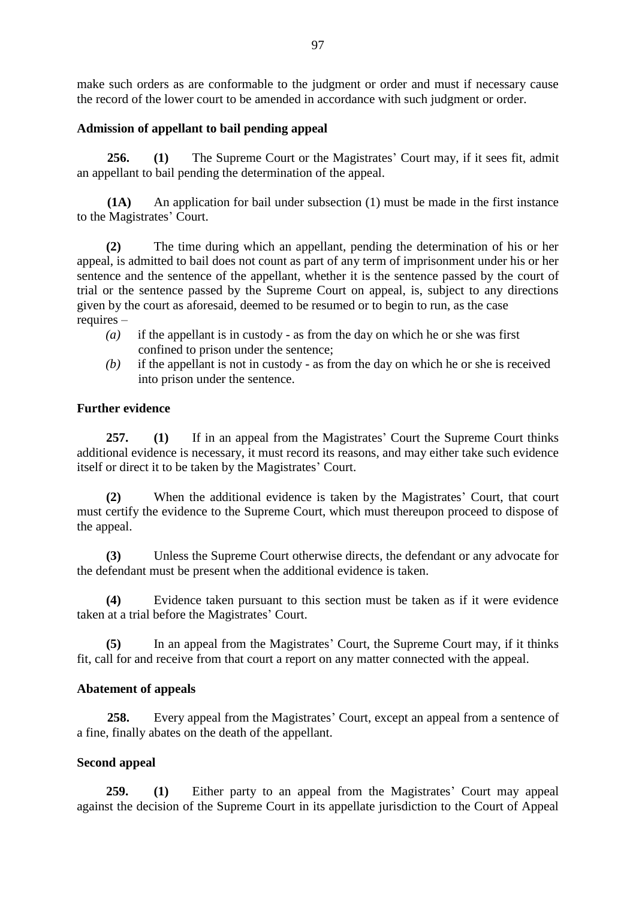make such orders as are conformable to the judgment or order and must if necessary cause the record of the lower court to be amended in accordance with such judgment or order.

## **Admission of appellant to bail pending appeal**

**256. (1)** The Supreme Court or the Magistrates' Court may, if it sees fit, admit an appellant to bail pending the determination of the appeal.

**(1A)** An application for bail under subsection (1) must be made in the first instance to the Magistrates' Court.

**(2)** The time during which an appellant, pending the determination of his or her appeal, is admitted to bail does not count as part of any term of imprisonment under his or her sentence and the sentence of the appellant, whether it is the sentence passed by the court of trial or the sentence passed by the Supreme Court on appeal, is, subject to any directions given by the court as aforesaid, deemed to be resumed or to begin to run, as the case requires –

- *(a)* if the appellant is in custody as from the day on which he or she was first confined to prison under the sentence;
- *(b)* if the appellant is not in custody as from the day on which he or she is received into prison under the sentence.

## **Further evidence**

**257. (1)** If in an appeal from the Magistrates' Court the Supreme Court thinks additional evidence is necessary, it must record its reasons, and may either take such evidence itself or direct it to be taken by the Magistrates' Court.

**(2)** When the additional evidence is taken by the Magistrates' Court, that court must certify the evidence to the Supreme Court, which must thereupon proceed to dispose of the appeal.

**(3)** Unless the Supreme Court otherwise directs, the defendant or any advocate for the defendant must be present when the additional evidence is taken.

**(4)** Evidence taken pursuant to this section must be taken as if it were evidence taken at a trial before the Magistrates' Court.

**(5)** In an appeal from the Magistrates' Court, the Supreme Court may, if it thinks fit, call for and receive from that court a report on any matter connected with the appeal.

### **Abatement of appeals**

**258.** Every appeal from the Magistrates' Court, except an appeal from a sentence of a fine, finally abates on the death of the appellant.

# **Second appeal**

**259. (1)** Either party to an appeal from the Magistrates' Court may appeal against the decision of the Supreme Court in its appellate jurisdiction to the Court of Appeal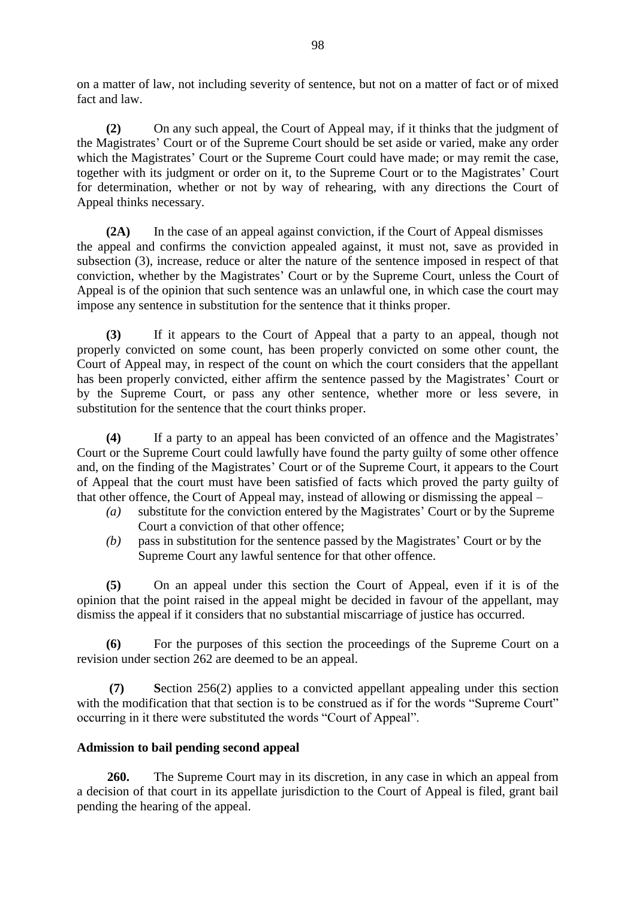on a matter of law, not including severity of sentence, but not on a matter of fact or of mixed fact and law.

**(2)** On any such appeal, the Court of Appeal may, if it thinks that the judgment of the Magistrates' Court or of the Supreme Court should be set aside or varied, make any order which the Magistrates' Court or the Supreme Court could have made; or may remit the case, together with its judgment or order on it, to the Supreme Court or to the Magistrates' Court for determination, whether or not by way of rehearing, with any directions the Court of Appeal thinks necessary.

**(2A)** In the case of an appeal against conviction, if the Court of Appeal dismisses the appeal and confirms the conviction appealed against, it must not, save as provided in subsection (3), increase, reduce or alter the nature of the sentence imposed in respect of that conviction, whether by the Magistrates' Court or by the Supreme Court, unless the Court of Appeal is of the opinion that such sentence was an unlawful one, in which case the court may impose any sentence in substitution for the sentence that it thinks proper.

**(3)** If it appears to the Court of Appeal that a party to an appeal, though not properly convicted on some count, has been properly convicted on some other count, the Court of Appeal may, in respect of the count on which the court considers that the appellant has been properly convicted, either affirm the sentence passed by the Magistrates' Court or by the Supreme Court, or pass any other sentence, whether more or less severe, in substitution for the sentence that the court thinks proper.

**(4)** If a party to an appeal has been convicted of an offence and the Magistrates' Court or the Supreme Court could lawfully have found the party guilty of some other offence and, on the finding of the Magistrates' Court or of the Supreme Court, it appears to the Court of Appeal that the court must have been satisfied of facts which proved the party guilty of that other offence, the Court of Appeal may, instead of allowing or dismissing the appeal –

- *(a)* substitute for the conviction entered by the Magistrates' Court or by the Supreme Court a conviction of that other offence;
- *(b)* pass in substitution for the sentence passed by the Magistrates' Court or by the Supreme Court any lawful sentence for that other offence.

**(5)** On an appeal under this section the Court of Appeal, even if it is of the opinion that the point raised in the appeal might be decided in favour of the appellant, may dismiss the appeal if it considers that no substantial miscarriage of justice has occurred.

**(6)** For the purposes of this section the proceedings of the Supreme Court on a revision under section 262 are deemed to be an appeal.

**(7) S**ection 256(2) applies to a convicted appellant appealing under this section with the modification that that section is to be construed as if for the words "Supreme Court" occurring in it there were substituted the words "Court of Appeal".

# **Admission to bail pending second appeal**

**260.** The Supreme Court may in its discretion, in any case in which an appeal from a decision of that court in its appellate jurisdiction to the Court of Appeal is filed, grant bail pending the hearing of the appeal.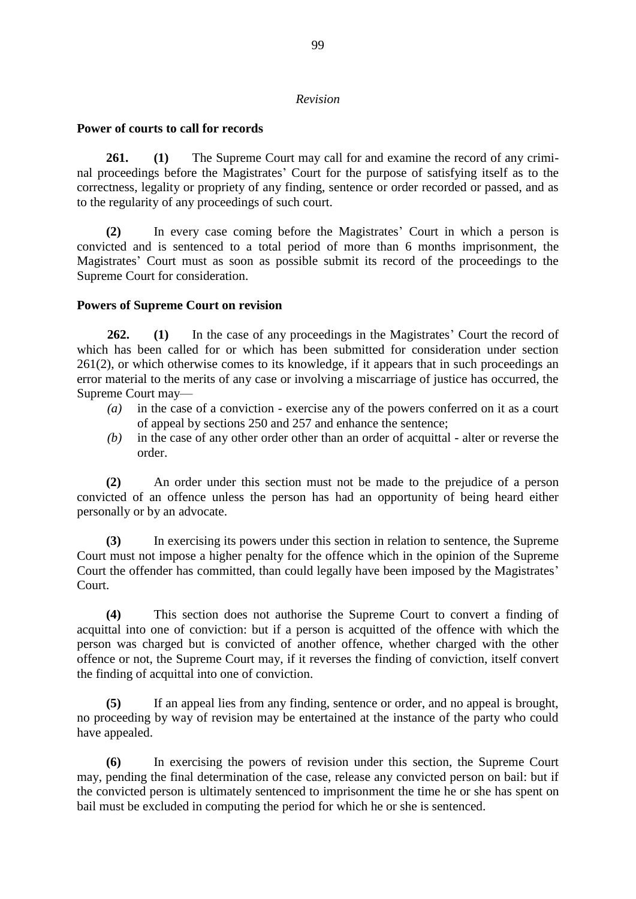#### *Revision*

### **Power of courts to call for records**

**261. (1)** The Supreme Court may call for and examine the record of any criminal proceedings before the Magistrates' Court for the purpose of satisfying itself as to the correctness, legality or propriety of any finding, sentence or order recorded or passed, and as to the regularity of any proceedings of such court.

**(2)** In every case coming before the Magistrates' Court in which a person is convicted and is sentenced to a total period of more than 6 months imprisonment, the Magistrates' Court must as soon as possible submit its record of the proceedings to the Supreme Court for consideration.

### **Powers of Supreme Court on revision**

**262. (1)** In the case of any proceedings in the Magistrates' Court the record of which has been called for or which has been submitted for consideration under section 261(2), or which otherwise comes to its knowledge, if it appears that in such proceedings an error material to the merits of any case or involving a miscarriage of justice has occurred, the Supreme Court may—

- *(a)* in the case of a conviction exercise any of the powers conferred on it as a court of appeal by sections 250 and 257 and enhance the sentence;
- *(b)* in the case of any other order other than an order of acquittal alter or reverse the order.

**(2)** An order under this section must not be made to the prejudice of a person convicted of an offence unless the person has had an opportunity of being heard either personally or by an advocate.

**(3)** In exercising its powers under this section in relation to sentence, the Supreme Court must not impose a higher penalty for the offence which in the opinion of the Supreme Court the offender has committed, than could legally have been imposed by the Magistrates' Court.

**(4)** This section does not authorise the Supreme Court to convert a finding of acquittal into one of conviction: but if a person is acquitted of the offence with which the person was charged but is convicted of another offence, whether charged with the other offence or not, the Supreme Court may, if it reverses the finding of conviction, itself convert the finding of acquittal into one of conviction.

**(5)** If an appeal lies from any finding, sentence or order, and no appeal is brought, no proceeding by way of revision may be entertained at the instance of the party who could have appealed.

**(6)** In exercising the powers of revision under this section, the Supreme Court may, pending the final determination of the case, release any convicted person on bail: but if the convicted person is ultimately sentenced to imprisonment the time he or she has spent on bail must be excluded in computing the period for which he or she is sentenced.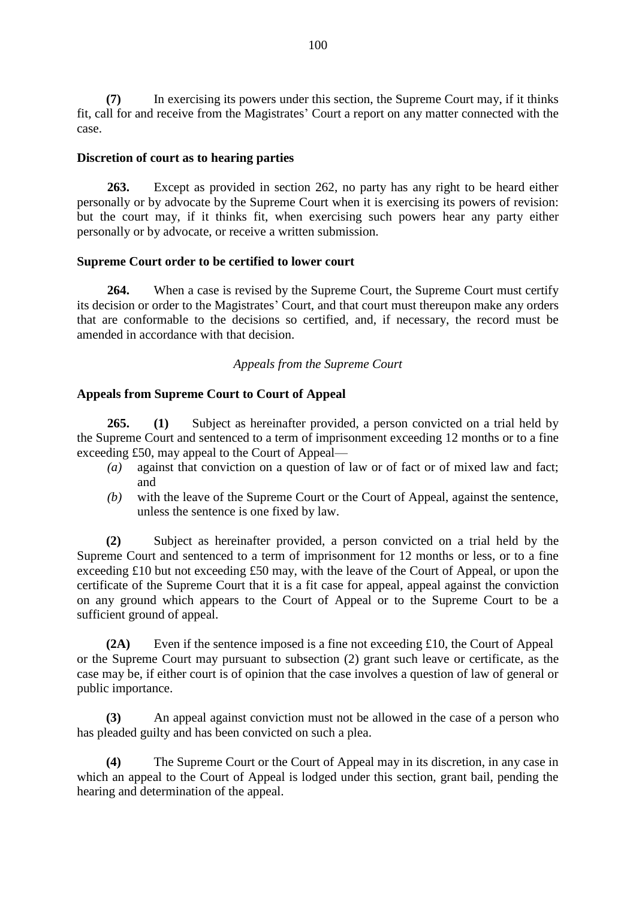**(7)** In exercising its powers under this section, the Supreme Court may, if it thinks fit, call for and receive from the Magistrates' Court a report on any matter connected with the case.

### **Discretion of court as to hearing parties**

**263.** Except as provided in section 262, no party has any right to be heard either personally or by advocate by the Supreme Court when it is exercising its powers of revision: but the court may, if it thinks fit, when exercising such powers hear any party either personally or by advocate, or receive a written submission.

### **Supreme Court order to be certified to lower court**

**264.** When a case is revised by the Supreme Court, the Supreme Court must certify its decision or order to the Magistrates' Court, and that court must thereupon make any orders that are conformable to the decisions so certified, and, if necessary, the record must be amended in accordance with that decision.

### *Appeals from the Supreme Court*

### **Appeals from Supreme Court to Court of Appeal**

**265. (1)** Subject as hereinafter provided, a person convicted on a trial held by the Supreme Court and sentenced to a term of imprisonment exceeding 12 months or to a fine exceeding £50, may appeal to the Court of Appeal—

- *(a)* against that conviction on a question of law or of fact or of mixed law and fact; and
- *(b)* with the leave of the Supreme Court or the Court of Appeal, against the sentence, unless the sentence is one fixed by law.

**(2)** Subject as hereinafter provided, a person convicted on a trial held by the Supreme Court and sentenced to a term of imprisonment for 12 months or less, or to a fine exceeding £10 but not exceeding £50 may, with the leave of the Court of Appeal, or upon the certificate of the Supreme Court that it is a fit case for appeal, appeal against the conviction on any ground which appears to the Court of Appeal or to the Supreme Court to be a sufficient ground of appeal.

**(2A)** Even if the sentence imposed is a fine not exceeding £10, the Court of Appeal or the Supreme Court may pursuant to subsection (2) grant such leave or certificate, as the case may be, if either court is of opinion that the case involves a question of law of general or public importance.

**(3)** An appeal against conviction must not be allowed in the case of a person who has pleaded guilty and has been convicted on such a plea.

**(4)** The Supreme Court or the Court of Appeal may in its discretion, in any case in which an appeal to the Court of Appeal is lodged under this section, grant bail, pending the hearing and determination of the appeal.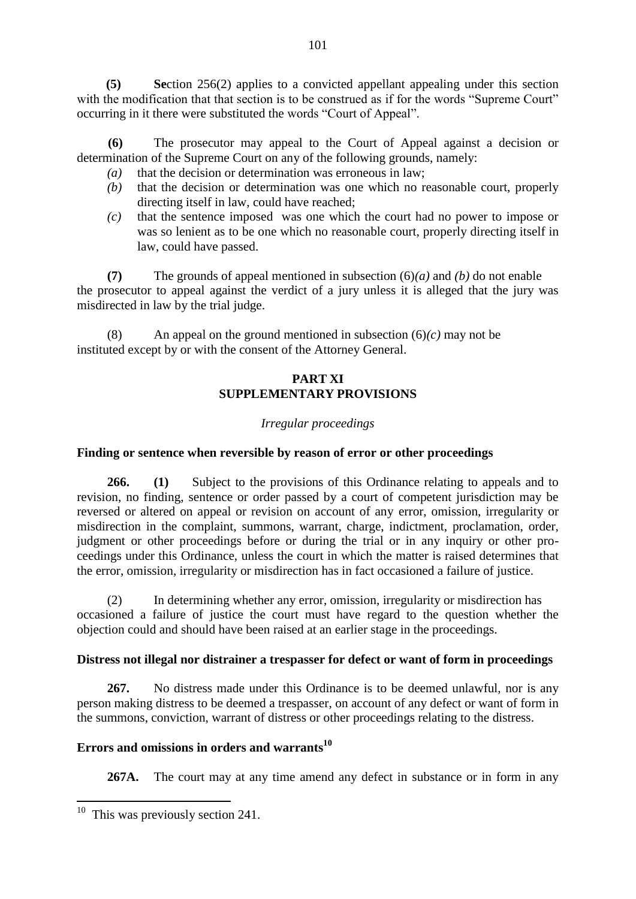**(5) Se**ction 256(2) applies to a convicted appellant appealing under this section with the modification that that section is to be construed as if for the words "Supreme Court" occurring in it there were substituted the words "Court of Appeal".

 **(6)** The prosecutor may appeal to the Court of Appeal against a decision or determination of the Supreme Court on any of the following grounds, namely:

- *(a)* that the decision or determination was erroneous in law;
- *(b)* that the decision or determination was one which no reasonable court, properly directing itself in law, could have reached;
- *(c)* that the sentence imposed was one which the court had no power to impose or was so lenient as to be one which no reasonable court, properly directing itself in law, could have passed.

**(7)** The grounds of appeal mentioned in subsection (6)*(a)* and *(b)* do not enable the prosecutor to appeal against the verdict of a jury unless it is alleged that the jury was misdirected in law by the trial judge.

(8) An appeal on the ground mentioned in subsection  $(6)(c)$  may not be instituted except by or with the consent of the Attorney General.

# **PART XI SUPPLEMENTARY PROVISIONS**

# *Irregular proceedings*

## **Finding or sentence when reversible by reason of error or other proceedings**

**266. (1)** Subject to the provisions of this Ordinance relating to appeals and to revision, no finding, sentence or order passed by a court of competent jurisdiction may be reversed or altered on appeal or revision on account of any error, omission, irregularity or misdirection in the complaint, summons, warrant, charge, indictment, proclamation, order, judgment or other proceedings before or during the trial or in any inquiry or other proceedings under this Ordinance, unless the court in which the matter is raised determines that the error, omission, irregularity or misdirection has in fact occasioned a failure of justice.

(2) In determining whether any error, omission, irregularity or misdirection has occasioned a failure of justice the court must have regard to the question whether the objection could and should have been raised at an earlier stage in the proceedings.

### **Distress not illegal nor distrainer a trespasser for defect or want of form in proceedings**

**267.** No distress made under this Ordinance is to be deemed unlawful, nor is any person making distress to be deemed a trespasser, on account of any defect or want of form in the summons, conviction, warrant of distress or other proceedings relating to the distress.

# **Errors and omissions in orders and warrants<sup>10</sup>**

**267A.** The court may at any time amend any defect in substance or in form in any

<sup>&</sup>lt;sup>10</sup> This was previously section 241.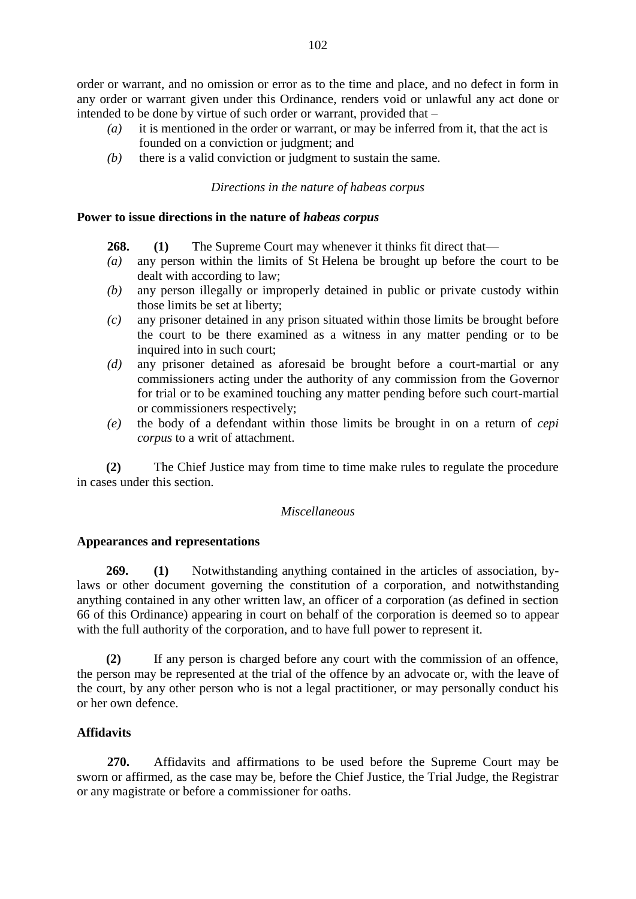order or warrant, and no omission or error as to the time and place, and no defect in form in any order or warrant given under this Ordinance, renders void or unlawful any act done or intended to be done by virtue of such order or warrant, provided that –

- *(a)* it is mentioned in the order or warrant, or may be inferred from it, that the act is founded on a conviction or judgment; and
- *(b)* there is a valid conviction or judgment to sustain the same.

### *Directions in the nature of habeas corpus*

### **Power to issue directions in the nature of** *habeas corpus*

- **268. (1)** The Supreme Court may whenever it thinks fit direct that—
- *(a)* any person within the limits of St Helena be brought up before the court to be dealt with according to law;
- *(b)* any person illegally or improperly detained in public or private custody within those limits be set at liberty;
- *(c)* any prisoner detained in any prison situated within those limits be brought before the court to be there examined as a witness in any matter pending or to be inquired into in such court;
- *(d)* any prisoner detained as aforesaid be brought before a court-martial or any commissioners acting under the authority of any commission from the Governor for trial or to be examined touching any matter pending before such court-martial or commissioners respectively;
- *(e)* the body of a defendant within those limits be brought in on a return of *cepi corpus* to a writ of attachment.

**(2)** The Chief Justice may from time to time make rules to regulate the procedure in cases under this section.

### *Miscellaneous*

### **Appearances and representations**

**269. (1)** Notwithstanding anything contained in the articles of association, bylaws or other document governing the constitution of a corporation, and notwithstanding anything contained in any other written law, an officer of a corporation (as defined in section 66 of this Ordinance) appearing in court on behalf of the corporation is deemed so to appear with the full authority of the corporation, and to have full power to represent it.

**(2)** If any person is charged before any court with the commission of an offence, the person may be represented at the trial of the offence by an advocate or, with the leave of the court, by any other person who is not a legal practitioner, or may personally conduct his or her own defence.

### **Affidavits**

**270.** Affidavits and affirmations to be used before the Supreme Court may be sworn or affirmed, as the case may be, before the Chief Justice, the Trial Judge, the Registrar or any magistrate or before a commissioner for oaths.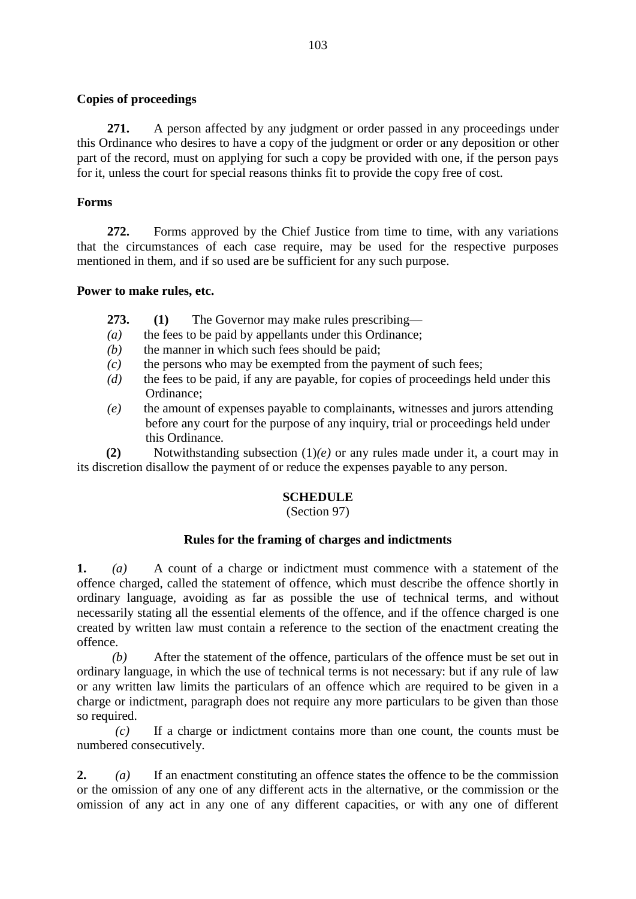### **Copies of proceedings**

**271.** A person affected by any judgment or order passed in any proceedings under this Ordinance who desires to have a copy of the judgment or order or any deposition or other part of the record, must on applying for such a copy be provided with one, if the person pays for it, unless the court for special reasons thinks fit to provide the copy free of cost.

## **Forms**

**272.** Forms approved by the Chief Justice from time to time, with any variations that the circumstances of each case require, may be used for the respective purposes mentioned in them, and if so used are be sufficient for any such purpose.

## **Power to make rules, etc.**

**273. (1)** The Governor may make rules prescribing—

- *(a)* the fees to be paid by appellants under this Ordinance;
- *(b)* the manner in which such fees should be paid;
- *(c)* the persons who may be exempted from the payment of such fees;
- *(d)* the fees to be paid, if any are payable, for copies of proceedings held under this Ordinance;
- *(e)* the amount of expenses payable to complainants, witnesses and jurors attending before any court for the purpose of any inquiry, trial or proceedings held under this Ordinance.

**(2)** Notwithstanding subsection (1)*(e)* or any rules made under it, a court may in its discretion disallow the payment of or reduce the expenses payable to any person.

# **SCHEDULE**

# (Section 97)

# **Rules for the framing of charges and indictments**

**1.** *(a)* A count of a charge or indictment must commence with a statement of the offence charged, called the statement of offence, which must describe the offence shortly in ordinary language, avoiding as far as possible the use of technical terms, and without necessarily stating all the essential elements of the offence, and if the offence charged is one created by written law must contain a reference to the section of the enactment creating the offence.

 *(b)* After the statement of the offence, particulars of the offence must be set out in ordinary language, in which the use of technical terms is not necessary: but if any rule of law or any written law limits the particulars of an offence which are required to be given in a charge or indictment, paragraph does not require any more particulars to be given than those so required.

*(c)* If a charge or indictment contains more than one count, the counts must be numbered consecutively.

**2.** *(a)* If an enactment constituting an offence states the offence to be the commission or the omission of any one of any different acts in the alternative, or the commission or the omission of any act in any one of any different capacities, or with any one of different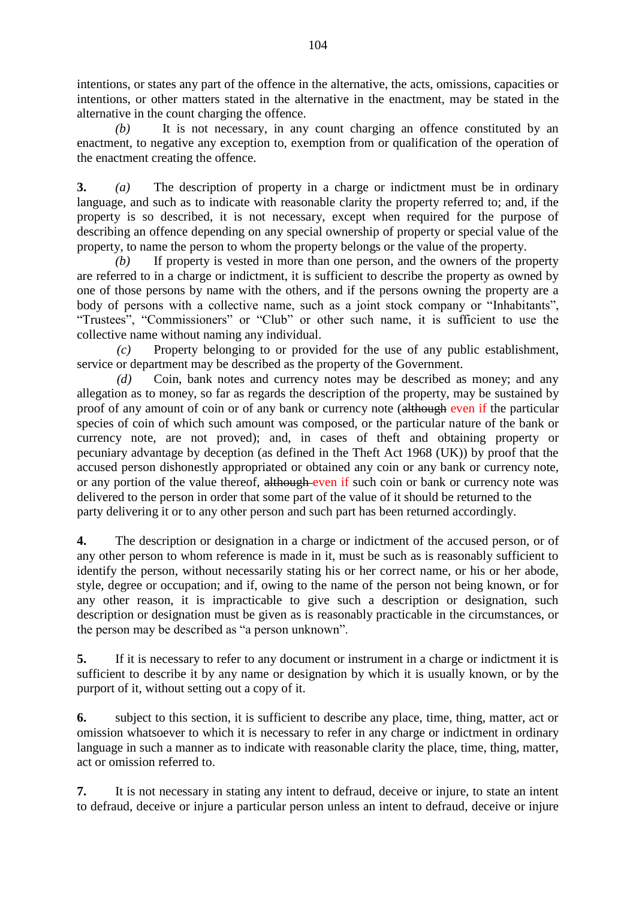intentions, or states any part of the offence in the alternative, the acts, omissions, capacities or intentions, or other matters stated in the alternative in the enactment, may be stated in the alternative in the count charging the offence.

 *(b)* It is not necessary, in any count charging an offence constituted by an enactment, to negative any exception to, exemption from or qualification of the operation of the enactment creating the offence.

**3.** *(a)* The description of property in a charge or indictment must be in ordinary language, and such as to indicate with reasonable clarity the property referred to; and, if the property is so described, it is not necessary, except when required for the purpose of describing an offence depending on any special ownership of property or special value of the property, to name the person to whom the property belongs or the value of the property.

*(b)* If property is vested in more than one person, and the owners of the property are referred to in a charge or indictment, it is sufficient to describe the property as owned by one of those persons by name with the others, and if the persons owning the property are a body of persons with a collective name, such as a joint stock company or "Inhabitants", "Trustees", "Commissioners" or "Club" or other such name, it is sufficient to use the collective name without naming any individual.

 *(c)* Property belonging to or provided for the use of any public establishment, service or department may be described as the property of the Government.

 *(d)* Coin, bank notes and currency notes may be described as money; and any allegation as to money, so far as regards the description of the property, may be sustained by proof of any amount of coin or of any bank or currency note (although even if the particular species of coin of which such amount was composed, or the particular nature of the bank or currency note, are not proved); and, in cases of theft and obtaining property or pecuniary advantage by deception (as defined in the Theft Act 1968 (UK)) by proof that the accused person dishonestly appropriated or obtained any coin or any bank or currency note, or any portion of the value thereof, although even if such coin or bank or currency note was delivered to the person in order that some part of the value of it should be returned to the party delivering it or to any other person and such part has been returned accordingly.

**4.** The description or designation in a charge or indictment of the accused person, or of any other person to whom reference is made in it, must be such as is reasonably sufficient to identify the person, without necessarily stating his or her correct name, or his or her abode, style, degree or occupation; and if, owing to the name of the person not being known, or for any other reason, it is impracticable to give such a description or designation, such description or designation must be given as is reasonably practicable in the circumstances, or the person may be described as "a person unknown".

**5.** If it is necessary to refer to any document or instrument in a charge or indictment it is sufficient to describe it by any name or designation by which it is usually known, or by the purport of it, without setting out a copy of it.

**6.** subject to this section, it is sufficient to describe any place, time, thing, matter, act or omission whatsoever to which it is necessary to refer in any charge or indictment in ordinary language in such a manner as to indicate with reasonable clarity the place, time, thing, matter, act or omission referred to.

**7.** It is not necessary in stating any intent to defraud, deceive or injure, to state an intent to defraud, deceive or injure a particular person unless an intent to defraud, deceive or injure